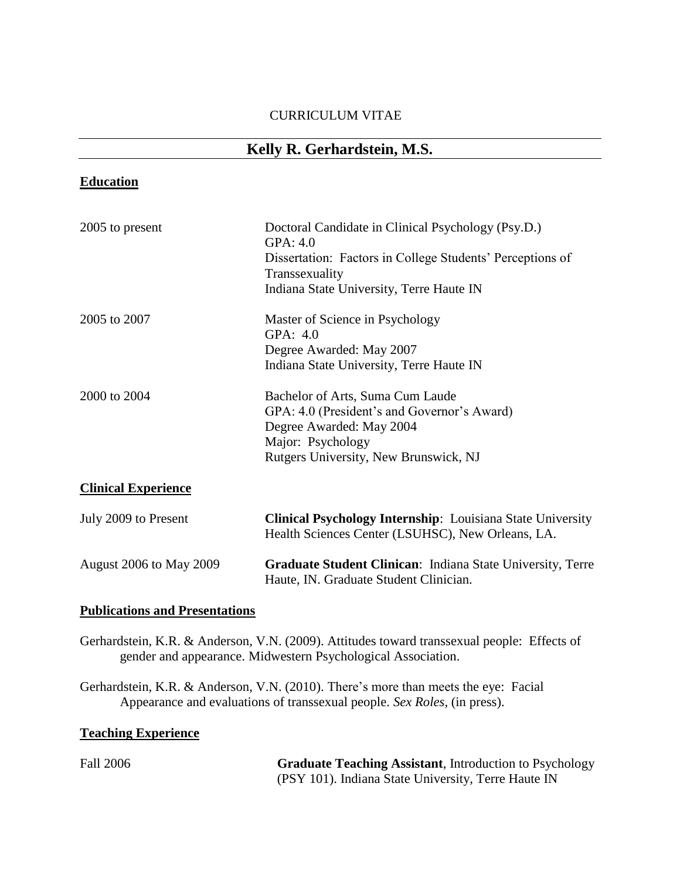## CURRICULUM VITAE

# **Kelly R. Gerhardstein, M.S.**

# **Education**

| 2005 to present                | Doctoral Candidate in Clinical Psychology (Psy.D.)<br>GPA: 4.0<br>Dissertation: Factors in College Students' Perceptions of<br>Transsexuality<br>Indiana State University, Terre Haute IN |  |
|--------------------------------|-------------------------------------------------------------------------------------------------------------------------------------------------------------------------------------------|--|
| 2005 to 2007                   | Master of Science in Psychology<br>GPA: 4.0<br>Degree Awarded: May 2007<br>Indiana State University, Terre Haute IN                                                                       |  |
| 2000 to 2004                   | Bachelor of Arts, Suma Cum Laude<br>GPA: 4.0 (President's and Governor's Award)<br>Degree Awarded: May 2004<br>Major: Psychology<br>Rutgers University, New Brunswick, NJ                 |  |
| <b>Clinical Experience</b>     |                                                                                                                                                                                           |  |
| July 2009 to Present           | <b>Clinical Psychology Internship:</b> Louisiana State University<br>Health Sciences Center (LSUHSC), New Orleans, LA.                                                                    |  |
| <b>August 2006 to May 2009</b> | Graduate Student Clinican: Indiana State University, Terre<br>Haute, IN. Graduate Student Clinician.                                                                                      |  |

## **Publications and Presentations**

Gerhardstein, K.R. & Anderson, V.N. (2009). Attitudes toward transsexual people: Effects of gender and appearance. Midwestern Psychological Association.

Gerhardstein, K.R. & Anderson, V.N. (2010). There's more than meets the eye: Facial Appearance and evaluations of transsexual people. *Sex Roles*, (in press).

## **Teaching Experience**

| <b>Fall 2006</b> | <b>Graduate Teaching Assistant, Introduction to Psychology</b> |
|------------------|----------------------------------------------------------------|
|                  | (PSY 101). Indiana State University, Terre Haute IN            |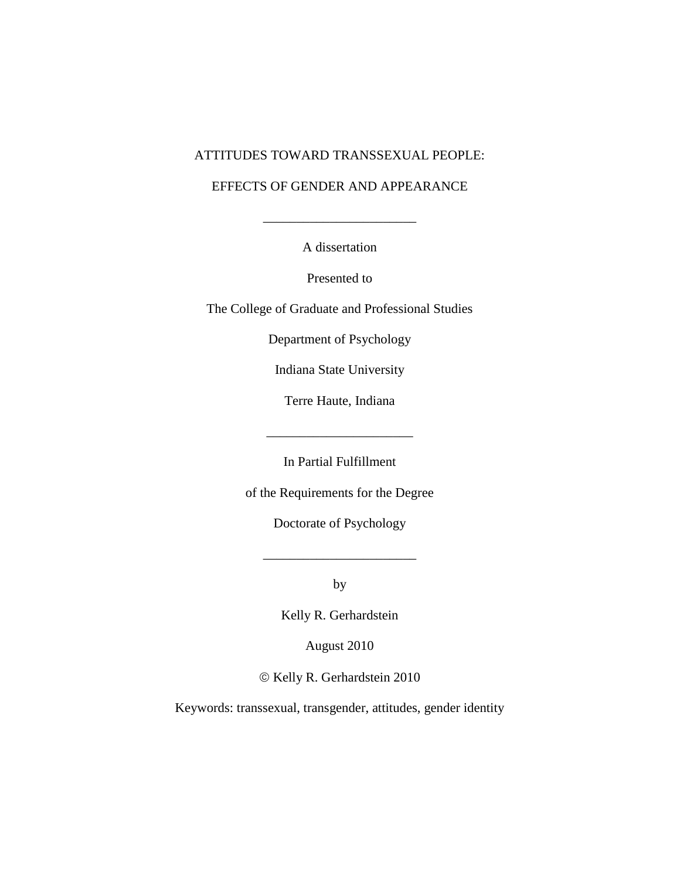## ATTITUDES TOWARD TRANSSEXUAL PEOPLE:

## EFFECTS OF GENDER AND APPEARANCE

A dissertation

\_\_\_\_\_\_\_\_\_\_\_\_\_\_\_\_\_\_\_\_\_\_\_

Presented to

The College of Graduate and Professional Studies

Department of Psychology

Indiana State University

Terre Haute, Indiana

\_\_\_\_\_\_\_\_\_\_\_\_\_\_\_\_\_\_\_\_\_\_

In Partial Fulfillment

of the Requirements for the Degree

Doctorate of Psychology

 $\frac{1}{\sqrt{2\pi}}$ 

by

Kelly R. Gerhardstein

August 2010

 $\odot$  Kelly R. Gerhardstein 2010

Keywords: transsexual, transgender, attitudes, gender identity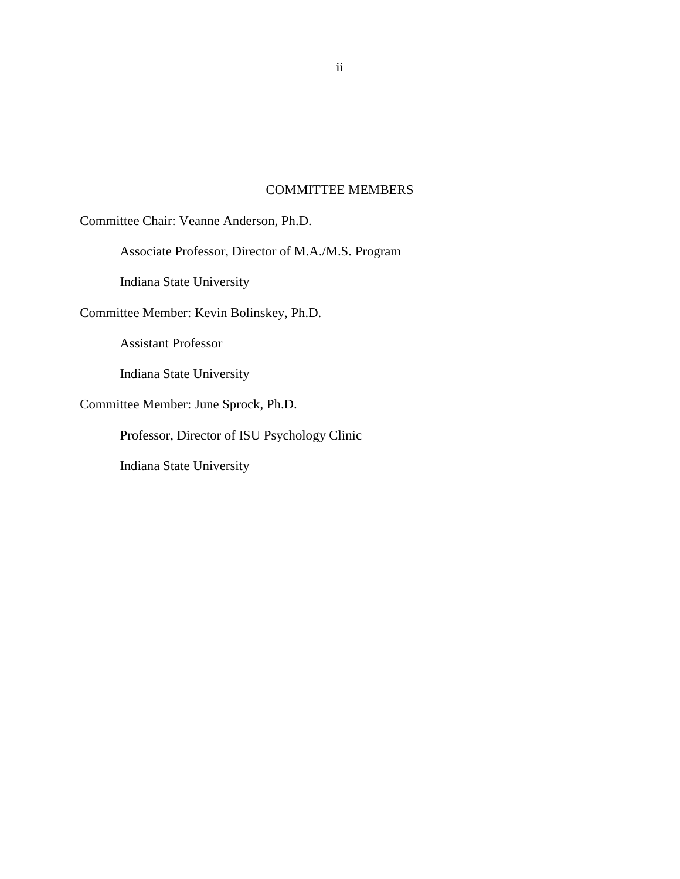## COMMITTEE MEMBERS

Committee Chair: Veanne Anderson, Ph.D.

Associate Professor, Director of M.A./M.S. Program

Indiana State University

Committee Member: Kevin Bolinskey, Ph.D.

Assistant Professor

Indiana State University

Committee Member: June Sprock, Ph.D.

Professor, Director of ISU Psychology Clinic

Indiana State University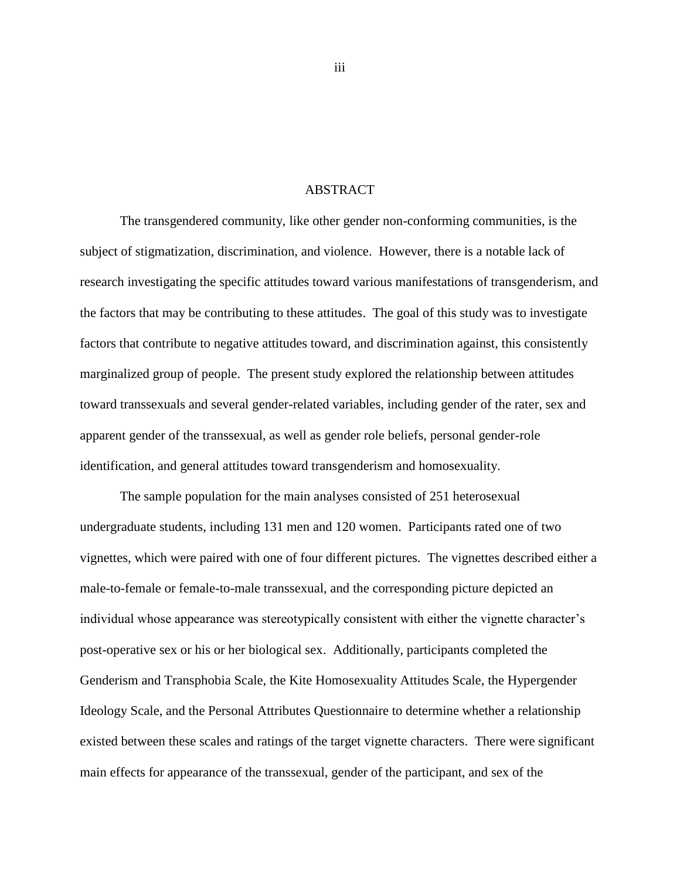### ABSTRACT

<span id="page-3-0"></span>The transgendered community, like other gender non-conforming communities, is the subject of stigmatization, discrimination, and violence. However, there is a notable lack of research investigating the specific attitudes toward various manifestations of transgenderism, and the factors that may be contributing to these attitudes. The goal of this study was to investigate factors that contribute to negative attitudes toward, and discrimination against, this consistently marginalized group of people. The present study explored the relationship between attitudes toward transsexuals and several gender-related variables, including gender of the rater, sex and apparent gender of the transsexual, as well as gender role beliefs, personal gender-role identification, and general attitudes toward transgenderism and homosexuality.

The sample population for the main analyses consisted of 251 heterosexual undergraduate students, including 131 men and 120 women. Participants rated one of two vignettes, which were paired with one of four different pictures. The vignettes described either a male-to-female or female-to-male transsexual, and the corresponding picture depicted an individual whose appearance was stereotypically consistent with either the vignette character's post-operative sex or his or her biological sex. Additionally, participants completed the Genderism and Transphobia Scale, the Kite Homosexuality Attitudes Scale, the Hypergender Ideology Scale, and the Personal Attributes Questionnaire to determine whether a relationship existed between these scales and ratings of the target vignette characters. There were significant main effects for appearance of the transsexual, gender of the participant, and sex of the

iii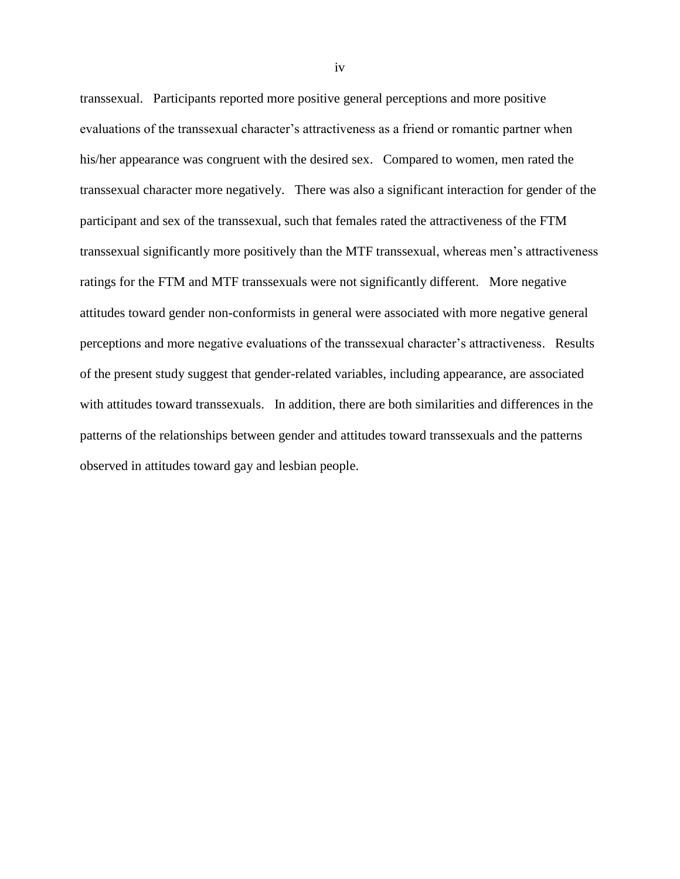transsexual. Participants reported more positive general perceptions and more positive evaluations of the transsexual character's attractiveness as a friend or romantic partner when his/her appearance was congruent with the desired sex. Compared to women, men rated the transsexual character more negatively. There was also a significant interaction for gender of the participant and sex of the transsexual, such that females rated the attractiveness of the FTM transsexual significantly more positively than the MTF transsexual, whereas men's attractiveness ratings for the FTM and MTF transsexuals were not significantly different. More negative attitudes toward gender non-conformists in general were associated with more negative general perceptions and more negative evaluations of the transsexual character's attractiveness. Results of the present study suggest that gender-related variables, including appearance, are associated with attitudes toward transsexuals. In addition, there are both similarities and differences in the patterns of the relationships between gender and attitudes toward transsexuals and the patterns observed in attitudes toward gay and lesbian people.

iv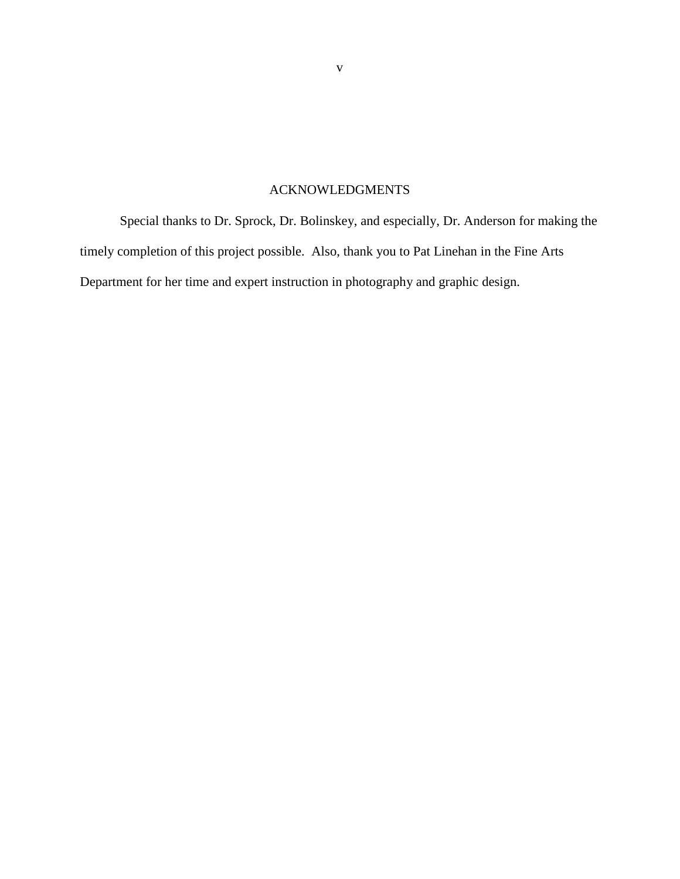## ACKNOWLEDGMENTS

<span id="page-5-0"></span>Special thanks to Dr. Sprock, Dr. Bolinskey, and especially, Dr. Anderson for making the timely completion of this project possible. Also, thank you to Pat Linehan in the Fine Arts Department for her time and expert instruction in photography and graphic design.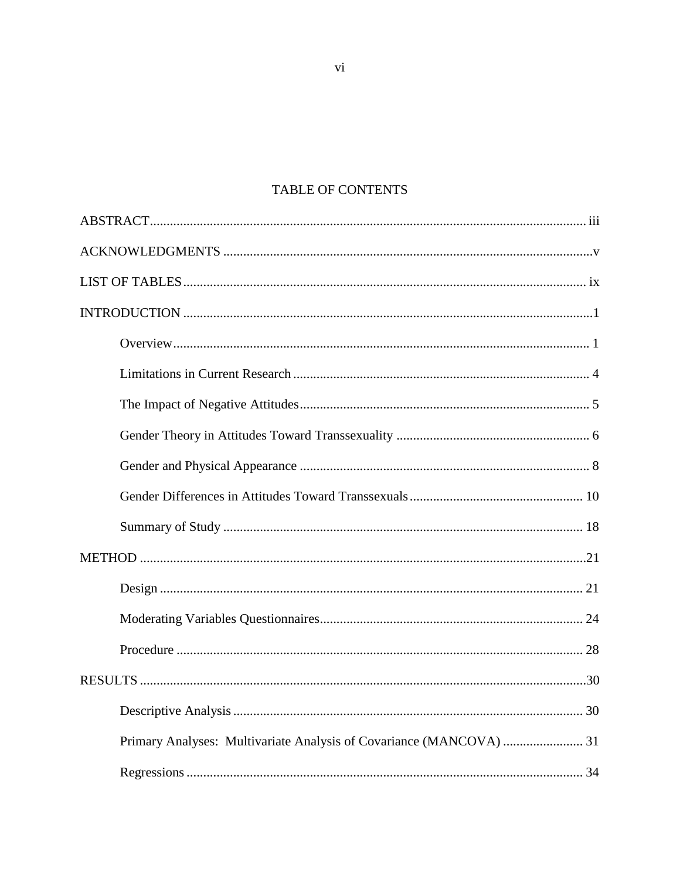# TABLE OF CONTENTS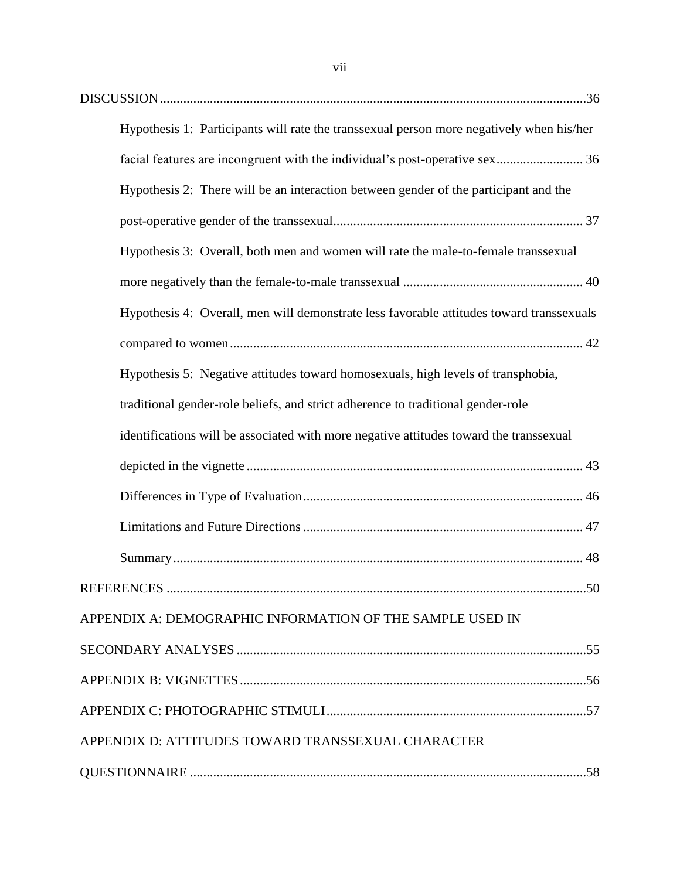| Hypothesis 1: Participants will rate the transsexual person more negatively when his/her |  |
|------------------------------------------------------------------------------------------|--|
| facial features are incongruent with the individual's post-operative sex 36              |  |
| Hypothesis 2: There will be an interaction between gender of the participant and the     |  |
|                                                                                          |  |
| Hypothesis 3: Overall, both men and women will rate the male-to-female transsexual       |  |
|                                                                                          |  |
| Hypothesis 4: Overall, men will demonstrate less favorable attitudes toward transsexuals |  |
|                                                                                          |  |
| Hypothesis 5: Negative attitudes toward homosexuals, high levels of transphobia,         |  |
| traditional gender-role beliefs, and strict adherence to traditional gender-role         |  |
| identifications will be associated with more negative attitudes toward the transsexual   |  |
|                                                                                          |  |
|                                                                                          |  |
|                                                                                          |  |
|                                                                                          |  |
|                                                                                          |  |
| APPENDIX A: DEMOGRAPHIC INFORMATION OF THE SAMPLE USED IN                                |  |
|                                                                                          |  |
|                                                                                          |  |
|                                                                                          |  |
| APPENDIX D: ATTITUDES TOWARD TRANSSEXUAL CHARACTER                                       |  |
|                                                                                          |  |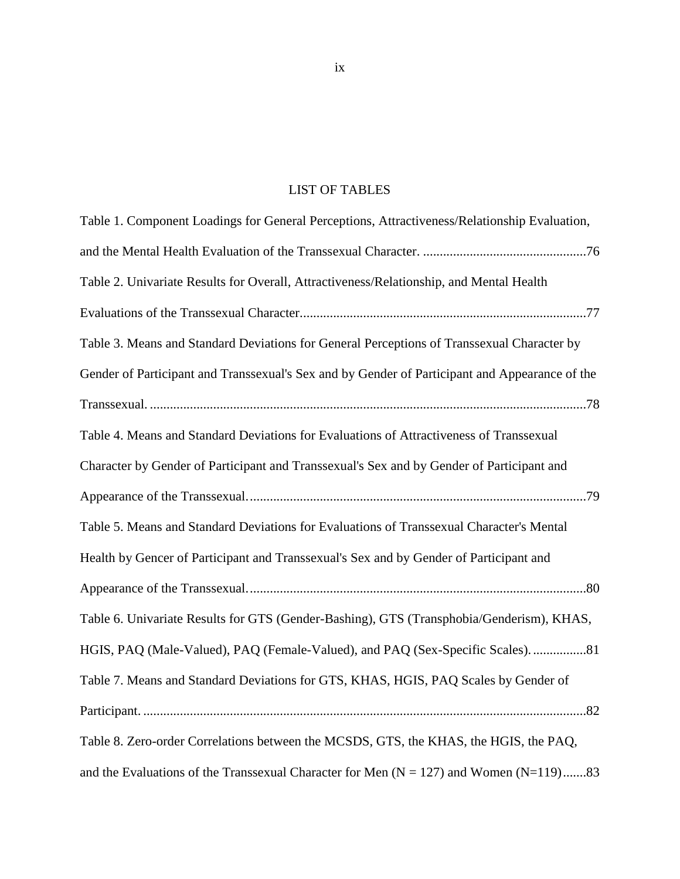# LIST OF TABLES

<span id="page-9-0"></span>

| Table 1. Component Loadings for General Perceptions, Attractiveness/Relationship Evaluation,   |
|------------------------------------------------------------------------------------------------|
|                                                                                                |
| Table 2. Univariate Results for Overall, Attractiveness/Relationship, and Mental Health        |
|                                                                                                |
| Table 3. Means and Standard Deviations for General Perceptions of Transsexual Character by     |
| Gender of Participant and Transsexual's Sex and by Gender of Participant and Appearance of the |
|                                                                                                |
| Table 4. Means and Standard Deviations for Evaluations of Attractiveness of Transsexual        |
| Character by Gender of Participant and Transsexual's Sex and by Gender of Participant and      |
|                                                                                                |
| Table 5. Means and Standard Deviations for Evaluations of Transsexual Character's Mental       |
| Health by Gencer of Participant and Transsexual's Sex and by Gender of Participant and         |
|                                                                                                |
| Table 6. Univariate Results for GTS (Gender-Bashing), GTS (Transphobia/Genderism), KHAS,       |
| HGIS, PAQ (Male-Valued), PAQ (Female-Valued), and PAQ (Sex-Specific Scales)81                  |
| Table 7. Means and Standard Deviations for GTS, KHAS, HGIS, PAQ Scales by Gender of            |
|                                                                                                |
| Table 8. Zero-order Correlations between the MCSDS, GTS, the KHAS, the HGIS, the PAQ,          |
| and the Evaluations of the Transsexual Character for Men $(N = 127)$ and Women $(N = 119)$ 83  |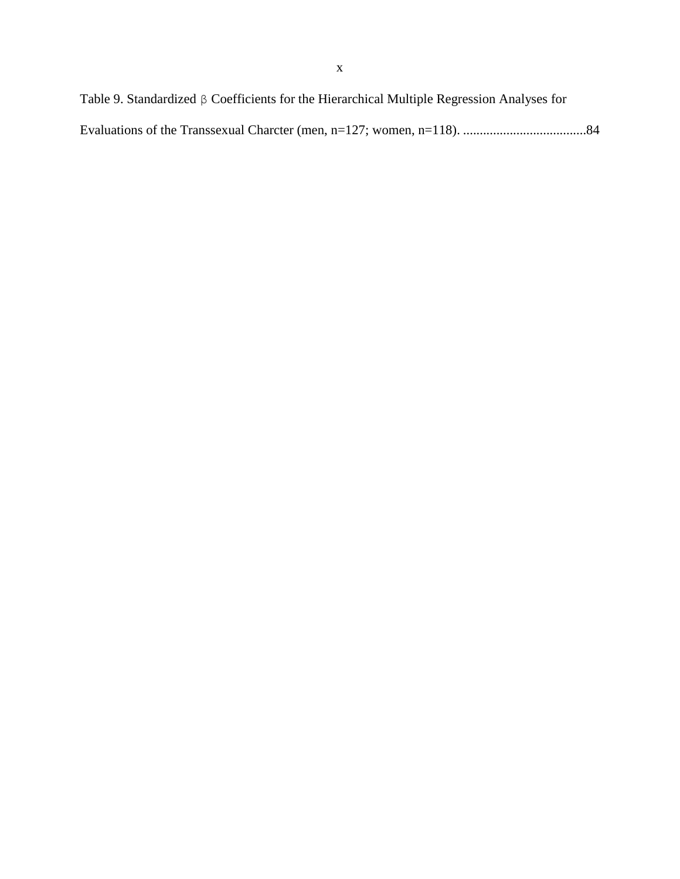Table 9. Standardized β Coefficients for the Hierarchical Multiple Regression Analyses for Evaluations of the Transsexual Charcter (men, n=127; women, n=118). .....................................84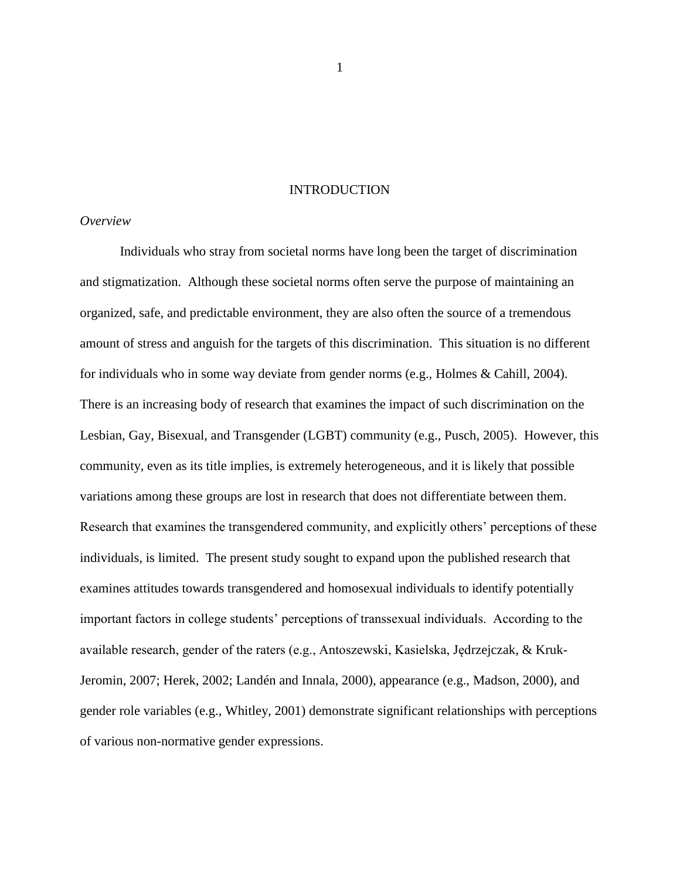### **INTRODUCTION**

### <span id="page-11-1"></span><span id="page-11-0"></span>*Overview*

Individuals who stray from societal norms have long been the target of discrimination and stigmatization. Although these societal norms often serve the purpose of maintaining an organized, safe, and predictable environment, they are also often the source of a tremendous amount of stress and anguish for the targets of this discrimination. This situation is no different for individuals who in some way deviate from gender norms (e.g., Holmes & Cahill, 2004). There is an increasing body of research that examines the impact of such discrimination on the Lesbian, Gay, Bisexual, and Transgender (LGBT) community (e.g., Pusch, 2005). However, this community, even as its title implies, is extremely heterogeneous, and it is likely that possible variations among these groups are lost in research that does not differentiate between them. Research that examines the transgendered community, and explicitly others' perceptions of these individuals, is limited. The present study sought to expand upon the published research that examines attitudes towards transgendered and homosexual individuals to identify potentially important factors in college students' perceptions of transsexual individuals. According to the available research, gender of the raters (e.g., Antoszewski, Kasielska, Jędrzejczak, & Kruk-Jeromin, 2007; Herek, 2002; Landén and Innala, 2000), appearance (e.g., Madson, 2000), and gender role variables (e.g., Whitley, 2001) demonstrate significant relationships with perceptions of various non-normative gender expressions.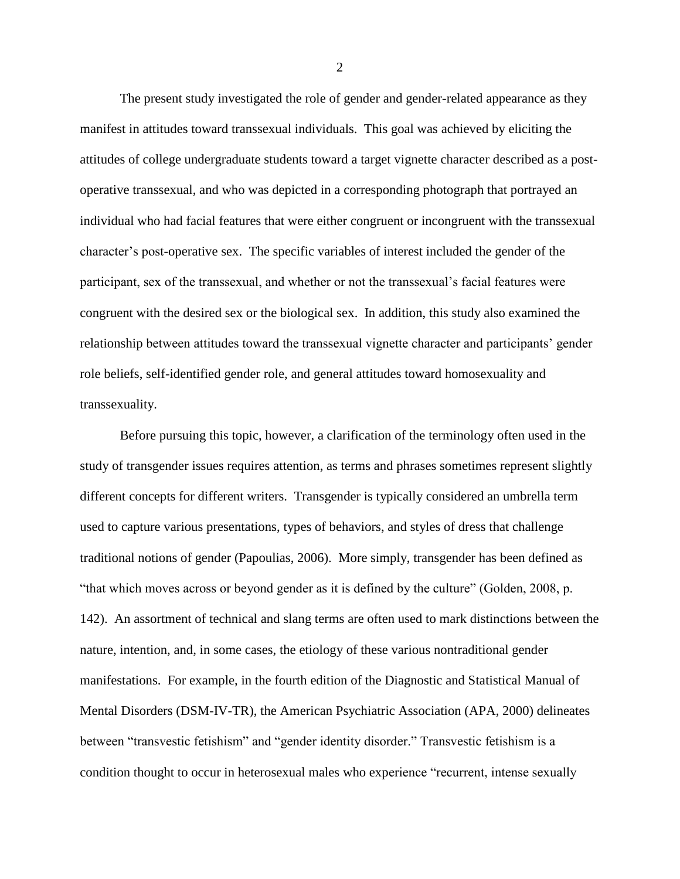The present study investigated the role of gender and gender-related appearance as they manifest in attitudes toward transsexual individuals. This goal was achieved by eliciting the attitudes of college undergraduate students toward a target vignette character described as a postoperative transsexual, and who was depicted in a corresponding photograph that portrayed an individual who had facial features that were either congruent or incongruent with the transsexual character's post-operative sex. The specific variables of interest included the gender of the participant, sex of the transsexual, and whether or not the transsexual's facial features were congruent with the desired sex or the biological sex. In addition, this study also examined the relationship between attitudes toward the transsexual vignette character and participants' gender role beliefs, self-identified gender role, and general attitudes toward homosexuality and transsexuality.

Before pursuing this topic, however, a clarification of the terminology often used in the study of transgender issues requires attention, as terms and phrases sometimes represent slightly different concepts for different writers. Transgender is typically considered an umbrella term used to capture various presentations, types of behaviors, and styles of dress that challenge traditional notions of gender (Papoulias, 2006). More simply, transgender has been defined as "that which moves across or beyond gender as it is defined by the culture" (Golden, 2008, p. 142). An assortment of technical and slang terms are often used to mark distinctions between the nature, intention, and, in some cases, the etiology of these various nontraditional gender manifestations. For example, in the fourth edition of the Diagnostic and Statistical Manual of Mental Disorders (DSM-IV-TR), the American Psychiatric Association (APA, 2000) delineates between "transvestic fetishism" and "gender identity disorder." Transvestic fetishism is a condition thought to occur in heterosexual males who experience "recurrent, intense sexually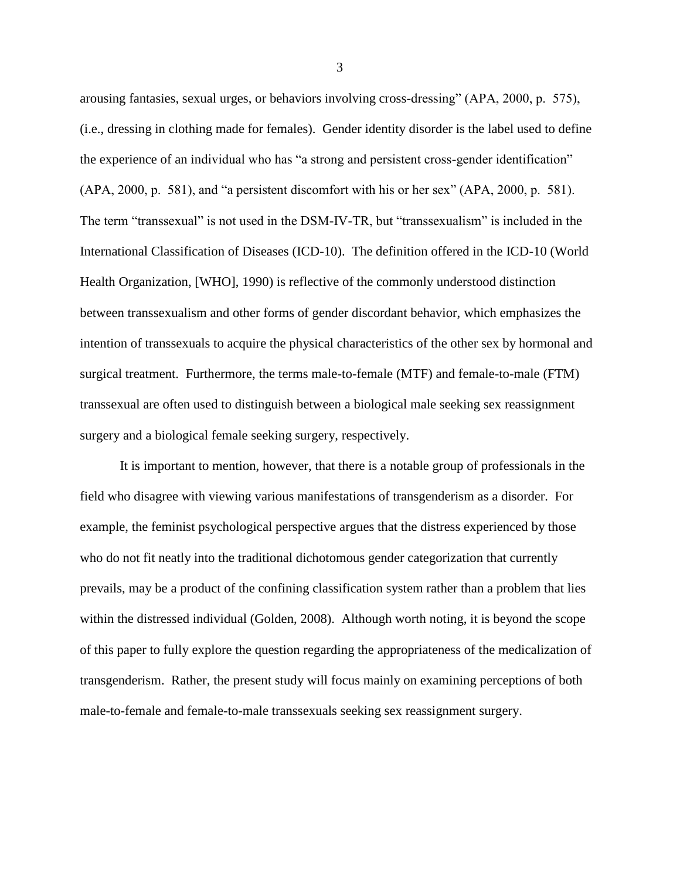arousing fantasies, sexual urges, or behaviors involving cross-dressing" (APA, 2000, p. 575), (i.e., dressing in clothing made for females). Gender identity disorder is the label used to define the experience of an individual who has "a strong and persistent cross-gender identification" (APA, 2000, p. 581), and "a persistent discomfort with his or her sex" (APA, 2000, p. 581). The term "transsexual" is not used in the DSM-IV-TR, but "transsexualism" is included in the International Classification of Diseases (ICD-10). The definition offered in the ICD-10 (World Health Organization, [WHO], 1990) is reflective of the commonly understood distinction between transsexualism and other forms of gender discordant behavior, which emphasizes the intention of transsexuals to acquire the physical characteristics of the other sex by hormonal and surgical treatment. Furthermore, the terms male-to-female (MTF) and female-to-male (FTM) transsexual are often used to distinguish between a biological male seeking sex reassignment surgery and a biological female seeking surgery, respectively.

It is important to mention, however, that there is a notable group of professionals in the field who disagree with viewing various manifestations of transgenderism as a disorder. For example, the feminist psychological perspective argues that the distress experienced by those who do not fit neatly into the traditional dichotomous gender categorization that currently prevails, may be a product of the confining classification system rather than a problem that lies within the distressed individual (Golden, 2008). Although worth noting, it is beyond the scope of this paper to fully explore the question regarding the appropriateness of the medicalization of transgenderism. Rather, the present study will focus mainly on examining perceptions of both male-to-female and female-to-male transsexuals seeking sex reassignment surgery.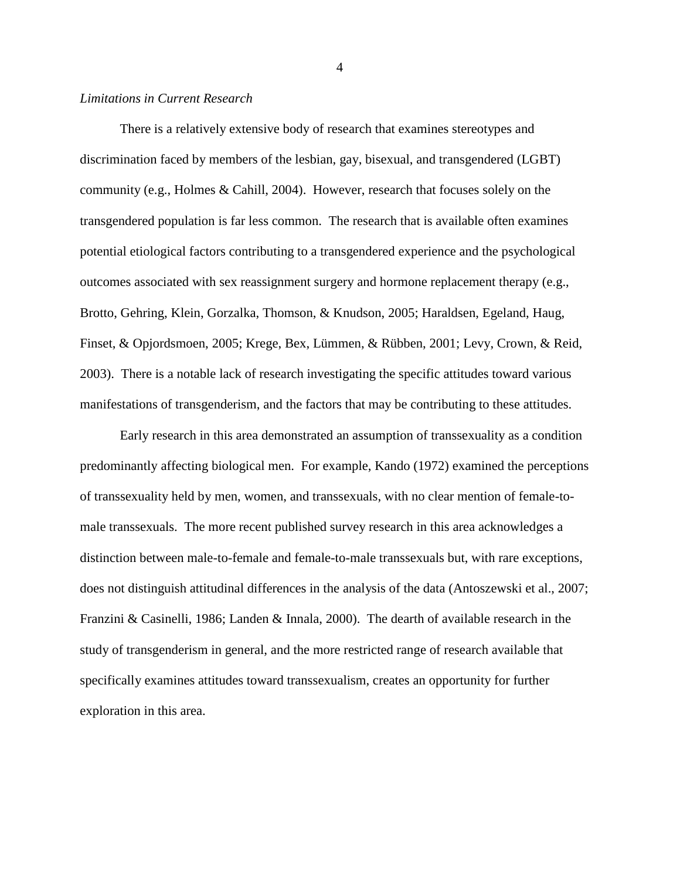### <span id="page-14-0"></span>*Limitations in Current Research*

There is a relatively extensive body of research that examines stereotypes and discrimination faced by members of the lesbian, gay, bisexual, and transgendered (LGBT) community (e.g., Holmes & Cahill, 2004). However, research that focuses solely on the transgendered population is far less common. The research that is available often examines potential etiological factors contributing to a transgendered experience and the psychological outcomes associated with sex reassignment surgery and hormone replacement therapy (e.g., Brotto, Gehring, Klein, Gorzalka, Thomson, & Knudson, 2005; Haraldsen, Egeland, Haug, Finset, & Opjordsmoen, 2005; Krege, Bex, Lümmen, & Rübben, 2001; Levy, Crown, & Reid, 2003). There is a notable lack of research investigating the specific attitudes toward various manifestations of transgenderism, and the factors that may be contributing to these attitudes.

Early research in this area demonstrated an assumption of transsexuality as a condition predominantly affecting biological men. For example, Kando (1972) examined the perceptions of transsexuality held by men, women, and transsexuals, with no clear mention of female-tomale transsexuals. The more recent published survey research in this area acknowledges a distinction between male-to-female and female-to-male transsexuals but, with rare exceptions, does not distinguish attitudinal differences in the analysis of the data (Antoszewski et al., 2007; Franzini & Casinelli, 1986; Landen & Innala, 2000). The dearth of available research in the study of transgenderism in general, and the more restricted range of research available that specifically examines attitudes toward transsexualism, creates an opportunity for further exploration in this area.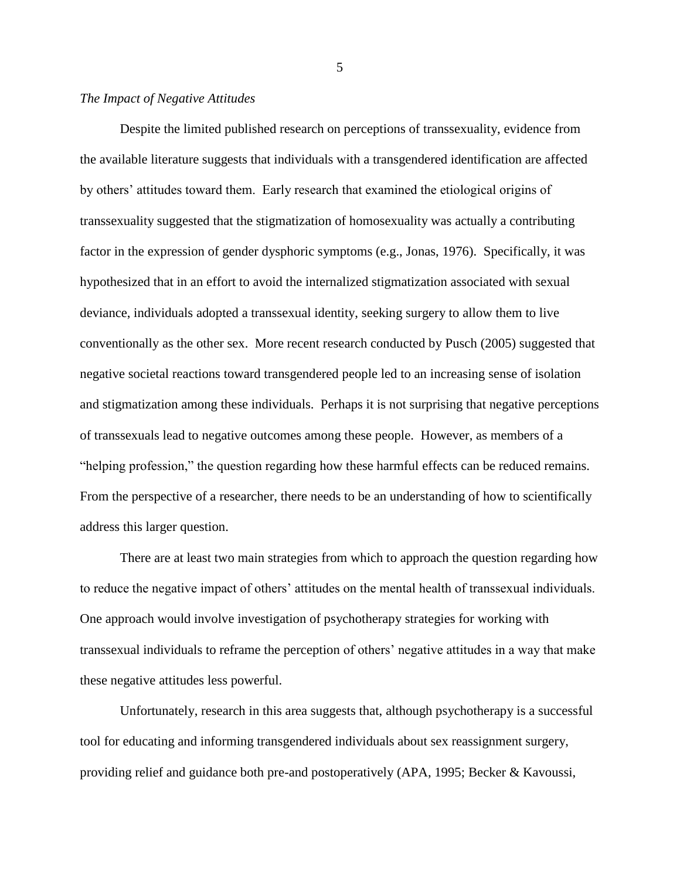## <span id="page-15-0"></span>*The Impact of Negative Attitudes*

Despite the limited published research on perceptions of transsexuality, evidence from the available literature suggests that individuals with a transgendered identification are affected by others' attitudes toward them. Early research that examined the etiological origins of transsexuality suggested that the stigmatization of homosexuality was actually a contributing factor in the expression of gender dysphoric symptoms (e.g., Jonas, 1976). Specifically, it was hypothesized that in an effort to avoid the internalized stigmatization associated with sexual deviance, individuals adopted a transsexual identity, seeking surgery to allow them to live conventionally as the other sex. More recent research conducted by Pusch (2005) suggested that negative societal reactions toward transgendered people led to an increasing sense of isolation and stigmatization among these individuals. Perhaps it is not surprising that negative perceptions of transsexuals lead to negative outcomes among these people. However, as members of a "helping profession," the question regarding how these harmful effects can be reduced remains. From the perspective of a researcher, there needs to be an understanding of how to scientifically address this larger question.

There are at least two main strategies from which to approach the question regarding how to reduce the negative impact of others' attitudes on the mental health of transsexual individuals. One approach would involve investigation of psychotherapy strategies for working with transsexual individuals to reframe the perception of others' negative attitudes in a way that make these negative attitudes less powerful.

Unfortunately, research in this area suggests that, although psychotherapy is a successful tool for educating and informing transgendered individuals about sex reassignment surgery, providing relief and guidance both pre-and postoperatively (APA, 1995; Becker & Kavoussi,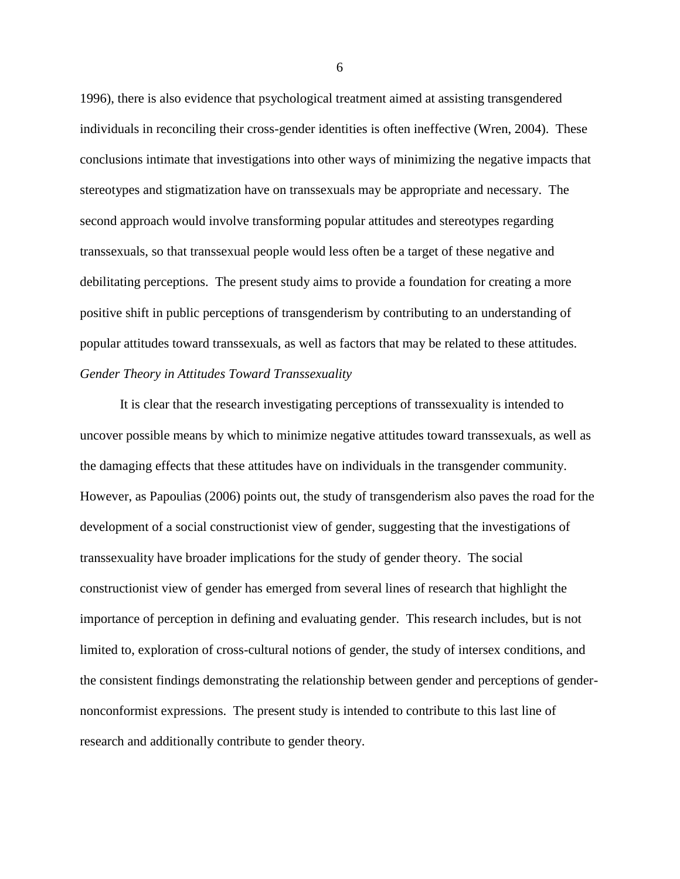1996), there is also evidence that psychological treatment aimed at assisting transgendered individuals in reconciling their cross-gender identities is often ineffective (Wren, 2004). These conclusions intimate that investigations into other ways of minimizing the negative impacts that stereotypes and stigmatization have on transsexuals may be appropriate and necessary. The second approach would involve transforming popular attitudes and stereotypes regarding transsexuals, so that transsexual people would less often be a target of these negative and debilitating perceptions. The present study aims to provide a foundation for creating a more positive shift in public perceptions of transgenderism by contributing to an understanding of popular attitudes toward transsexuals, as well as factors that may be related to these attitudes. *Gender Theory in Attitudes Toward Transsexuality*

<span id="page-16-0"></span>It is clear that the research investigating perceptions of transsexuality is intended to uncover possible means by which to minimize negative attitudes toward transsexuals, as well as the damaging effects that these attitudes have on individuals in the transgender community. However, as Papoulias (2006) points out, the study of transgenderism also paves the road for the development of a social constructionist view of gender, suggesting that the investigations of transsexuality have broader implications for the study of gender theory. The social constructionist view of gender has emerged from several lines of research that highlight the importance of perception in defining and evaluating gender. This research includes, but is not limited to, exploration of cross-cultural notions of gender, the study of intersex conditions, and the consistent findings demonstrating the relationship between gender and perceptions of gendernonconformist expressions. The present study is intended to contribute to this last line of research and additionally contribute to gender theory.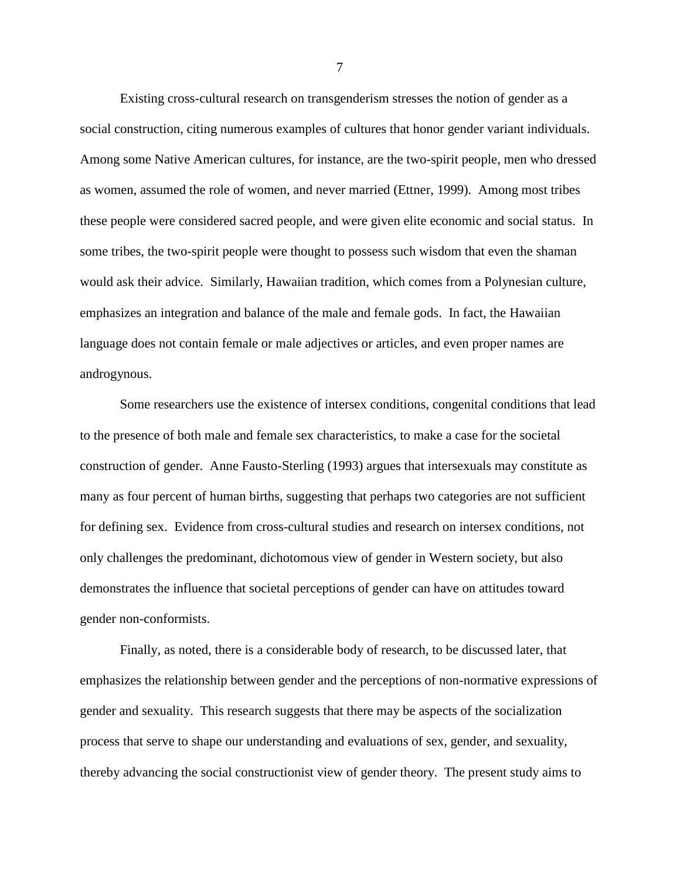Existing cross-cultural research on transgenderism stresses the notion of gender as a social construction, citing numerous examples of cultures that honor gender variant individuals. Among some Native American cultures, for instance, are the two-spirit people, men who dressed as women, assumed the role of women, and never married (Ettner, 1999). Among most tribes these people were considered sacred people, and were given elite economic and social status. In some tribes, the two-spirit people were thought to possess such wisdom that even the shaman would ask their advice. Similarly, Hawaiian tradition, which comes from a Polynesian culture, emphasizes an integration and balance of the male and female gods. In fact, the Hawaiian language does not contain female or male adjectives or articles, and even proper names are androgynous.

Some researchers use the existence of intersex conditions, congenital conditions that lead to the presence of both male and female sex characteristics, to make a case for the societal construction of gender. Anne Fausto-Sterling (1993) argues that intersexuals may constitute as many as four percent of human births, suggesting that perhaps two categories are not sufficient for defining sex. Evidence from cross-cultural studies and research on intersex conditions, not only challenges the predominant, dichotomous view of gender in Western society, but also demonstrates the influence that societal perceptions of gender can have on attitudes toward gender non-conformists.

Finally, as noted, there is a considerable body of research, to be discussed later, that emphasizes the relationship between gender and the perceptions of non-normative expressions of gender and sexuality. This research suggests that there may be aspects of the socialization process that serve to shape our understanding and evaluations of sex, gender, and sexuality, thereby advancing the social constructionist view of gender theory. The present study aims to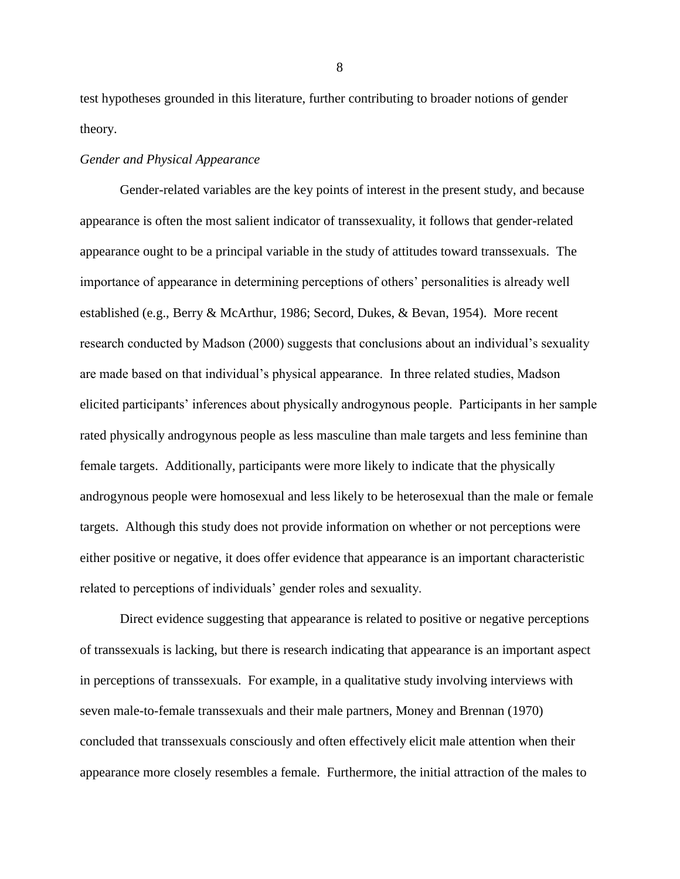test hypotheses grounded in this literature, further contributing to broader notions of gender theory.

#### <span id="page-18-0"></span>*Gender and Physical Appearance*

Gender-related variables are the key points of interest in the present study, and because appearance is often the most salient indicator of transsexuality, it follows that gender-related appearance ought to be a principal variable in the study of attitudes toward transsexuals. The importance of appearance in determining perceptions of others' personalities is already well established (e.g., Berry & McArthur, 1986; Secord, Dukes, & Bevan, 1954). More recent research conducted by Madson (2000) suggests that conclusions about an individual's sexuality are made based on that individual's physical appearance. In three related studies, Madson elicited participants' inferences about physically androgynous people. Participants in her sample rated physically androgynous people as less masculine than male targets and less feminine than female targets. Additionally, participants were more likely to indicate that the physically androgynous people were homosexual and less likely to be heterosexual than the male or female targets. Although this study does not provide information on whether or not perceptions were either positive or negative, it does offer evidence that appearance is an important characteristic related to perceptions of individuals' gender roles and sexuality.

Direct evidence suggesting that appearance is related to positive or negative perceptions of transsexuals is lacking, but there is research indicating that appearance is an important aspect in perceptions of transsexuals. For example, in a qualitative study involving interviews with seven male-to-female transsexuals and their male partners, Money and Brennan (1970) concluded that transsexuals consciously and often effectively elicit male attention when their appearance more closely resembles a female. Furthermore, the initial attraction of the males to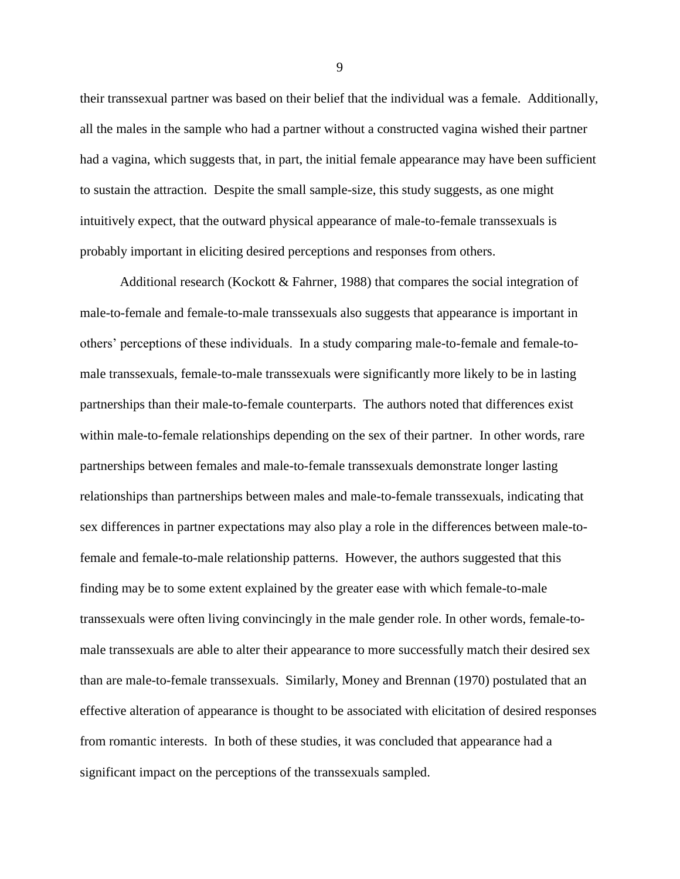their transsexual partner was based on their belief that the individual was a female. Additionally, all the males in the sample who had a partner without a constructed vagina wished their partner had a vagina, which suggests that, in part, the initial female appearance may have been sufficient to sustain the attraction. Despite the small sample-size, this study suggests, as one might intuitively expect, that the outward physical appearance of male-to-female transsexuals is probably important in eliciting desired perceptions and responses from others.

Additional research (Kockott & Fahrner, 1988) that compares the social integration of male-to-female and female-to-male transsexuals also suggests that appearance is important in others' perceptions of these individuals. In a study comparing male-to-female and female-tomale transsexuals, female-to-male transsexuals were significantly more likely to be in lasting partnerships than their male-to-female counterparts. The authors noted that differences exist within male-to-female relationships depending on the sex of their partner. In other words, rare partnerships between females and male-to-female transsexuals demonstrate longer lasting relationships than partnerships between males and male-to-female transsexuals, indicating that sex differences in partner expectations may also play a role in the differences between male-tofemale and female-to-male relationship patterns. However, the authors suggested that this finding may be to some extent explained by the greater ease with which female-to-male transsexuals were often living convincingly in the male gender role. In other words, female-tomale transsexuals are able to alter their appearance to more successfully match their desired sex than are male-to-female transsexuals. Similarly, Money and Brennan (1970) postulated that an effective alteration of appearance is thought to be associated with elicitation of desired responses from romantic interests. In both of these studies, it was concluded that appearance had a significant impact on the perceptions of the transsexuals sampled.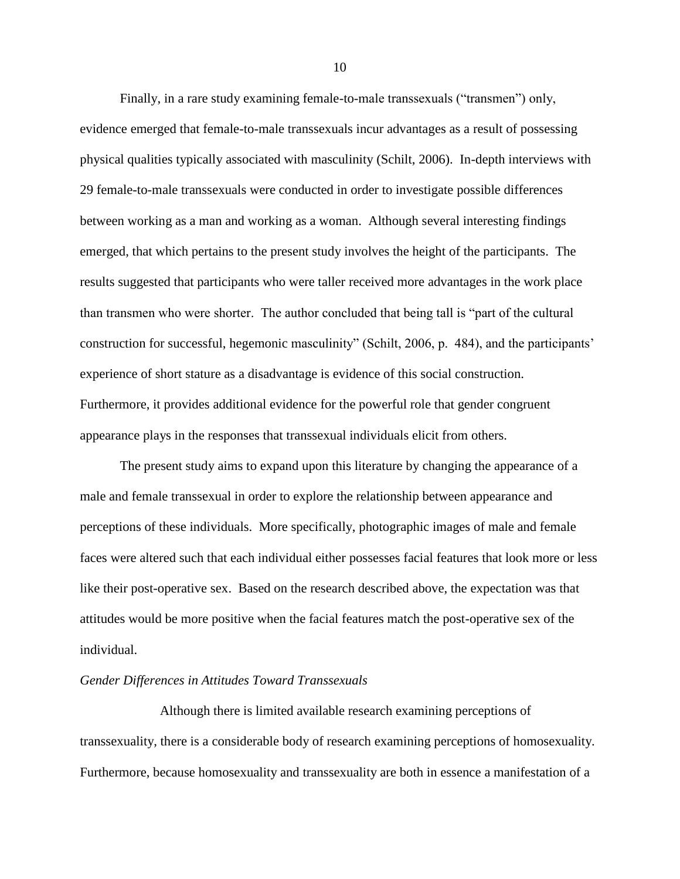Finally, in a rare study examining female-to-male transsexuals ("transmen") only, evidence emerged that female-to-male transsexuals incur advantages as a result of possessing physical qualities typically associated with masculinity (Schilt, 2006). In-depth interviews with 29 female-to-male transsexuals were conducted in order to investigate possible differences between working as a man and working as a woman. Although several interesting findings emerged, that which pertains to the present study involves the height of the participants. The results suggested that participants who were taller received more advantages in the work place than transmen who were shorter. The author concluded that being tall is "part of the cultural construction for successful, hegemonic masculinity" (Schilt, 2006, p. 484), and the participants' experience of short stature as a disadvantage is evidence of this social construction. Furthermore, it provides additional evidence for the powerful role that gender congruent appearance plays in the responses that transsexual individuals elicit from others.

The present study aims to expand upon this literature by changing the appearance of a male and female transsexual in order to explore the relationship between appearance and perceptions of these individuals. More specifically, photographic images of male and female faces were altered such that each individual either possesses facial features that look more or less like their post-operative sex. Based on the research described above, the expectation was that attitudes would be more positive when the facial features match the post-operative sex of the individual.

#### <span id="page-20-0"></span>*Gender Differences in Attitudes Toward Transsexuals*

Although there is limited available research examining perceptions of transsexuality, there is a considerable body of research examining perceptions of homosexuality. Furthermore, because homosexuality and transsexuality are both in essence a manifestation of a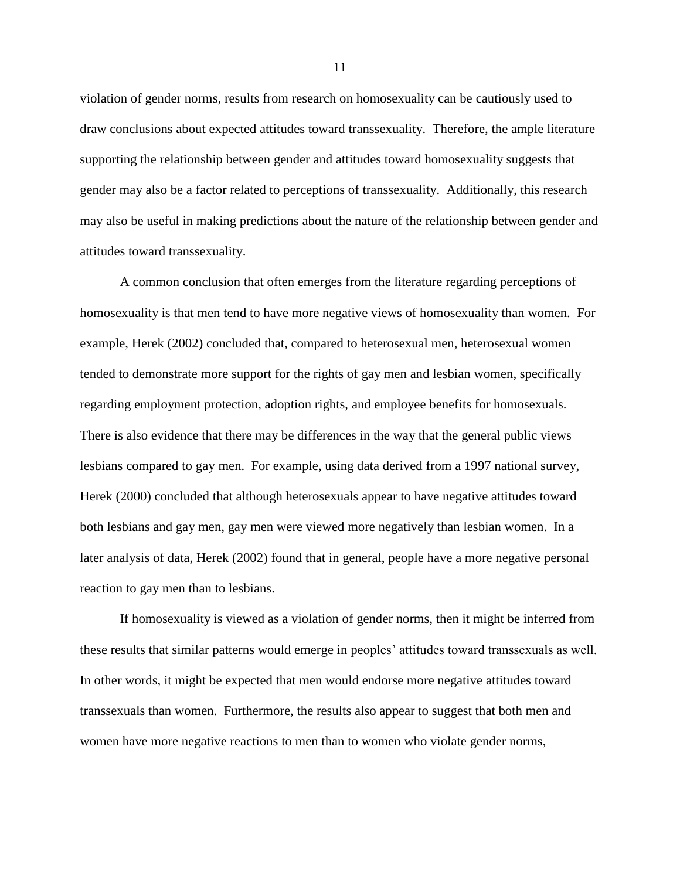violation of gender norms, results from research on homosexuality can be cautiously used to draw conclusions about expected attitudes toward transsexuality. Therefore, the ample literature supporting the relationship between gender and attitudes toward homosexuality suggests that gender may also be a factor related to perceptions of transsexuality. Additionally, this research may also be useful in making predictions about the nature of the relationship between gender and attitudes toward transsexuality.

A common conclusion that often emerges from the literature regarding perceptions of homosexuality is that men tend to have more negative views of homosexuality than women. For example, Herek (2002) concluded that, compared to heterosexual men, heterosexual women tended to demonstrate more support for the rights of gay men and lesbian women, specifically regarding employment protection, adoption rights, and employee benefits for homosexuals. There is also evidence that there may be differences in the way that the general public views lesbians compared to gay men. For example, using data derived from a 1997 national survey, Herek (2000) concluded that although heterosexuals appear to have negative attitudes toward both lesbians and gay men, gay men were viewed more negatively than lesbian women. In a later analysis of data, Herek (2002) found that in general, people have a more negative personal reaction to gay men than to lesbians.

If homosexuality is viewed as a violation of gender norms, then it might be inferred from these results that similar patterns would emerge in peoples' attitudes toward transsexuals as well. In other words, it might be expected that men would endorse more negative attitudes toward transsexuals than women. Furthermore, the results also appear to suggest that both men and women have more negative reactions to men than to women who violate gender norms,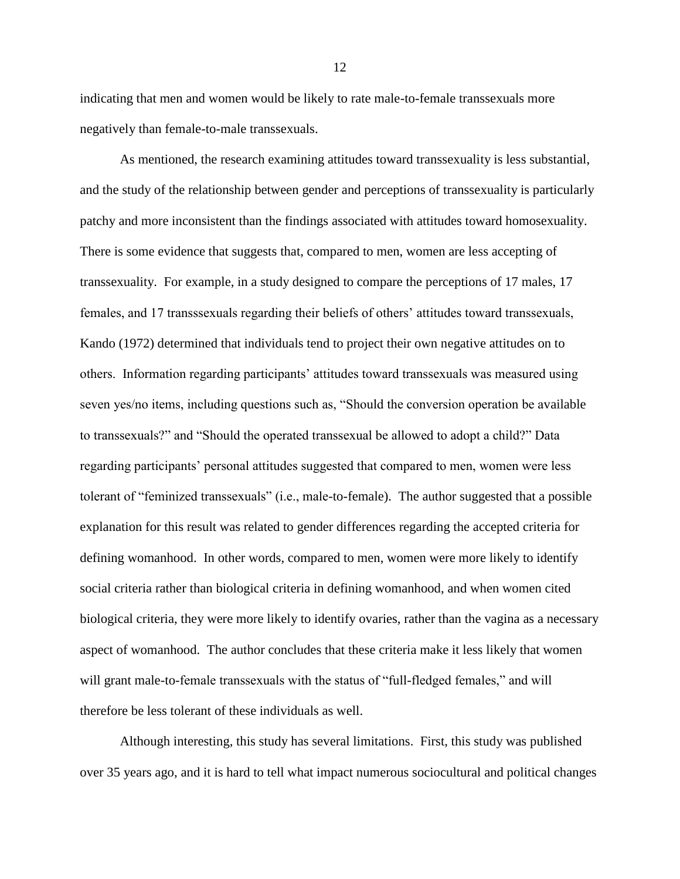indicating that men and women would be likely to rate male-to-female transsexuals more negatively than female-to-male transsexuals.

As mentioned, the research examining attitudes toward transsexuality is less substantial, and the study of the relationship between gender and perceptions of transsexuality is particularly patchy and more inconsistent than the findings associated with attitudes toward homosexuality. There is some evidence that suggests that, compared to men, women are less accepting of transsexuality. For example, in a study designed to compare the perceptions of 17 males, 17 females, and 17 transssexuals regarding their beliefs of others' attitudes toward transsexuals, Kando (1972) determined that individuals tend to project their own negative attitudes on to others. Information regarding participants' attitudes toward transsexuals was measured using seven yes/no items, including questions such as, "Should the conversion operation be available to transsexuals?" and "Should the operated transsexual be allowed to adopt a child?" Data regarding participants' personal attitudes suggested that compared to men, women were less tolerant of "feminized transsexuals" (i.e., male-to-female). The author suggested that a possible explanation for this result was related to gender differences regarding the accepted criteria for defining womanhood. In other words, compared to men, women were more likely to identify social criteria rather than biological criteria in defining womanhood, and when women cited biological criteria, they were more likely to identify ovaries, rather than the vagina as a necessary aspect of womanhood. The author concludes that these criteria make it less likely that women will grant male-to-female transsexuals with the status of "full-fledged females," and will therefore be less tolerant of these individuals as well.

Although interesting, this study has several limitations. First, this study was published over 35 years ago, and it is hard to tell what impact numerous sociocultural and political changes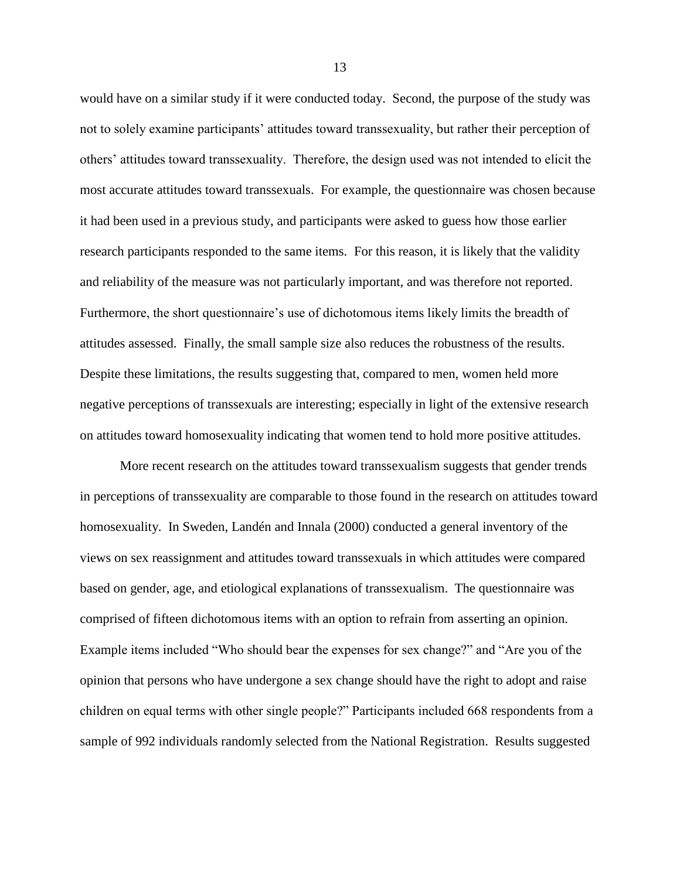would have on a similar study if it were conducted today. Second, the purpose of the study was not to solely examine participants' attitudes toward transsexuality, but rather their perception of others' attitudes toward transsexuality. Therefore, the design used was not intended to elicit the most accurate attitudes toward transsexuals. For example, the questionnaire was chosen because it had been used in a previous study, and participants were asked to guess how those earlier research participants responded to the same items. For this reason, it is likely that the validity and reliability of the measure was not particularly important, and was therefore not reported. Furthermore, the short questionnaire's use of dichotomous items likely limits the breadth of attitudes assessed. Finally, the small sample size also reduces the robustness of the results. Despite these limitations, the results suggesting that, compared to men, women held more negative perceptions of transsexuals are interesting; especially in light of the extensive research on attitudes toward homosexuality indicating that women tend to hold more positive attitudes.

More recent research on the attitudes toward transsexualism suggests that gender trends in perceptions of transsexuality are comparable to those found in the research on attitudes toward homosexuality. In Sweden, Landén and Innala (2000) conducted a general inventory of the views on sex reassignment and attitudes toward transsexuals in which attitudes were compared based on gender, age, and etiological explanations of transsexualism. The questionnaire was comprised of fifteen dichotomous items with an option to refrain from asserting an opinion. Example items included "Who should bear the expenses for sex change?" and "Are you of the opinion that persons who have undergone a sex change should have the right to adopt and raise children on equal terms with other single people?" Participants included 668 respondents from a sample of 992 individuals randomly selected from the National Registration. Results suggested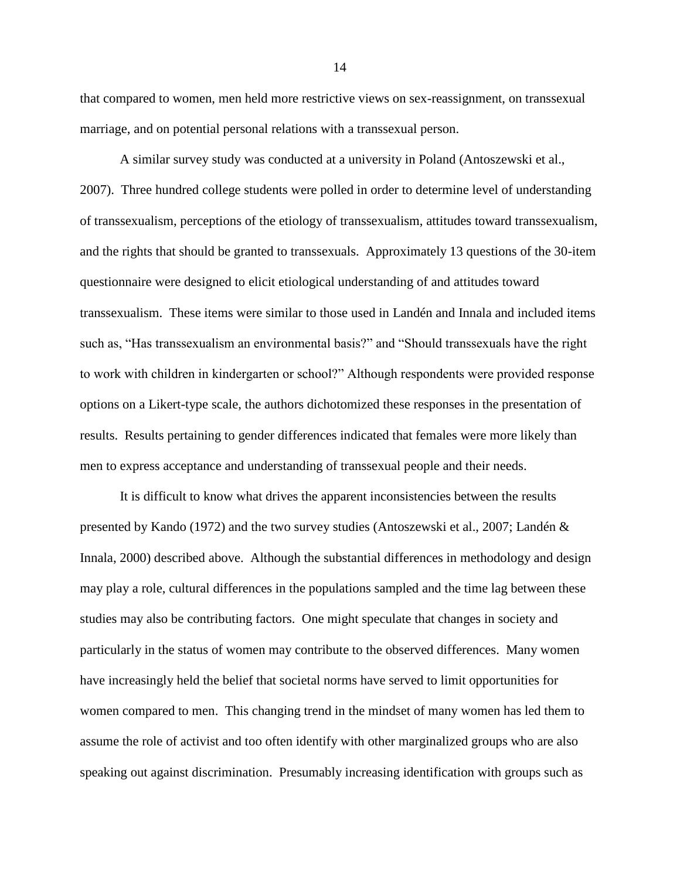that compared to women, men held more restrictive views on sex-reassignment, on transsexual marriage, and on potential personal relations with a transsexual person.

A similar survey study was conducted at a university in Poland (Antoszewski et al., 2007). Three hundred college students were polled in order to determine level of understanding of transsexualism, perceptions of the etiology of transsexualism, attitudes toward transsexualism, and the rights that should be granted to transsexuals. Approximately 13 questions of the 30-item questionnaire were designed to elicit etiological understanding of and attitudes toward transsexualism. These items were similar to those used in Landén and Innala and included items such as, "Has transsexualism an environmental basis?" and "Should transsexuals have the right to work with children in kindergarten or school?" Although respondents were provided response options on a Likert-type scale, the authors dichotomized these responses in the presentation of results. Results pertaining to gender differences indicated that females were more likely than men to express acceptance and understanding of transsexual people and their needs.

It is difficult to know what drives the apparent inconsistencies between the results presented by Kando (1972) and the two survey studies (Antoszewski et al., 2007; Landén & Innala, 2000) described above. Although the substantial differences in methodology and design may play a role, cultural differences in the populations sampled and the time lag between these studies may also be contributing factors. One might speculate that changes in society and particularly in the status of women may contribute to the observed differences. Many women have increasingly held the belief that societal norms have served to limit opportunities for women compared to men. This changing trend in the mindset of many women has led them to assume the role of activist and too often identify with other marginalized groups who are also speaking out against discrimination. Presumably increasing identification with groups such as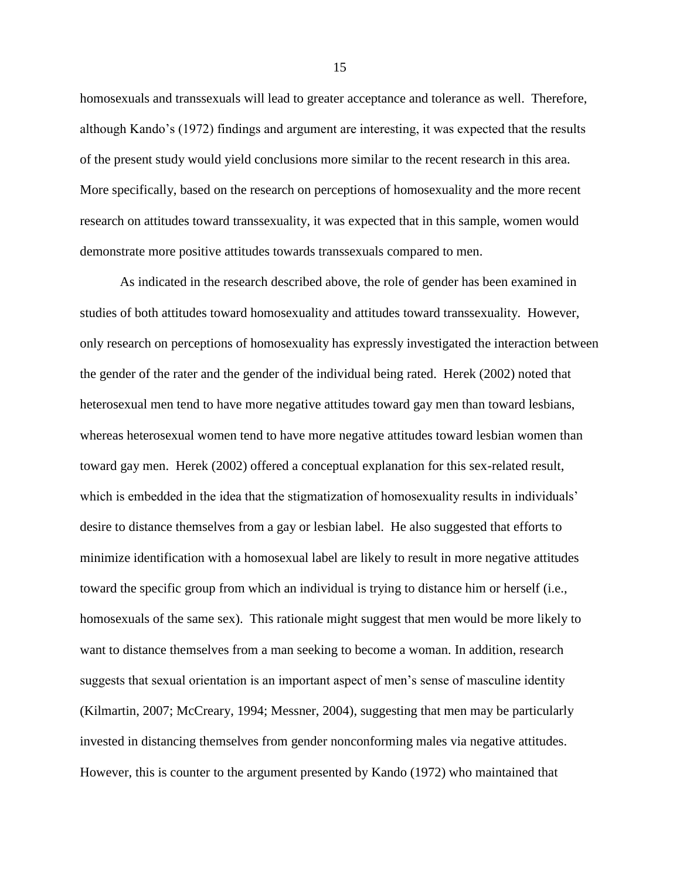homosexuals and transsexuals will lead to greater acceptance and tolerance as well. Therefore, although Kando's (1972) findings and argument are interesting, it was expected that the results of the present study would yield conclusions more similar to the recent research in this area. More specifically, based on the research on perceptions of homosexuality and the more recent research on attitudes toward transsexuality, it was expected that in this sample, women would demonstrate more positive attitudes towards transsexuals compared to men.

As indicated in the research described above, the role of gender has been examined in studies of both attitudes toward homosexuality and attitudes toward transsexuality. However, only research on perceptions of homosexuality has expressly investigated the interaction between the gender of the rater and the gender of the individual being rated. Herek (2002) noted that heterosexual men tend to have more negative attitudes toward gay men than toward lesbians, whereas heterosexual women tend to have more negative attitudes toward lesbian women than toward gay men. Herek (2002) offered a conceptual explanation for this sex-related result, which is embedded in the idea that the stigmatization of homosexuality results in individuals' desire to distance themselves from a gay or lesbian label. He also suggested that efforts to minimize identification with a homosexual label are likely to result in more negative attitudes toward the specific group from which an individual is trying to distance him or herself (i.e., homosexuals of the same sex). This rationale might suggest that men would be more likely to want to distance themselves from a man seeking to become a woman. In addition, research suggests that sexual orientation is an important aspect of men's sense of masculine identity (Kilmartin, 2007; McCreary, 1994; Messner, 2004), suggesting that men may be particularly invested in distancing themselves from gender nonconforming males via negative attitudes. However, this is counter to the argument presented by Kando (1972) who maintained that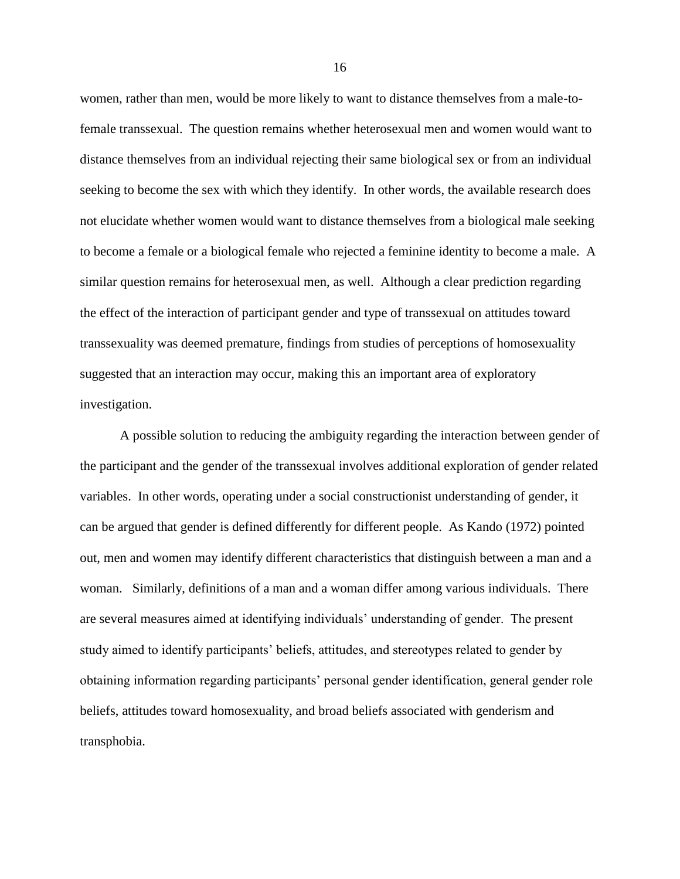women, rather than men, would be more likely to want to distance themselves from a male-tofemale transsexual. The question remains whether heterosexual men and women would want to distance themselves from an individual rejecting their same biological sex or from an individual seeking to become the sex with which they identify. In other words, the available research does not elucidate whether women would want to distance themselves from a biological male seeking to become a female or a biological female who rejected a feminine identity to become a male. A similar question remains for heterosexual men, as well. Although a clear prediction regarding the effect of the interaction of participant gender and type of transsexual on attitudes toward transsexuality was deemed premature, findings from studies of perceptions of homosexuality suggested that an interaction may occur, making this an important area of exploratory investigation.

A possible solution to reducing the ambiguity regarding the interaction between gender of the participant and the gender of the transsexual involves additional exploration of gender related variables. In other words, operating under a social constructionist understanding of gender, it can be argued that gender is defined differently for different people. As Kando (1972) pointed out, men and women may identify different characteristics that distinguish between a man and a woman. Similarly, definitions of a man and a woman differ among various individuals. There are several measures aimed at identifying individuals' understanding of gender. The present study aimed to identify participants' beliefs, attitudes, and stereotypes related to gender by obtaining information regarding participants' personal gender identification, general gender role beliefs, attitudes toward homosexuality, and broad beliefs associated with genderism and transphobia.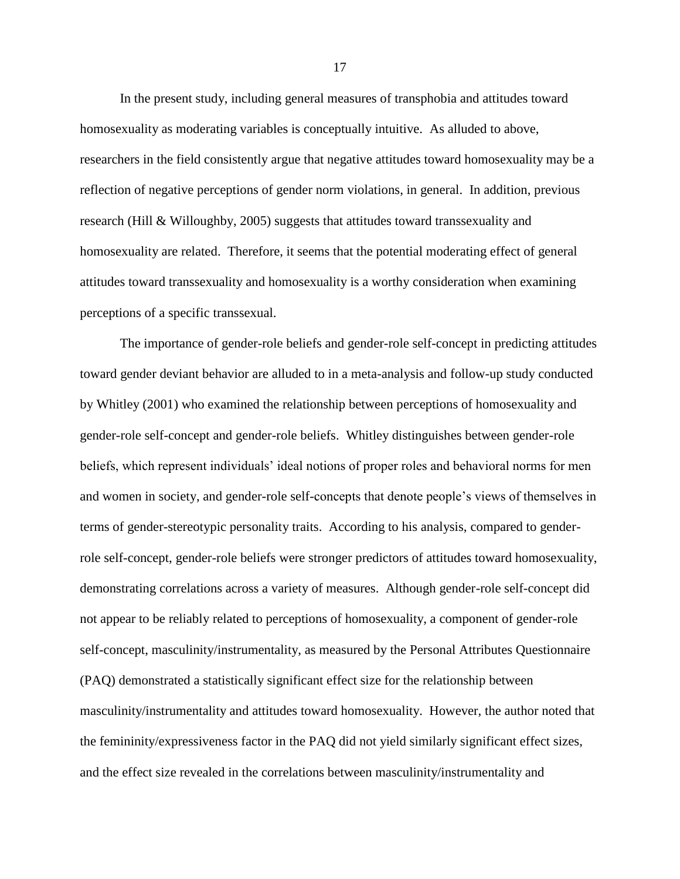In the present study, including general measures of transphobia and attitudes toward homosexuality as moderating variables is conceptually intuitive. As alluded to above, researchers in the field consistently argue that negative attitudes toward homosexuality may be a reflection of negative perceptions of gender norm violations, in general. In addition, previous research (Hill & Willoughby, 2005) suggests that attitudes toward transsexuality and homosexuality are related. Therefore, it seems that the potential moderating effect of general attitudes toward transsexuality and homosexuality is a worthy consideration when examining perceptions of a specific transsexual.

The importance of gender-role beliefs and gender-role self-concept in predicting attitudes toward gender deviant behavior are alluded to in a meta-analysis and follow-up study conducted by Whitley (2001) who examined the relationship between perceptions of homosexuality and gender-role self-concept and gender-role beliefs. Whitley distinguishes between gender-role beliefs, which represent individuals' ideal notions of proper roles and behavioral norms for men and women in society, and gender-role self-concepts that denote people's views of themselves in terms of gender-stereotypic personality traits. According to his analysis, compared to genderrole self-concept, gender-role beliefs were stronger predictors of attitudes toward homosexuality, demonstrating correlations across a variety of measures. Although gender-role self-concept did not appear to be reliably related to perceptions of homosexuality, a component of gender-role self-concept, masculinity/instrumentality, as measured by the Personal Attributes Questionnaire (PAQ) demonstrated a statistically significant effect size for the relationship between masculinity/instrumentality and attitudes toward homosexuality. However, the author noted that the femininity/expressiveness factor in the PAQ did not yield similarly significant effect sizes, and the effect size revealed in the correlations between masculinity/instrumentality and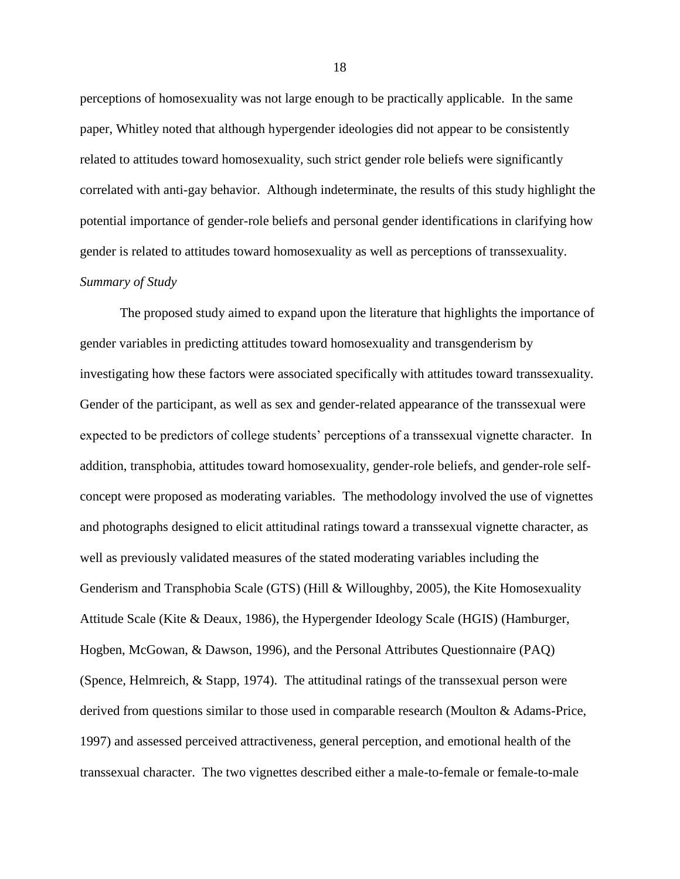perceptions of homosexuality was not large enough to be practically applicable. In the same paper, Whitley noted that although hypergender ideologies did not appear to be consistently related to attitudes toward homosexuality, such strict gender role beliefs were significantly correlated with anti-gay behavior. Although indeterminate, the results of this study highlight the potential importance of gender-role beliefs and personal gender identifications in clarifying how gender is related to attitudes toward homosexuality as well as perceptions of transsexuality. *Summary of Study*

<span id="page-28-0"></span>The proposed study aimed to expand upon the literature that highlights the importance of gender variables in predicting attitudes toward homosexuality and transgenderism by investigating how these factors were associated specifically with attitudes toward transsexuality. Gender of the participant, as well as sex and gender-related appearance of the transsexual were expected to be predictors of college students' perceptions of a transsexual vignette character. In addition, transphobia, attitudes toward homosexuality, gender-role beliefs, and gender-role selfconcept were proposed as moderating variables. The methodology involved the use of vignettes and photographs designed to elicit attitudinal ratings toward a transsexual vignette character, as well as previously validated measures of the stated moderating variables including the Genderism and Transphobia Scale (GTS) (Hill & Willoughby, 2005), the Kite Homosexuality Attitude Scale (Kite & Deaux, 1986), the Hypergender Ideology Scale (HGIS) (Hamburger, Hogben, McGowan, & Dawson, 1996), and the Personal Attributes Questionnaire (PAQ) (Spence, Helmreich, & Stapp, 1974). The attitudinal ratings of the transsexual person were derived from questions similar to those used in comparable research (Moulton & Adams-Price, 1997) and assessed perceived attractiveness, general perception, and emotional health of the transsexual character. The two vignettes described either a male-to-female or female-to-male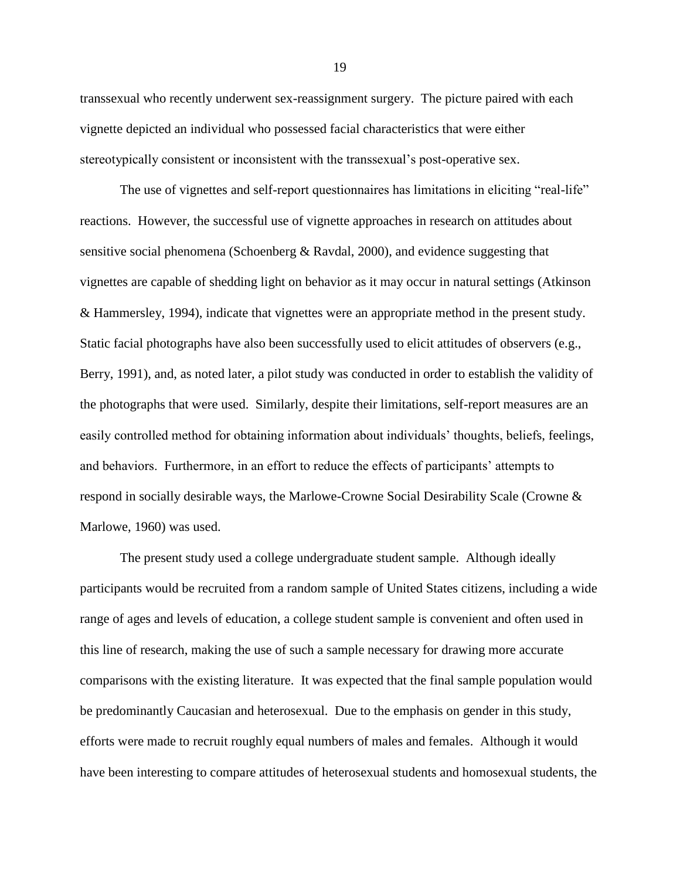transsexual who recently underwent sex-reassignment surgery. The picture paired with each vignette depicted an individual who possessed facial characteristics that were either stereotypically consistent or inconsistent with the transsexual's post-operative sex.

The use of vignettes and self-report questionnaires has limitations in eliciting "real-life" reactions. However, the successful use of vignette approaches in research on attitudes about sensitive social phenomena (Schoenberg & Ravdal, 2000), and evidence suggesting that vignettes are capable of shedding light on behavior as it may occur in natural settings (Atkinson & Hammersley, 1994), indicate that vignettes were an appropriate method in the present study. Static facial photographs have also been successfully used to elicit attitudes of observers (e.g., Berry, 1991), and, as noted later, a pilot study was conducted in order to establish the validity of the photographs that were used. Similarly, despite their limitations, self-report measures are an easily controlled method for obtaining information about individuals' thoughts, beliefs, feelings, and behaviors. Furthermore, in an effort to reduce the effects of participants' attempts to respond in socially desirable ways, the Marlowe-Crowne Social Desirability Scale (Crowne & Marlowe, 1960) was used.

The present study used a college undergraduate student sample. Although ideally participants would be recruited from a random sample of United States citizens, including a wide range of ages and levels of education, a college student sample is convenient and often used in this line of research, making the use of such a sample necessary for drawing more accurate comparisons with the existing literature. It was expected that the final sample population would be predominantly Caucasian and heterosexual. Due to the emphasis on gender in this study, efforts were made to recruit roughly equal numbers of males and females. Although it would have been interesting to compare attitudes of heterosexual students and homosexual students, the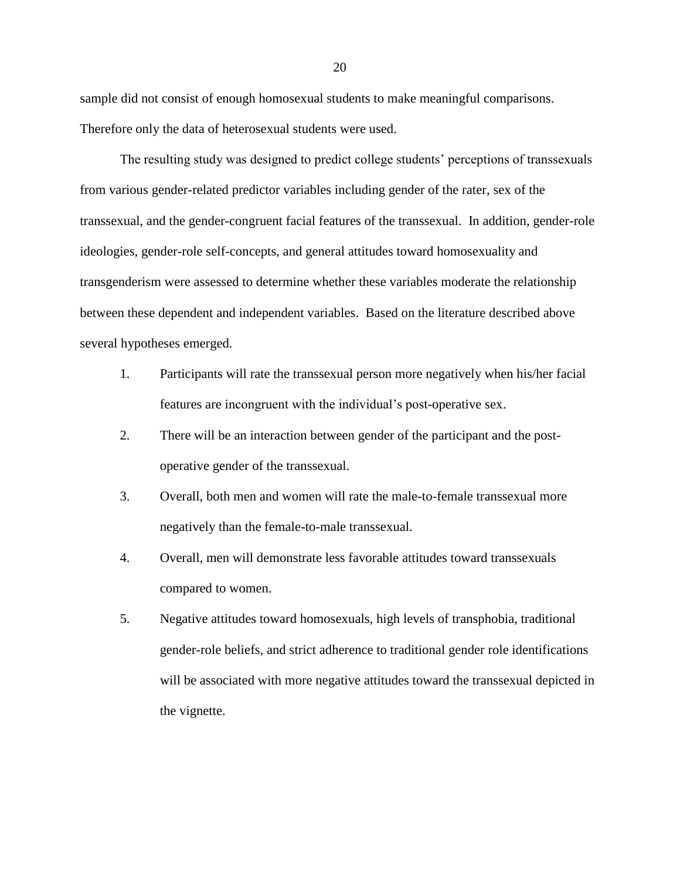sample did not consist of enough homosexual students to make meaningful comparisons. Therefore only the data of heterosexual students were used.

The resulting study was designed to predict college students' perceptions of transsexuals from various gender-related predictor variables including gender of the rater, sex of the transsexual, and the gender-congruent facial features of the transsexual. In addition, gender-role ideologies, gender-role self-concepts, and general attitudes toward homosexuality and transgenderism were assessed to determine whether these variables moderate the relationship between these dependent and independent variables. Based on the literature described above several hypotheses emerged.

- 1. Participants will rate the transsexual person more negatively when his/her facial features are incongruent with the individual's post-operative sex.
- 2. There will be an interaction between gender of the participant and the postoperative gender of the transsexual.
- 3. Overall, both men and women will rate the male-to-female transsexual more negatively than the female-to-male transsexual.
- 4. Overall, men will demonstrate less favorable attitudes toward transsexuals compared to women.
- 5. Negative attitudes toward homosexuals, high levels of transphobia, traditional gender-role beliefs, and strict adherence to traditional gender role identifications will be associated with more negative attitudes toward the transsexual depicted in the vignette.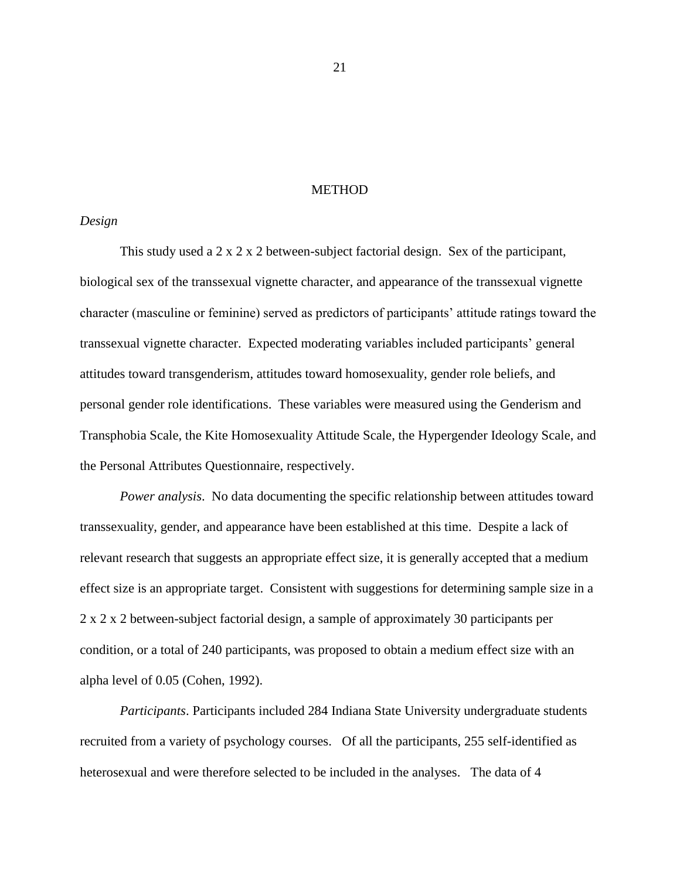### METHOD

### <span id="page-31-1"></span><span id="page-31-0"></span>*Design*

This study used a 2 x 2 x 2 between-subject factorial design. Sex of the participant, biological sex of the transsexual vignette character, and appearance of the transsexual vignette character (masculine or feminine) served as predictors of participants' attitude ratings toward the transsexual vignette character. Expected moderating variables included participants' general attitudes toward transgenderism, attitudes toward homosexuality, gender role beliefs, and personal gender role identifications. These variables were measured using the Genderism and Transphobia Scale, the Kite Homosexuality Attitude Scale, the Hypergender Ideology Scale, and the Personal Attributes Questionnaire, respectively.

*Power analysis*. No data documenting the specific relationship between attitudes toward transsexuality, gender, and appearance have been established at this time. Despite a lack of relevant research that suggests an appropriate effect size, it is generally accepted that a medium effect size is an appropriate target. Consistent with suggestions for determining sample size in a 2 x 2 x 2 between-subject factorial design, a sample of approximately 30 participants per condition, or a total of 240 participants, was proposed to obtain a medium effect size with an alpha level of 0.05 (Cohen, 1992).

*Participants*. Participants included 284 Indiana State University undergraduate students recruited from a variety of psychology courses. Of all the participants, 255 self-identified as heterosexual and were therefore selected to be included in the analyses. The data of 4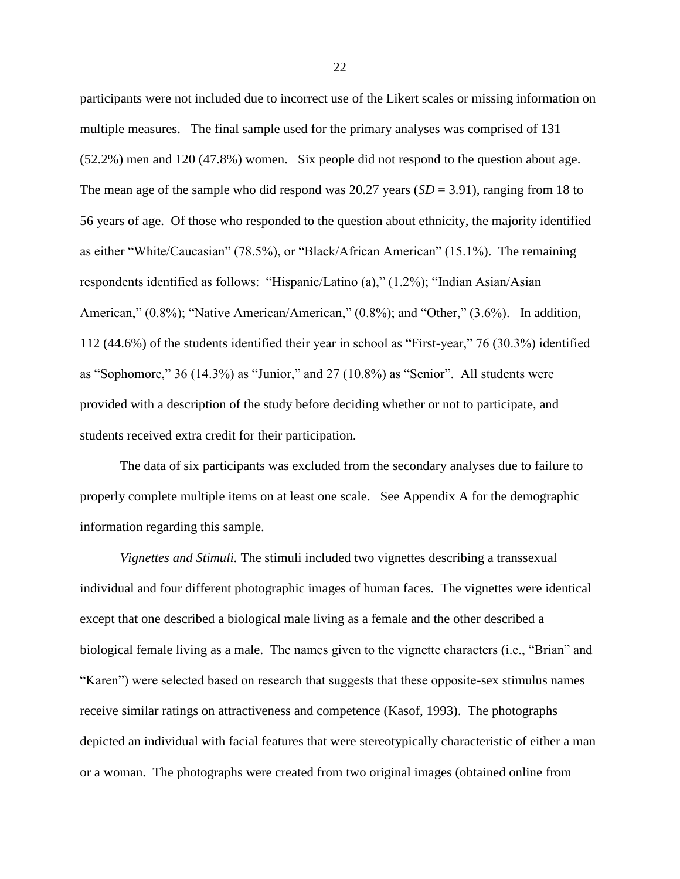participants were not included due to incorrect use of the Likert scales or missing information on multiple measures. The final sample used for the primary analyses was comprised of 131 (52.2%) men and 120 (47.8%) women. Six people did not respond to the question about age. The mean age of the sample who did respond was  $20.27$  years  $(SD = 3.91)$ , ranging from 18 to 56 years of age. Of those who responded to the question about ethnicity, the majority identified as either "White/Caucasian" (78.5%), or "Black/African American" (15.1%). The remaining respondents identified as follows: "Hispanic/Latino (a)," (1.2%); "Indian Asian/Asian American," (0.8%); "Native American/American," (0.8%); and "Other," (3.6%). In addition, 112 (44.6%) of the students identified their year in school as "First-year," 76 (30.3%) identified as "Sophomore," 36 (14.3%) as "Junior," and 27 (10.8%) as "Senior". All students were provided with a description of the study before deciding whether or not to participate, and students received extra credit for their participation.

The data of six participants was excluded from the secondary analyses due to failure to properly complete multiple items on at least one scale. See Appendix A for the demographic information regarding this sample.

*Vignettes and Stimuli.* The stimuli included two vignettes describing a transsexual individual and four different photographic images of human faces. The vignettes were identical except that one described a biological male living as a female and the other described a biological female living as a male. The names given to the vignette characters (i.e., "Brian" and "Karen") were selected based on research that suggests that these opposite-sex stimulus names receive similar ratings on attractiveness and competence (Kasof, 1993). The photographs depicted an individual with facial features that were stereotypically characteristic of either a man or a woman. The photographs were created from two original images (obtained online from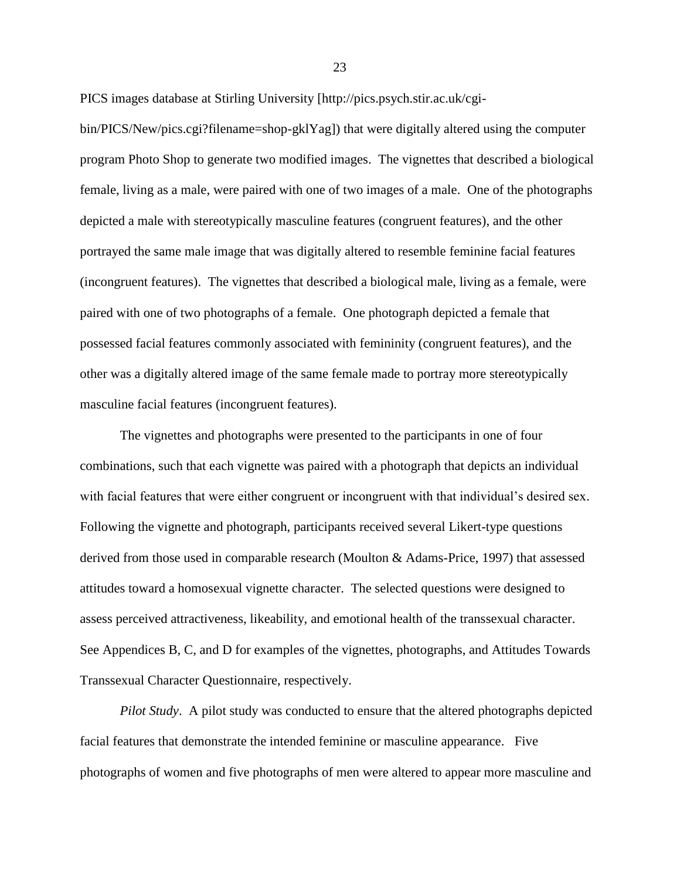PICS images database at Stirling University [http://pics.psych.stir.ac.uk/cgi-

bin/PICS/New/pics.cgi?filename=shop-gklYag]) that were digitally altered using the computer program Photo Shop to generate two modified images. The vignettes that described a biological female, living as a male, were paired with one of two images of a male. One of the photographs depicted a male with stereotypically masculine features (congruent features), and the other portrayed the same male image that was digitally altered to resemble feminine facial features (incongruent features). The vignettes that described a biological male, living as a female, were paired with one of two photographs of a female. One photograph depicted a female that possessed facial features commonly associated with femininity (congruent features), and the other was a digitally altered image of the same female made to portray more stereotypically masculine facial features (incongruent features).

The vignettes and photographs were presented to the participants in one of four combinations, such that each vignette was paired with a photograph that depicts an individual with facial features that were either congruent or incongruent with that individual's desired sex. Following the vignette and photograph, participants received several Likert-type questions derived from those used in comparable research (Moulton & Adams-Price, 1997) that assessed attitudes toward a homosexual vignette character. The selected questions were designed to assess perceived attractiveness, likeability, and emotional health of the transsexual character. See Appendices B, C, and D for examples of the vignettes, photographs, and Attitudes Towards Transsexual Character Questionnaire, respectively.

*Pilot Study*. A pilot study was conducted to ensure that the altered photographs depicted facial features that demonstrate the intended feminine or masculine appearance. Five photographs of women and five photographs of men were altered to appear more masculine and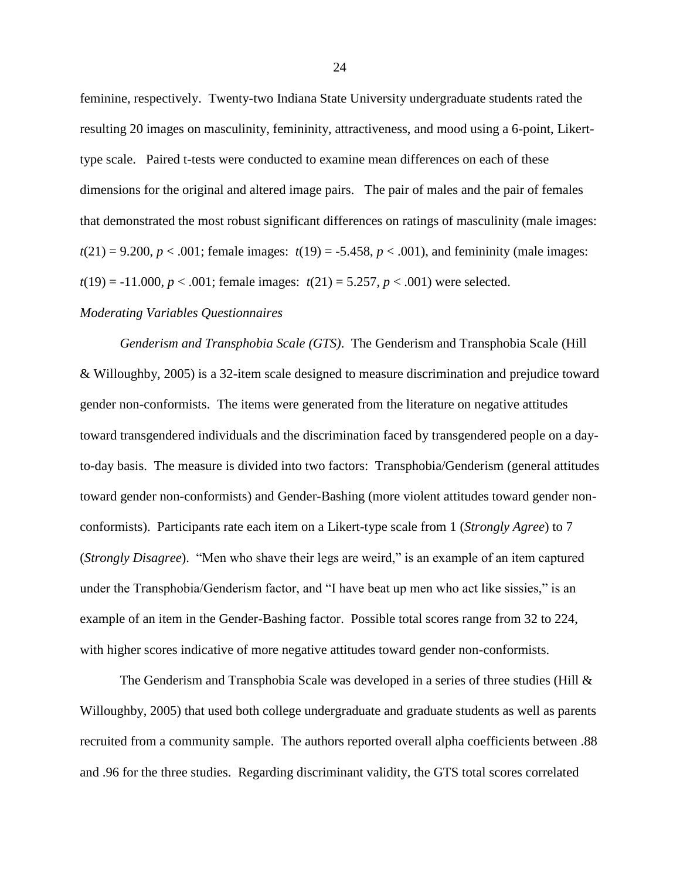feminine, respectively. Twenty-two Indiana State University undergraduate students rated the resulting 20 images on masculinity, femininity, attractiveness, and mood using a 6-point, Likerttype scale. Paired t-tests were conducted to examine mean differences on each of these dimensions for the original and altered image pairs. The pair of males and the pair of females that demonstrated the most robust significant differences on ratings of masculinity (male images:  $t(21) = 9.200, p < .001$ ; female images:  $t(19) = -5.458, p < .001$ ), and femininity (male images:  $t(19) = -11.000, p < .001$ ; female images:  $t(21) = 5.257, p < .001$ ) were selected.

### <span id="page-34-0"></span>*Moderating Variables Questionnaires*

*Genderism and Transphobia Scale (GTS)*. The Genderism and Transphobia Scale (Hill & Willoughby, 2005) is a 32-item scale designed to measure discrimination and prejudice toward gender non-conformists. The items were generated from the literature on negative attitudes toward transgendered individuals and the discrimination faced by transgendered people on a dayto-day basis. The measure is divided into two factors: Transphobia/Genderism (general attitudes toward gender non-conformists) and Gender-Bashing (more violent attitudes toward gender nonconformists). Participants rate each item on a Likert-type scale from 1 (*Strongly Agree*) to 7 (*Strongly Disagree*). "Men who shave their legs are weird," is an example of an item captured under the Transphobia/Genderism factor, and "I have beat up men who act like sissies," is an example of an item in the Gender-Bashing factor. Possible total scores range from 32 to 224, with higher scores indicative of more negative attitudes toward gender non-conformists.

The Genderism and Transphobia Scale was developed in a series of three studies (Hill  $\&$ Willoughby, 2005) that used both college undergraduate and graduate students as well as parents recruited from a community sample. The authors reported overall alpha coefficients between .88 and .96 for the three studies. Regarding discriminant validity, the GTS total scores correlated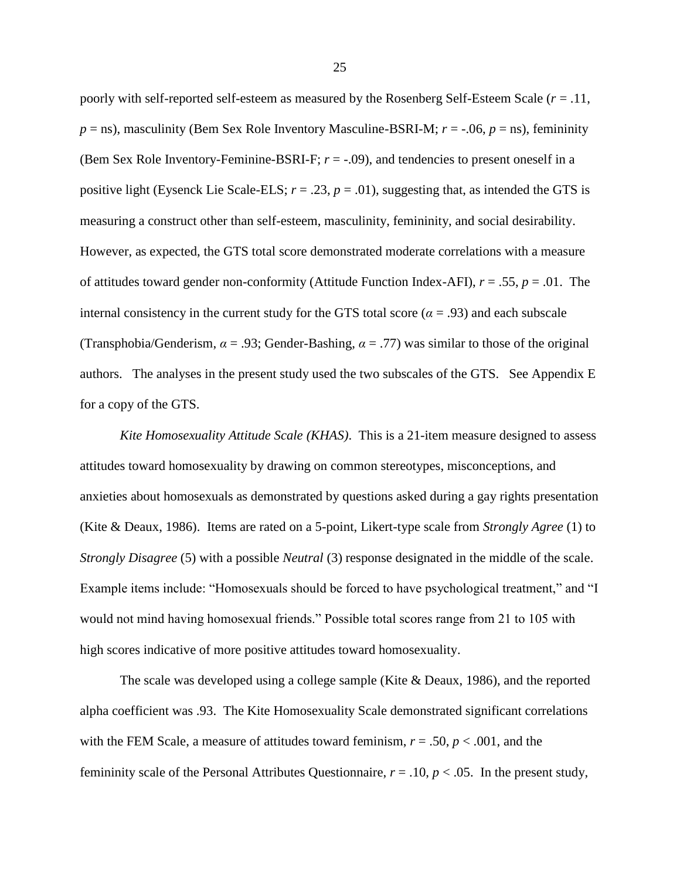poorly with self-reported self-esteem as measured by the Rosenberg Self-Esteem Scale (*r* = .11,  $p =$ ns), masculinity (Bem Sex Role Inventory Masculine-BSRI-M;  $r = -0.06$ ,  $p =$ ns), femininity (Bem Sex Role Inventory-Feminine-BSRI-F;  $r = -.09$ ), and tendencies to present oneself in a positive light (Eysenck Lie Scale-ELS;  $r = .23$ ,  $p = .01$ ), suggesting that, as intended the GTS is measuring a construct other than self-esteem, masculinity, femininity, and social desirability. However, as expected, the GTS total score demonstrated moderate correlations with a measure of attitudes toward gender non-conformity (Attitude Function Index-AFI), *r* = .55, *p* = .01. The internal consistency in the current study for the GTS total score ( $\alpha$  = .93) and each subscale (Transphobia/Genderism,  $\alpha = .93$ ; Gender-Bashing,  $\alpha = .77$ ) was similar to those of the original authors. The analyses in the present study used the two subscales of the GTS. See Appendix E for a copy of the GTS.

*Kite Homosexuality Attitude Scale (KHAS)*. This is a 21-item measure designed to assess attitudes toward homosexuality by drawing on common stereotypes, misconceptions, and anxieties about homosexuals as demonstrated by questions asked during a gay rights presentation (Kite & Deaux, 1986). Items are rated on a 5-point, Likert-type scale from *Strongly Agree* (1) to *Strongly Disagree* (5) with a possible *Neutral* (3) response designated in the middle of the scale. Example items include: "Homosexuals should be forced to have psychological treatment," and "I would not mind having homosexual friends." Possible total scores range from 21 to 105 with high scores indicative of more positive attitudes toward homosexuality.

The scale was developed using a college sample (Kite & Deaux, 1986), and the reported alpha coefficient was .93. The Kite Homosexuality Scale demonstrated significant correlations with the FEM Scale, a measure of attitudes toward feminism,  $r = .50$ ,  $p < .001$ , and the femininity scale of the Personal Attributes Questionnaire,  $r = .10$ ,  $p < .05$ . In the present study,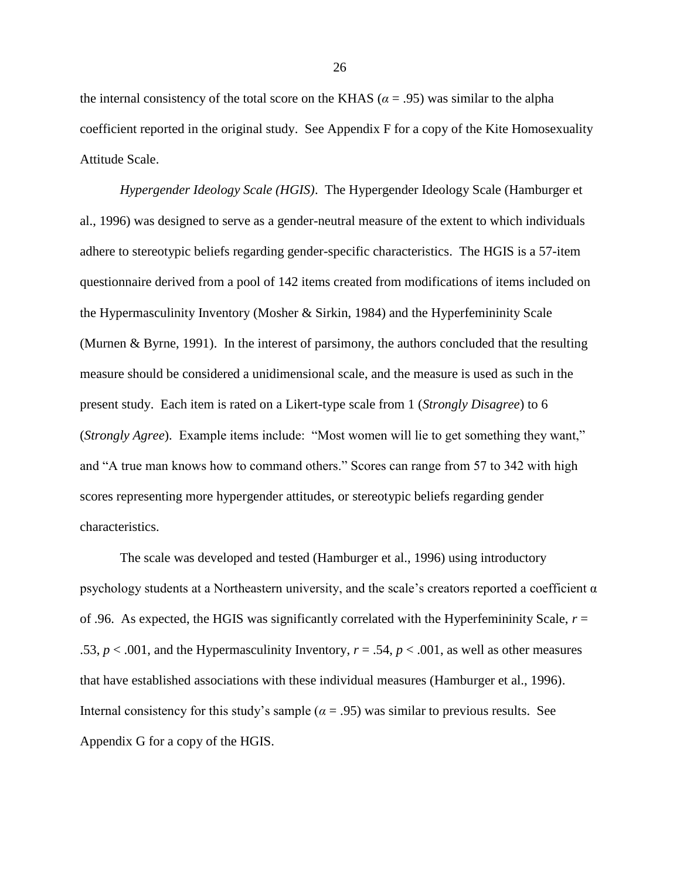the internal consistency of the total score on the KHAS ( $\alpha$  = .95) was similar to the alpha coefficient reported in the original study. See Appendix F for a copy of the Kite Homosexuality Attitude Scale.

*Hypergender Ideology Scale (HGIS)*. The Hypergender Ideology Scale (Hamburger et al., 1996) was designed to serve as a gender-neutral measure of the extent to which individuals adhere to stereotypic beliefs regarding gender-specific characteristics. The HGIS is a 57-item questionnaire derived from a pool of 142 items created from modifications of items included on the Hypermasculinity Inventory (Mosher & Sirkin, 1984) and the Hyperfemininity Scale (Murnen & Byrne, 1991). In the interest of parsimony, the authors concluded that the resulting measure should be considered a unidimensional scale, and the measure is used as such in the present study. Each item is rated on a Likert-type scale from 1 (*Strongly Disagree*) to 6 (*Strongly Agree*). Example items include: "Most women will lie to get something they want," and "A true man knows how to command others." Scores can range from 57 to 342 with high scores representing more hypergender attitudes, or stereotypic beliefs regarding gender characteristics.

The scale was developed and tested (Hamburger et al., 1996) using introductory psychology students at a Northeastern university, and the scale's creators reported a coefficient  $\alpha$ of .96. As expected, the HGIS was significantly correlated with the Hyperfemininity Scale,  $r =$ .53,  $p < .001$ , and the Hypermasculinity Inventory,  $r = .54$ ,  $p < .001$ , as well as other measures that have established associations with these individual measures (Hamburger et al., 1996). Internal consistency for this study's sample ( $\alpha$  = .95) was similar to previous results. See Appendix G for a copy of the HGIS.

26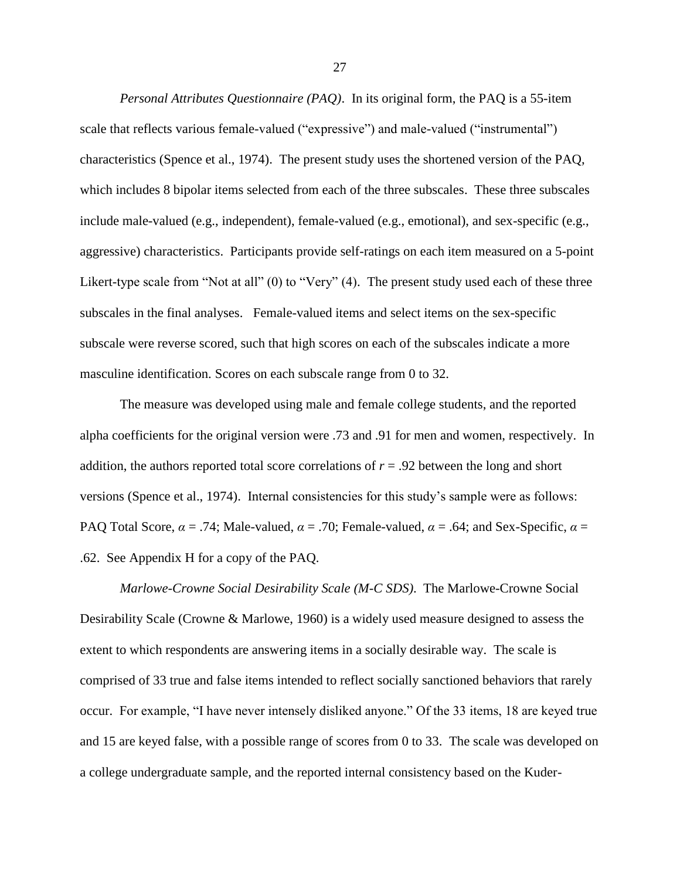*Personal Attributes Questionnaire (PAQ)*. In its original form, the PAQ is a 55-item scale that reflects various female-valued ("expressive") and male-valued ("instrumental") characteristics (Spence et al., 1974). The present study uses the shortened version of the PAQ, which includes 8 bipolar items selected from each of the three subscales. These three subscales include male-valued (e.g., independent), female-valued (e.g., emotional), and sex-specific (e.g., aggressive) characteristics. Participants provide self-ratings on each item measured on a 5-point Likert-type scale from "Not at all" (0) to "Very" (4). The present study used each of these three subscales in the final analyses. Female-valued items and select items on the sex-specific subscale were reverse scored, such that high scores on each of the subscales indicate a more masculine identification. Scores on each subscale range from 0 to 32.

The measure was developed using male and female college students, and the reported alpha coefficients for the original version were .73 and .91 for men and women, respectively. In addition, the authors reported total score correlations of  $r = .92$  between the long and short versions (Spence et al., 1974). Internal consistencies for this study's sample were as follows: PAQ Total Score,  $\alpha = .74$ ; Male-valued,  $\alpha = .70$ ; Female-valued,  $\alpha = .64$ ; and Sex-Specific,  $\alpha =$ .62. See Appendix H for a copy of the PAQ.

*Marlowe-Crowne Social Desirability Scale (M-C SDS)*. The Marlowe-Crowne Social Desirability Scale (Crowne & Marlowe, 1960) is a widely used measure designed to assess the extent to which respondents are answering items in a socially desirable way. The scale is comprised of 33 true and false items intended to reflect socially sanctioned behaviors that rarely occur. For example, "I have never intensely disliked anyone." Of the 33 items, 18 are keyed true and 15 are keyed false, with a possible range of scores from 0 to 33. The scale was developed on a college undergraduate sample, and the reported internal consistency based on the Kuder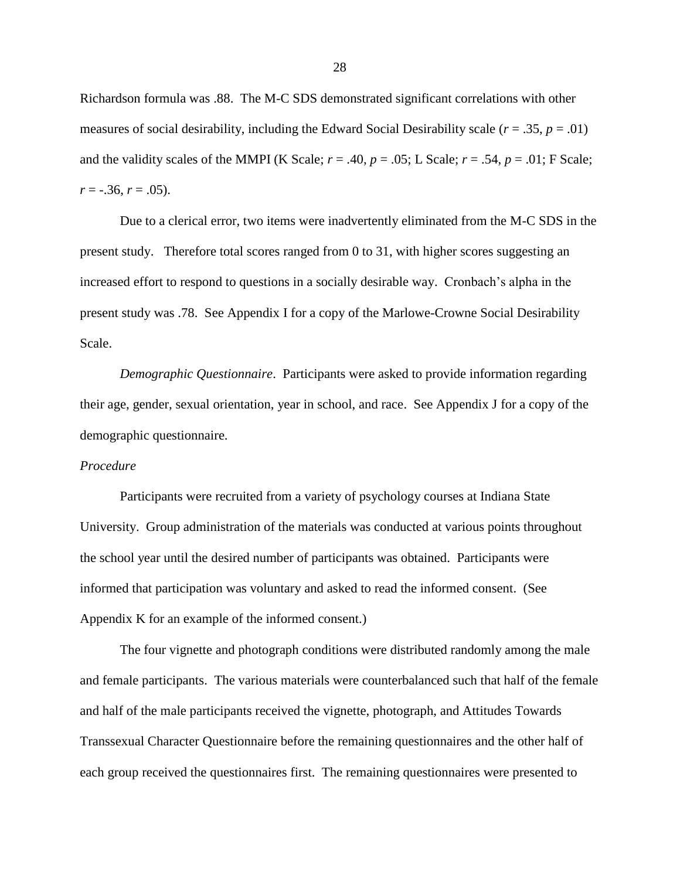Richardson formula was .88. The M-C SDS demonstrated significant correlations with other measures of social desirability, including the Edward Social Desirability scale ( $r = .35$ ,  $p = .01$ ) and the validity scales of the MMPI (K Scale;  $r = .40$ ,  $p = .05$ ; L Scale;  $r = .54$ ,  $p = .01$ ; F Scale;  $r = -.36$ ,  $r = .05$ ).

Due to a clerical error, two items were inadvertently eliminated from the M-C SDS in the present study. Therefore total scores ranged from 0 to 31, with higher scores suggesting an increased effort to respond to questions in a socially desirable way. Cronbach's alpha in the present study was .78. See Appendix I for a copy of the Marlowe-Crowne Social Desirability Scale.

*Demographic Questionnaire*. Participants were asked to provide information regarding their age, gender, sexual orientation, year in school, and race. See Appendix J for a copy of the demographic questionnaire.

#### *Procedure*

Participants were recruited from a variety of psychology courses at Indiana State University. Group administration of the materials was conducted at various points throughout the school year until the desired number of participants was obtained. Participants were informed that participation was voluntary and asked to read the informed consent. (See Appendix K for an example of the informed consent.)

The four vignette and photograph conditions were distributed randomly among the male and female participants. The various materials were counterbalanced such that half of the female and half of the male participants received the vignette, photograph, and Attitudes Towards Transsexual Character Questionnaire before the remaining questionnaires and the other half of each group received the questionnaires first. The remaining questionnaires were presented to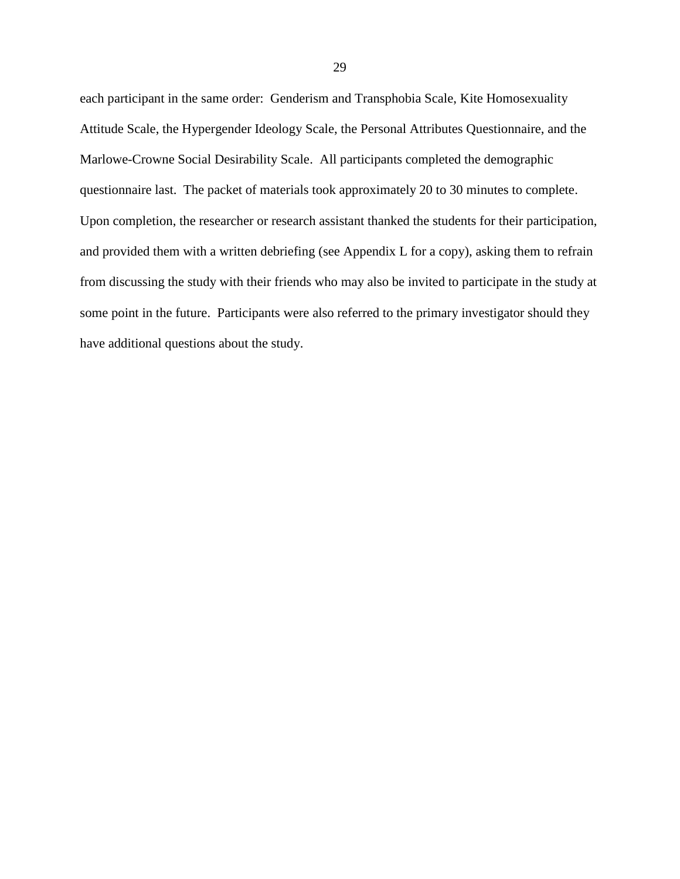each participant in the same order: Genderism and Transphobia Scale, Kite Homosexuality Attitude Scale, the Hypergender Ideology Scale, the Personal Attributes Questionnaire, and the Marlowe-Crowne Social Desirability Scale. All participants completed the demographic questionnaire last. The packet of materials took approximately 20 to 30 minutes to complete. Upon completion, the researcher or research assistant thanked the students for their participation, and provided them with a written debriefing (see Appendix L for a copy), asking them to refrain from discussing the study with their friends who may also be invited to participate in the study at some point in the future. Participants were also referred to the primary investigator should they have additional questions about the study.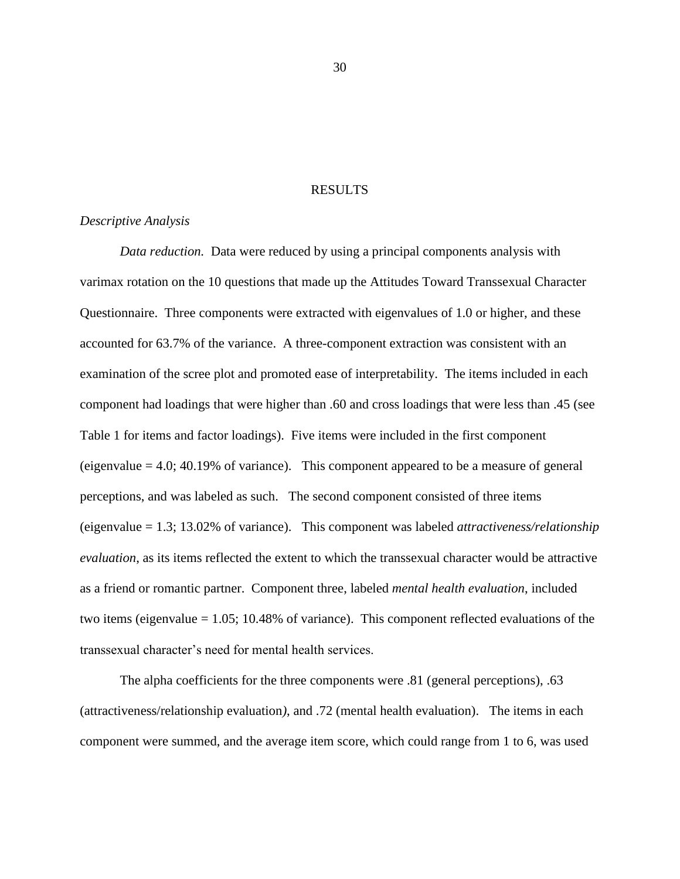#### RESULTS

#### *Descriptive Analysis*

*Data reduction.* Data were reduced by using a principal components analysis with varimax rotation on the 10 questions that made up the Attitudes Toward Transsexual Character Questionnaire. Three components were extracted with eigenvalues of 1.0 or higher, and these accounted for 63.7% of the variance. A three-component extraction was consistent with an examination of the scree plot and promoted ease of interpretability. The items included in each component had loadings that were higher than .60 and cross loadings that were less than .45 (see Table 1 for items and factor loadings). Five items were included in the first component (eigenvalue  $= 4.0$ ; 40.19% of variance). This component appeared to be a measure of general perceptions, and was labeled as such. The second component consisted of three items (eigenvalue = 1.3; 13.02% of variance). This component was labeled *attractiveness/relationship evaluation*, as its items reflected the extent to which the transsexual character would be attractive as a friend or romantic partner. Component three, labeled *mental health evaluation*, included two items (eigenvalue = 1.05; 10.48% of variance). This component reflected evaluations of the transsexual character's need for mental health services.

The alpha coefficients for the three components were .81 (general perceptions), .63 (attractiveness/relationship evaluation*)*, and .72 (mental health evaluation). The items in each component were summed, and the average item score, which could range from 1 to 6, was used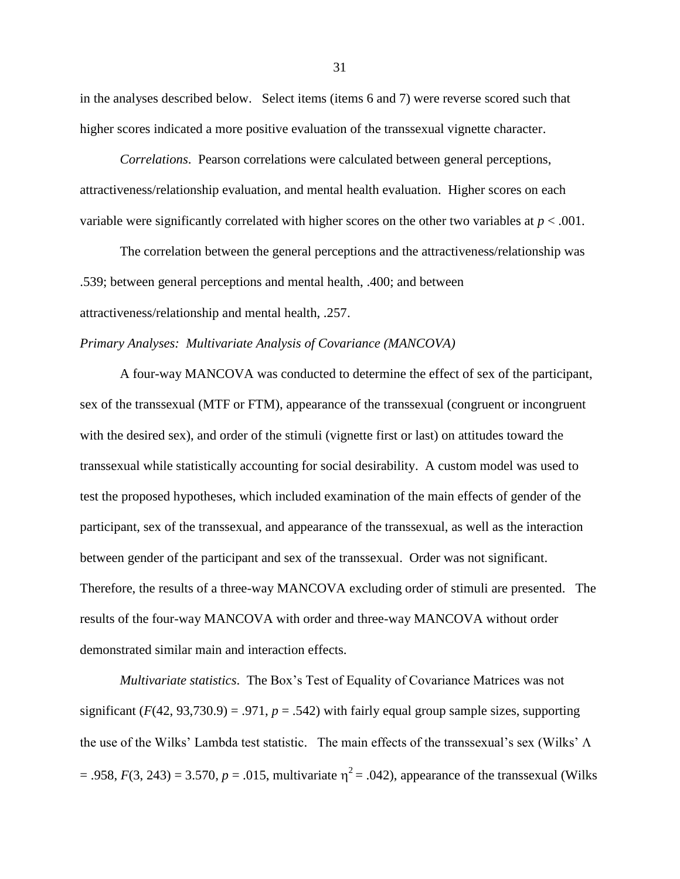in the analyses described below. Select items (items 6 and 7) were reverse scored such that higher scores indicated a more positive evaluation of the transsexual vignette character.

*Correlations*. Pearson correlations were calculated between general perceptions, attractiveness/relationship evaluation, and mental health evaluation. Higher scores on each variable were significantly correlated with higher scores on the other two variables at *p* < .001.

The correlation between the general perceptions and the attractiveness/relationship was .539; between general perceptions and mental health, .400; and between attractiveness/relationship and mental health, .257.

#### *Primary Analyses: Multivariate Analysis of Covariance (MANCOVA)*

A four-way MANCOVA was conducted to determine the effect of sex of the participant, sex of the transsexual (MTF or FTM), appearance of the transsexual (congruent or incongruent with the desired sex), and order of the stimuli (vignette first or last) on attitudes toward the transsexual while statistically accounting for social desirability. A custom model was used to test the proposed hypotheses, which included examination of the main effects of gender of the participant, sex of the transsexual, and appearance of the transsexual, as well as the interaction between gender of the participant and sex of the transsexual. Order was not significant. Therefore, the results of a three-way MANCOVA excluding order of stimuli are presented. The results of the four-way MANCOVA with order and three-way MANCOVA without order demonstrated similar main and interaction effects.

*Multivariate statistics*. The Box's Test of Equality of Covariance Matrices was not significant  $(F(42, 93, 730.9) = .971$ ,  $p = .542$ ) with fairly equal group sample sizes, supporting the use of the Wilks' Lambda test statistic. The main effects of the transsexual's sex (Wilks'  $\Lambda$ )  $= .958, F(3, 243) = 3.570, p = .015$ , multivariate  $\eta^2 = .042$ ), appearance of the transsexual (Wilks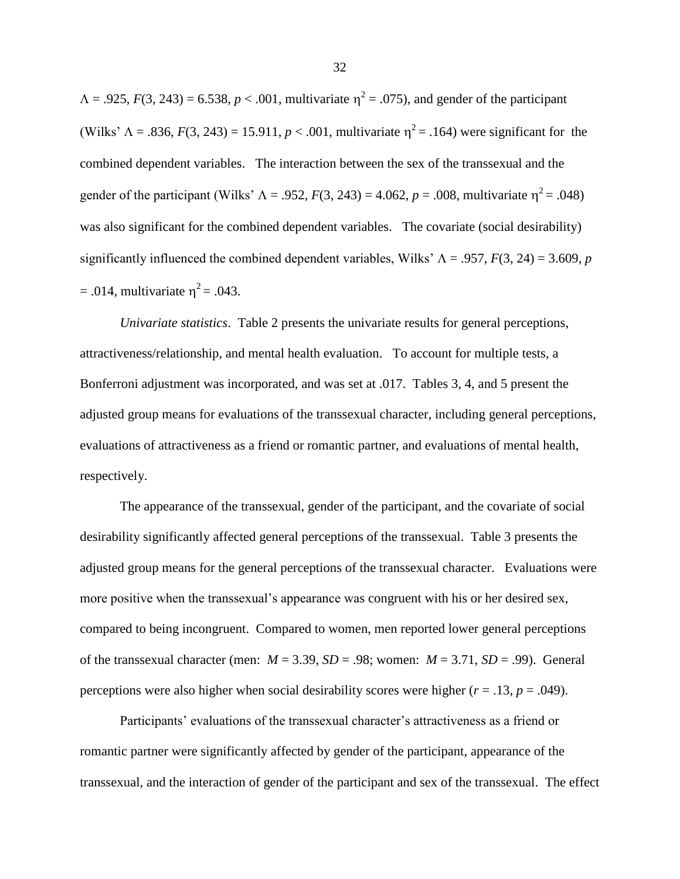$\Lambda = .925, F(3, 243) = 6.538, p < .001$ , multivariate  $\eta^2 = .075$ ), and gender of the participant (Wilks'  $\Lambda = .836$ ,  $F(3, 243) = 15.911$ ,  $p < .001$ , multivariate  $\eta^2 = .164$ ) were significant for the combined dependent variables. The interaction between the sex of the transsexual and the gender of the participant (Wilks'  $\Lambda = .952$ ,  $F(3, 243) = 4.062$ ,  $p = .008$ , multivariate  $\eta^2 = .048$ ) was also significant for the combined dependent variables. The covariate (social desirability) significantly influenced the combined dependent variables, Wilks'  $\Lambda = .957$ ,  $F(3, 24) = 3.609$ , *p*  $= .014$ , multivariate  $\eta^2 = .043$ .

*Univariate statistics*. Table 2 presents the univariate results for general perceptions, attractiveness/relationship, and mental health evaluation. To account for multiple tests, a Bonferroni adjustment was incorporated, and was set at .017. Tables 3, 4, and 5 present the adjusted group means for evaluations of the transsexual character, including general perceptions, evaluations of attractiveness as a friend or romantic partner, and evaluations of mental health, respectively.

The appearance of the transsexual, gender of the participant, and the covariate of social desirability significantly affected general perceptions of the transsexual. Table 3 presents the adjusted group means for the general perceptions of the transsexual character. Evaluations were more positive when the transsexual's appearance was congruent with his or her desired sex, compared to being incongruent. Compared to women, men reported lower general perceptions of the transsexual character (men:  $M = 3.39$ ,  $SD = .98$ ; women:  $M = 3.71$ ,  $SD = .99$ ). General perceptions were also higher when social desirability scores were higher ( $r = .13$ ,  $p = .049$ ).

Participants' evaluations of the transsexual character's attractiveness as a friend or romantic partner were significantly affected by gender of the participant, appearance of the transsexual, and the interaction of gender of the participant and sex of the transsexual. The effect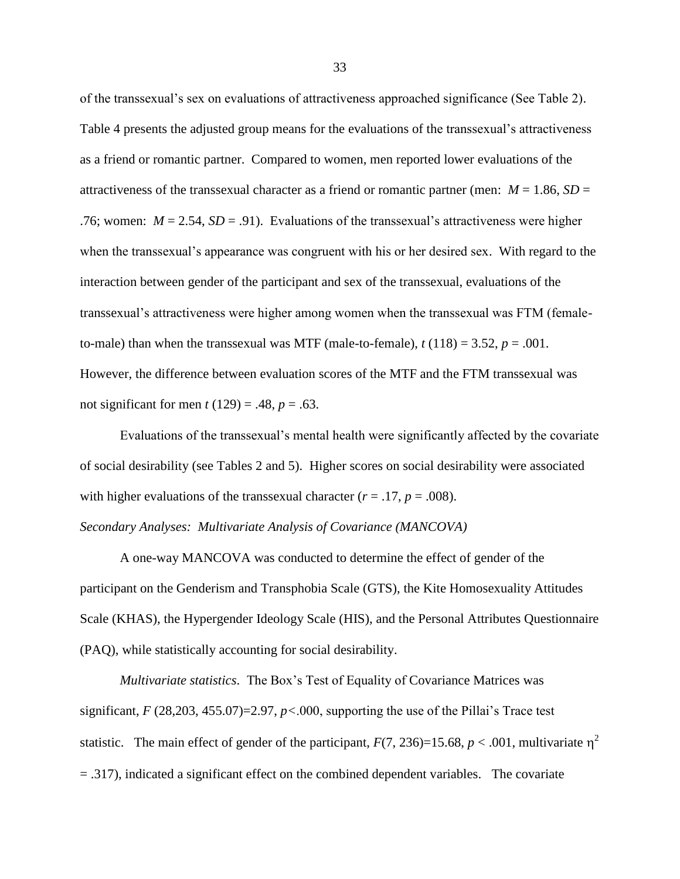of the transsexual's sex on evaluations of attractiveness approached significance (See Table 2). Table 4 presents the adjusted group means for the evaluations of the transsexual's attractiveness as a friend or romantic partner. Compared to women, men reported lower evaluations of the attractiveness of the transsexual character as a friend or romantic partner (men:  $M = 1.86$ ,  $SD =$ .76; women:  $M = 2.54$ ,  $SD = .91$ ). Evaluations of the transsexual's attractiveness were higher when the transsexual's appearance was congruent with his or her desired sex. With regard to the interaction between gender of the participant and sex of the transsexual, evaluations of the transsexual's attractiveness were higher among women when the transsexual was FTM (femaleto-male) than when the transsexual was MTF (male-to-female),  $t(118) = 3.52$ ,  $p = .001$ . However, the difference between evaluation scores of the MTF and the FTM transsexual was not significant for men *t* (129) = .48, *p* = .63.

Evaluations of the transsexual's mental health were significantly affected by the covariate of social desirability (see Tables 2 and 5). Higher scores on social desirability were associated with higher evaluations of the transsexual character  $(r = .17, p = .008)$ . *Secondary Analyses: Multivariate Analysis of Covariance (MANCOVA)*

A one-way MANCOVA was conducted to determine the effect of gender of the participant on the Genderism and Transphobia Scale (GTS), the Kite Homosexuality Attitudes Scale (KHAS), the Hypergender Ideology Scale (HIS), and the Personal Attributes Questionnaire (PAQ), while statistically accounting for social desirability.

*Multivariate statistics*. The Box's Test of Equality of Covariance Matrices was significant, *F* (28,203, 455.07)=2.97, *p<*.000, supporting the use of the Pillai's Trace test statistic. The main effect of gender of the participant,  $F(7, 236)=15.68$ ,  $p < .001$ , multivariate  $\eta^2$  $= .317$ ), indicated a significant effect on the combined dependent variables. The covariate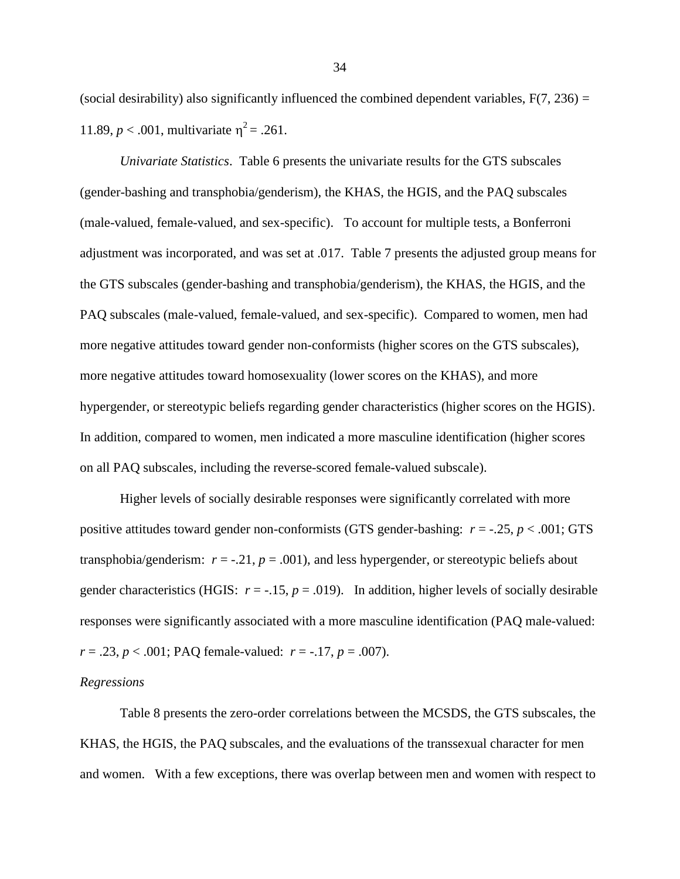(social desirability) also significantly influenced the combined dependent variables,  $F(7, 236) =$ 11.89,  $p < .001$ , multivariate  $\eta^2 = .261$ .

*Univariate Statistics*. Table 6 presents the univariate results for the GTS subscales (gender-bashing and transphobia/genderism), the KHAS, the HGIS, and the PAQ subscales (male-valued, female-valued, and sex-specific). To account for multiple tests, a Bonferroni adjustment was incorporated, and was set at .017. Table 7 presents the adjusted group means for the GTS subscales (gender-bashing and transphobia/genderism), the KHAS, the HGIS, and the PAQ subscales (male-valued, female-valued, and sex-specific). Compared to women, men had more negative attitudes toward gender non-conformists (higher scores on the GTS subscales), more negative attitudes toward homosexuality (lower scores on the KHAS), and more hypergender, or stereotypic beliefs regarding gender characteristics (higher scores on the HGIS). In addition, compared to women, men indicated a more masculine identification (higher scores on all PAQ subscales, including the reverse-scored female-valued subscale).

Higher levels of socially desirable responses were significantly correlated with more positive attitudes toward gender non-conformists (GTS gender-bashing: *r* = -.25, *p* < .001; GTS transphobia/genderism:  $r = -0.21$ ,  $p = 0.001$ ), and less hypergender, or stereotypic beliefs about gender characteristics (HGIS:  $r = -.15$ ,  $p = .019$ ). In addition, higher levels of socially desirable responses were significantly associated with a more masculine identification (PAQ male-valued:  $r = .23$ ,  $p < .001$ ; PAQ female-valued:  $r = -.17$ ,  $p = .007$ ).

#### *Regressions*

Table 8 presents the zero-order correlations between the MCSDS, the GTS subscales, the KHAS, the HGIS, the PAQ subscales, and the evaluations of the transsexual character for men and women. With a few exceptions, there was overlap between men and women with respect to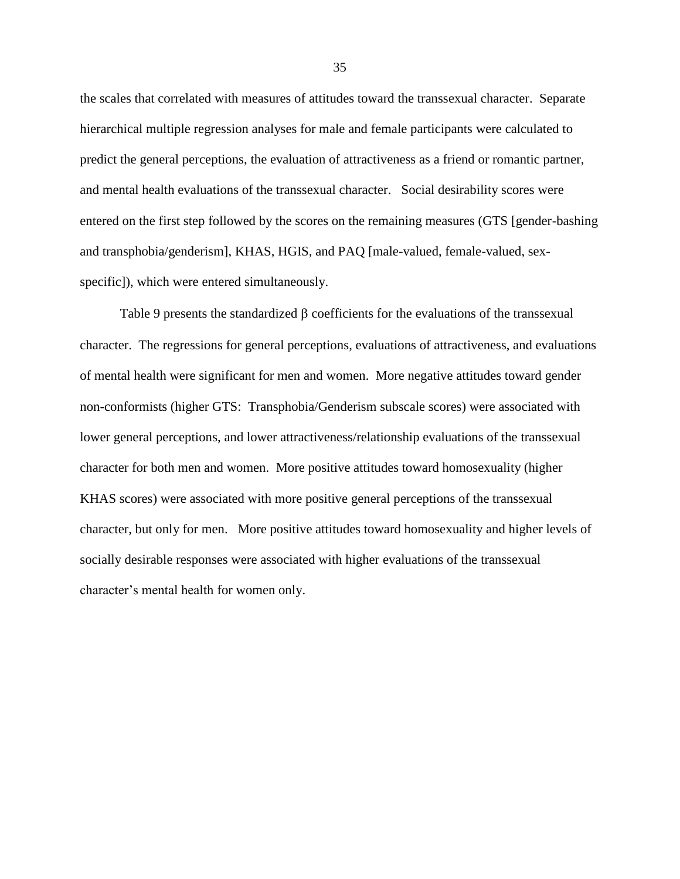the scales that correlated with measures of attitudes toward the transsexual character. Separate hierarchical multiple regression analyses for male and female participants were calculated to predict the general perceptions, the evaluation of attractiveness as a friend or romantic partner, and mental health evaluations of the transsexual character. Social desirability scores were entered on the first step followed by the scores on the remaining measures (GTS [gender-bashing and transphobia/genderism], KHAS, HGIS, and PAQ [male-valued, female-valued, sexspecific]), which were entered simultaneously.

Table 9 presents the standardized  $\beta$  coefficients for the evaluations of the transsexual character. The regressions for general perceptions, evaluations of attractiveness, and evaluations of mental health were significant for men and women. More negative attitudes toward gender non-conformists (higher GTS: Transphobia/Genderism subscale scores) were associated with lower general perceptions, and lower attractiveness/relationship evaluations of the transsexual character for both men and women. More positive attitudes toward homosexuality (higher KHAS scores) were associated with more positive general perceptions of the transsexual character, but only for men. More positive attitudes toward homosexuality and higher levels of socially desirable responses were associated with higher evaluations of the transsexual character's mental health for women only.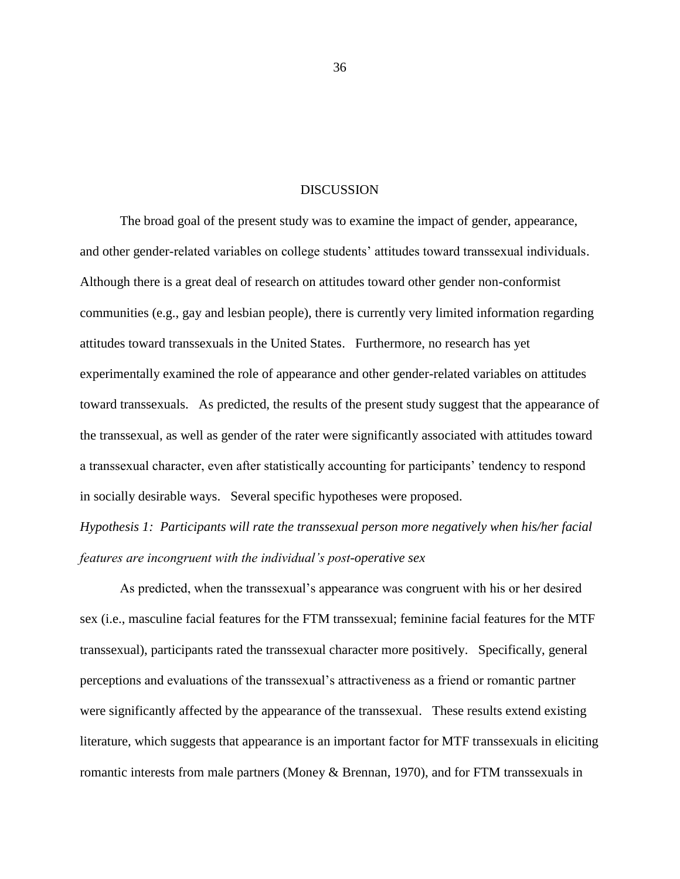#### DISCUSSION

The broad goal of the present study was to examine the impact of gender, appearance, and other gender-related variables on college students' attitudes toward transsexual individuals. Although there is a great deal of research on attitudes toward other gender non-conformist communities (e.g., gay and lesbian people), there is currently very limited information regarding attitudes toward transsexuals in the United States. Furthermore, no research has yet experimentally examined the role of appearance and other gender-related variables on attitudes toward transsexuals. As predicted, the results of the present study suggest that the appearance of the transsexual, as well as gender of the rater were significantly associated with attitudes toward a transsexual character, even after statistically accounting for participants' tendency to respond in socially desirable ways. Several specific hypotheses were proposed.

*Hypothesis 1: Participants will rate the transsexual person more negatively when his/her facial features are incongruent with the individual's post-operative sex*

As predicted, when the transsexual's appearance was congruent with his or her desired sex (i.e., masculine facial features for the FTM transsexual; feminine facial features for the MTF transsexual), participants rated the transsexual character more positively. Specifically, general perceptions and evaluations of the transsexual's attractiveness as a friend or romantic partner were significantly affected by the appearance of the transsexual. These results extend existing literature, which suggests that appearance is an important factor for MTF transsexuals in eliciting romantic interests from male partners (Money & Brennan, 1970), and for FTM transsexuals in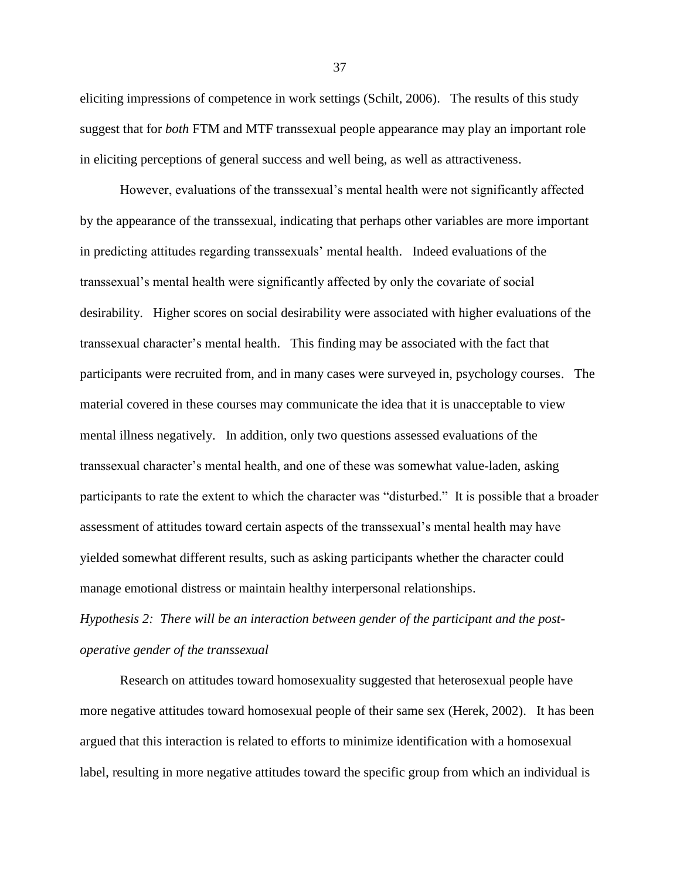eliciting impressions of competence in work settings (Schilt, 2006). The results of this study suggest that for *both* FTM and MTF transsexual people appearance may play an important role in eliciting perceptions of general success and well being, as well as attractiveness.

However, evaluations of the transsexual's mental health were not significantly affected by the appearance of the transsexual, indicating that perhaps other variables are more important in predicting attitudes regarding transsexuals' mental health. Indeed evaluations of the transsexual's mental health were significantly affected by only the covariate of social desirability. Higher scores on social desirability were associated with higher evaluations of the transsexual character's mental health. This finding may be associated with the fact that participants were recruited from, and in many cases were surveyed in, psychology courses. The material covered in these courses may communicate the idea that it is unacceptable to view mental illness negatively. In addition, only two questions assessed evaluations of the transsexual character's mental health, and one of these was somewhat value-laden, asking participants to rate the extent to which the character was "disturbed." It is possible that a broader assessment of attitudes toward certain aspects of the transsexual's mental health may have yielded somewhat different results, such as asking participants whether the character could manage emotional distress or maintain healthy interpersonal relationships.

*Hypothesis 2: There will be an interaction between gender of the participant and the postoperative gender of the transsexual*

Research on attitudes toward homosexuality suggested that heterosexual people have more negative attitudes toward homosexual people of their same sex (Herek, 2002). It has been argued that this interaction is related to efforts to minimize identification with a homosexual label, resulting in more negative attitudes toward the specific group from which an individual is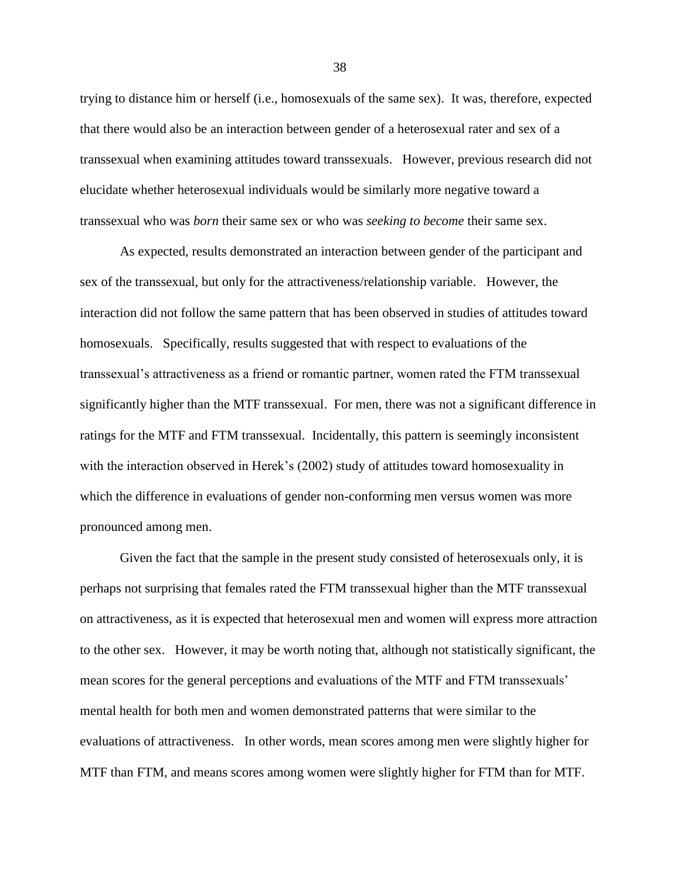trying to distance him or herself (i.e., homosexuals of the same sex). It was, therefore, expected that there would also be an interaction between gender of a heterosexual rater and sex of a transsexual when examining attitudes toward transsexuals. However, previous research did not elucidate whether heterosexual individuals would be similarly more negative toward a transsexual who was *born* their same sex or who was *seeking to become* their same sex.

As expected, results demonstrated an interaction between gender of the participant and sex of the transsexual, but only for the attractiveness/relationship variable. However, the interaction did not follow the same pattern that has been observed in studies of attitudes toward homosexuals. Specifically, results suggested that with respect to evaluations of the transsexual's attractiveness as a friend or romantic partner, women rated the FTM transsexual significantly higher than the MTF transsexual. For men, there was not a significant difference in ratings for the MTF and FTM transsexual. Incidentally, this pattern is seemingly inconsistent with the interaction observed in Herek's (2002) study of attitudes toward homosexuality in which the difference in evaluations of gender non-conforming men versus women was more pronounced among men.

Given the fact that the sample in the present study consisted of heterosexuals only, it is perhaps not surprising that females rated the FTM transsexual higher than the MTF transsexual on attractiveness, as it is expected that heterosexual men and women will express more attraction to the other sex. However, it may be worth noting that, although not statistically significant, the mean scores for the general perceptions and evaluations of the MTF and FTM transsexuals' mental health for both men and women demonstrated patterns that were similar to the evaluations of attractiveness. In other words, mean scores among men were slightly higher for MTF than FTM, and means scores among women were slightly higher for FTM than for MTF.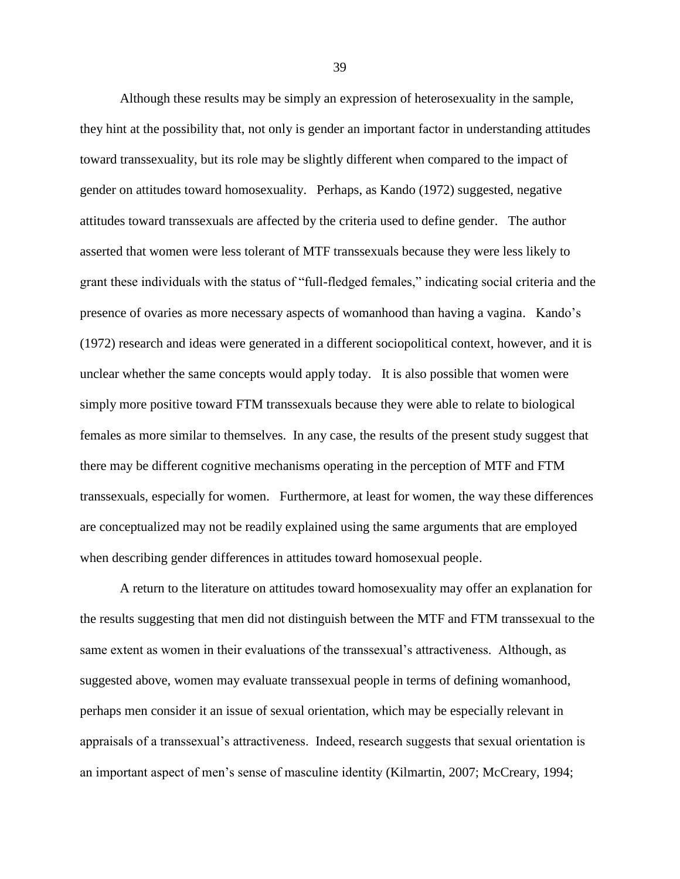Although these results may be simply an expression of heterosexuality in the sample, they hint at the possibility that, not only is gender an important factor in understanding attitudes toward transsexuality, but its role may be slightly different when compared to the impact of gender on attitudes toward homosexuality. Perhaps, as Kando (1972) suggested, negative attitudes toward transsexuals are affected by the criteria used to define gender. The author asserted that women were less tolerant of MTF transsexuals because they were less likely to grant these individuals with the status of "full-fledged females," indicating social criteria and the presence of ovaries as more necessary aspects of womanhood than having a vagina. Kando's (1972) research and ideas were generated in a different sociopolitical context, however, and it is unclear whether the same concepts would apply today. It is also possible that women were simply more positive toward FTM transsexuals because they were able to relate to biological females as more similar to themselves. In any case, the results of the present study suggest that there may be different cognitive mechanisms operating in the perception of MTF and FTM transsexuals, especially for women. Furthermore, at least for women, the way these differences are conceptualized may not be readily explained using the same arguments that are employed when describing gender differences in attitudes toward homosexual people.

A return to the literature on attitudes toward homosexuality may offer an explanation for the results suggesting that men did not distinguish between the MTF and FTM transsexual to the same extent as women in their evaluations of the transsexual's attractiveness. Although, as suggested above, women may evaluate transsexual people in terms of defining womanhood, perhaps men consider it an issue of sexual orientation, which may be especially relevant in appraisals of a transsexual's attractiveness. Indeed, research suggests that sexual orientation is an important aspect of men's sense of masculine identity (Kilmartin, 2007; McCreary, 1994;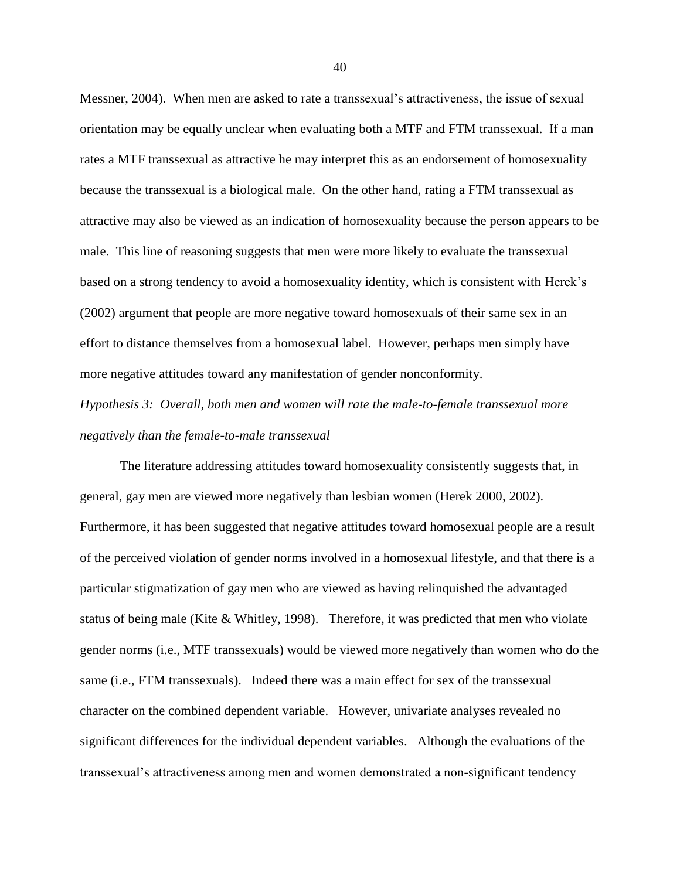Messner, 2004). When men are asked to rate a transsexual's attractiveness, the issue of sexual orientation may be equally unclear when evaluating both a MTF and FTM transsexual. If a man rates a MTF transsexual as attractive he may interpret this as an endorsement of homosexuality because the transsexual is a biological male. On the other hand, rating a FTM transsexual as attractive may also be viewed as an indication of homosexuality because the person appears to be male. This line of reasoning suggests that men were more likely to evaluate the transsexual based on a strong tendency to avoid a homosexuality identity, which is consistent with Herek's (2002) argument that people are more negative toward homosexuals of their same sex in an effort to distance themselves from a homosexual label. However, perhaps men simply have more negative attitudes toward any manifestation of gender nonconformity.

*Hypothesis 3: Overall, both men and women will rate the male-to-female transsexual more negatively than the female-to-male transsexual*

The literature addressing attitudes toward homosexuality consistently suggests that, in general, gay men are viewed more negatively than lesbian women (Herek 2000, 2002). Furthermore, it has been suggested that negative attitudes toward homosexual people are a result of the perceived violation of gender norms involved in a homosexual lifestyle, and that there is a particular stigmatization of gay men who are viewed as having relinquished the advantaged status of being male (Kite & Whitley, 1998). Therefore, it was predicted that men who violate gender norms (i.e., MTF transsexuals) would be viewed more negatively than women who do the same (i.e., FTM transsexuals). Indeed there was a main effect for sex of the transsexual character on the combined dependent variable. However, univariate analyses revealed no significant differences for the individual dependent variables. Although the evaluations of the transsexual's attractiveness among men and women demonstrated a non-significant tendency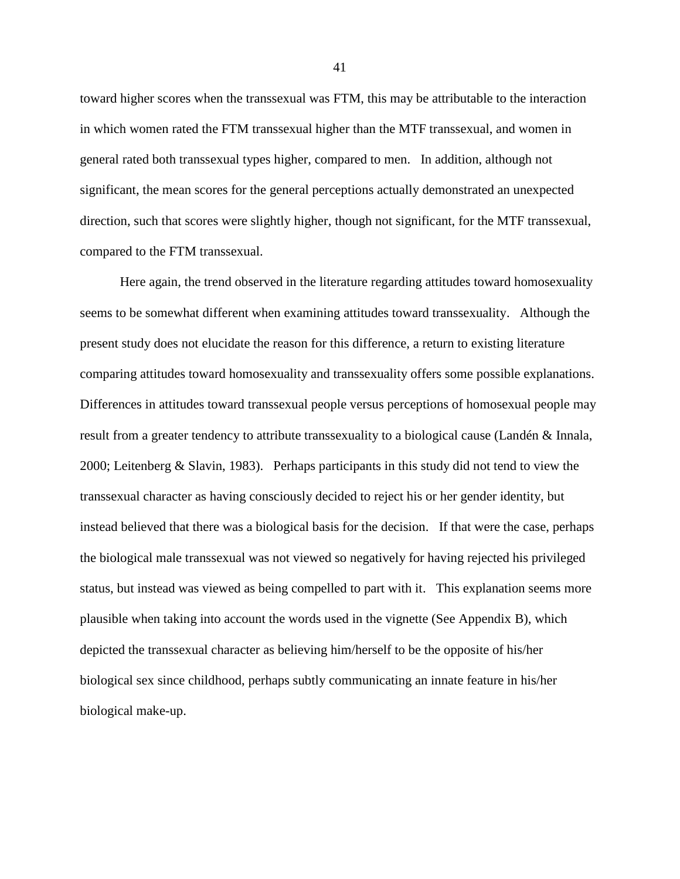toward higher scores when the transsexual was FTM, this may be attributable to the interaction in which women rated the FTM transsexual higher than the MTF transsexual, and women in general rated both transsexual types higher, compared to men. In addition, although not significant, the mean scores for the general perceptions actually demonstrated an unexpected direction, such that scores were slightly higher, though not significant, for the MTF transsexual, compared to the FTM transsexual.

Here again, the trend observed in the literature regarding attitudes toward homosexuality seems to be somewhat different when examining attitudes toward transsexuality. Although the present study does not elucidate the reason for this difference, a return to existing literature comparing attitudes toward homosexuality and transsexuality offers some possible explanations. Differences in attitudes toward transsexual people versus perceptions of homosexual people may result from a greater tendency to attribute transsexuality to a biological cause (Landén & Innala, 2000; Leitenberg & Slavin, 1983). Perhaps participants in this study did not tend to view the transsexual character as having consciously decided to reject his or her gender identity, but instead believed that there was a biological basis for the decision. If that were the case, perhaps the biological male transsexual was not viewed so negatively for having rejected his privileged status, but instead was viewed as being compelled to part with it. This explanation seems more plausible when taking into account the words used in the vignette (See Appendix B), which depicted the transsexual character as believing him/herself to be the opposite of his/her biological sex since childhood, perhaps subtly communicating an innate feature in his/her biological make-up.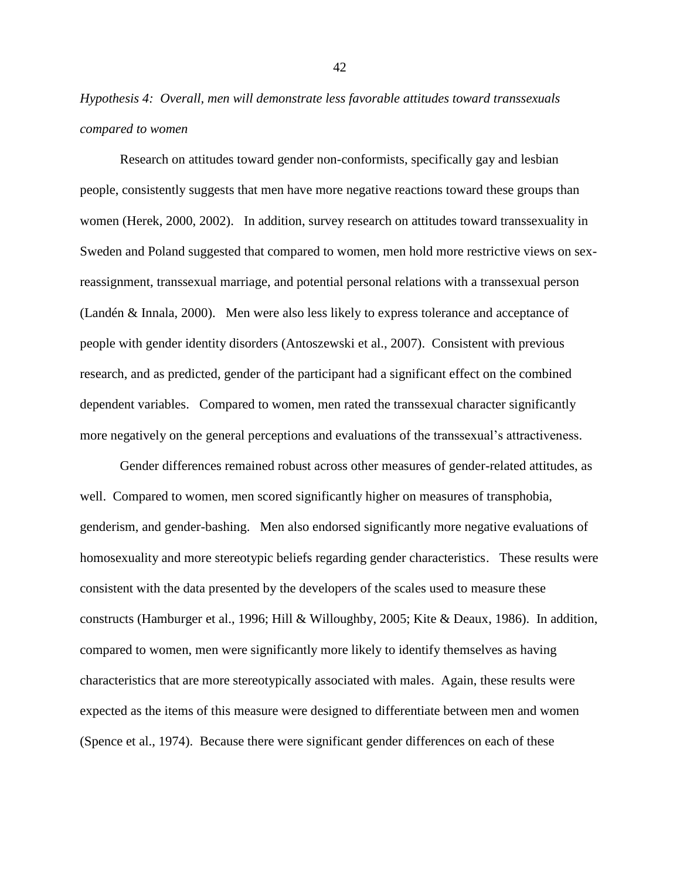*Hypothesis 4: Overall, men will demonstrate less favorable attitudes toward transsexuals compared to women*

Research on attitudes toward gender non-conformists, specifically gay and lesbian people, consistently suggests that men have more negative reactions toward these groups than women (Herek, 2000, 2002). In addition, survey research on attitudes toward transsexuality in Sweden and Poland suggested that compared to women, men hold more restrictive views on sexreassignment, transsexual marriage, and potential personal relations with a transsexual person (Landén & Innala, 2000). Men were also less likely to express tolerance and acceptance of people with gender identity disorders (Antoszewski et al., 2007). Consistent with previous research, and as predicted, gender of the participant had a significant effect on the combined dependent variables. Compared to women, men rated the transsexual character significantly more negatively on the general perceptions and evaluations of the transsexual's attractiveness.

Gender differences remained robust across other measures of gender-related attitudes, as well. Compared to women, men scored significantly higher on measures of transphobia, genderism, and gender-bashing. Men also endorsed significantly more negative evaluations of homosexuality and more stereotypic beliefs regarding gender characteristics. These results were consistent with the data presented by the developers of the scales used to measure these constructs (Hamburger et al., 1996; Hill & Willoughby, 2005; Kite & Deaux, 1986). In addition, compared to women, men were significantly more likely to identify themselves as having characteristics that are more stereotypically associated with males. Again, these results were expected as the items of this measure were designed to differentiate between men and women (Spence et al., 1974). Because there were significant gender differences on each of these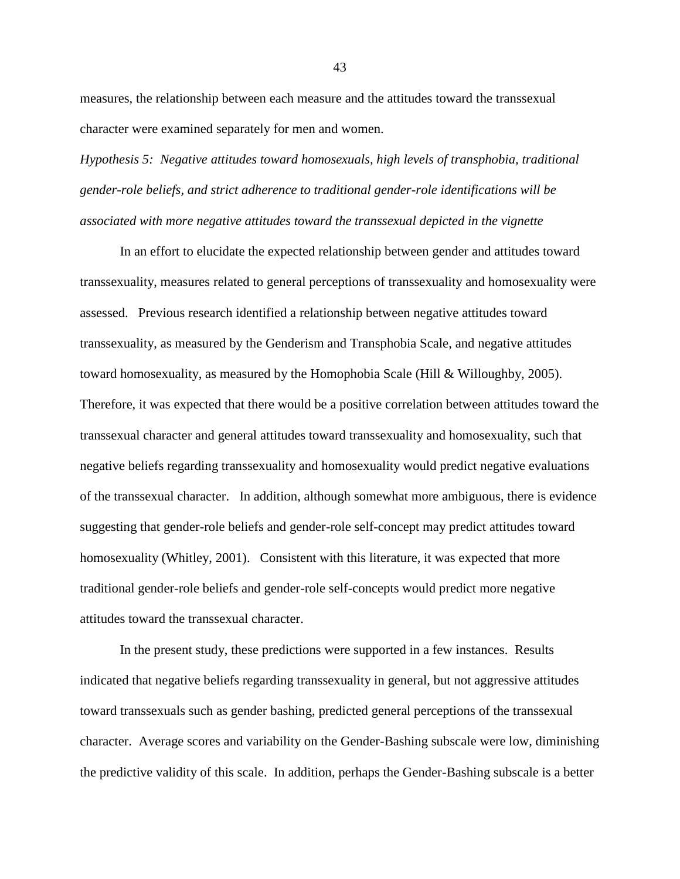measures, the relationship between each measure and the attitudes toward the transsexual character were examined separately for men and women.

*Hypothesis 5: Negative attitudes toward homosexuals, high levels of transphobia, traditional gender-role beliefs, and strict adherence to traditional gender-role identifications will be associated with more negative attitudes toward the transsexual depicted in the vignette*

In an effort to elucidate the expected relationship between gender and attitudes toward transsexuality, measures related to general perceptions of transsexuality and homosexuality were assessed. Previous research identified a relationship between negative attitudes toward transsexuality, as measured by the Genderism and Transphobia Scale, and negative attitudes toward homosexuality, as measured by the Homophobia Scale (Hill & Willoughby, 2005). Therefore, it was expected that there would be a positive correlation between attitudes toward the transsexual character and general attitudes toward transsexuality and homosexuality, such that negative beliefs regarding transsexuality and homosexuality would predict negative evaluations of the transsexual character. In addition, although somewhat more ambiguous, there is evidence suggesting that gender-role beliefs and gender-role self-concept may predict attitudes toward homosexuality (Whitley, 2001). Consistent with this literature, it was expected that more traditional gender-role beliefs and gender-role self-concepts would predict more negative attitudes toward the transsexual character.

In the present study, these predictions were supported in a few instances. Results indicated that negative beliefs regarding transsexuality in general, but not aggressive attitudes toward transsexuals such as gender bashing, predicted general perceptions of the transsexual character. Average scores and variability on the Gender-Bashing subscale were low, diminishing the predictive validity of this scale. In addition, perhaps the Gender-Bashing subscale is a better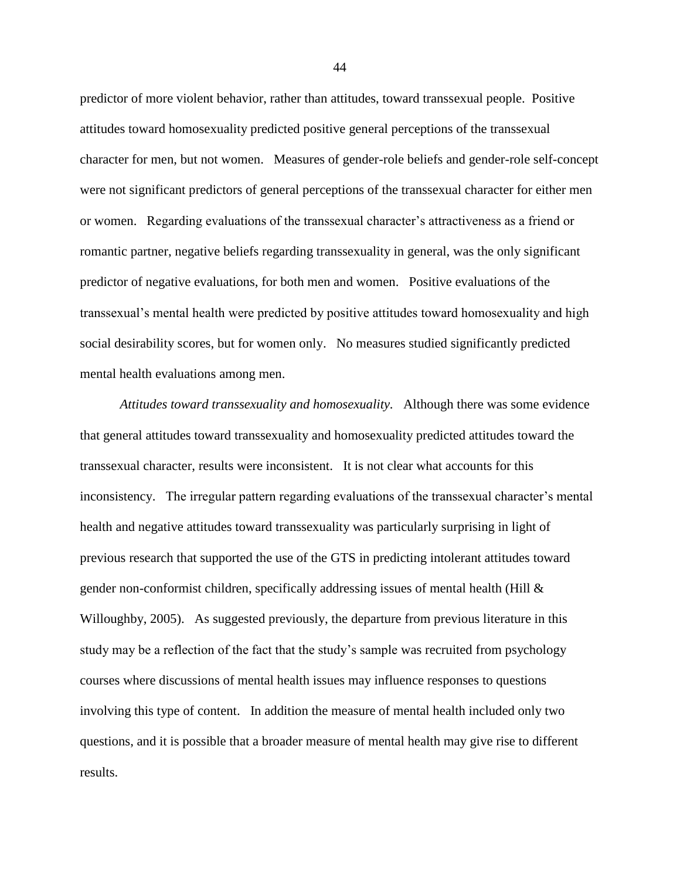predictor of more violent behavior, rather than attitudes, toward transsexual people. Positive attitudes toward homosexuality predicted positive general perceptions of the transsexual character for men, but not women. Measures of gender-role beliefs and gender-role self-concept were not significant predictors of general perceptions of the transsexual character for either men or women. Regarding evaluations of the transsexual character's attractiveness as a friend or romantic partner, negative beliefs regarding transsexuality in general, was the only significant predictor of negative evaluations, for both men and women. Positive evaluations of the transsexual's mental health were predicted by positive attitudes toward homosexuality and high social desirability scores, but for women only. No measures studied significantly predicted mental health evaluations among men.

*Attitudes toward transsexuality and homosexuality.* Although there was some evidence that general attitudes toward transsexuality and homosexuality predicted attitudes toward the transsexual character, results were inconsistent. It is not clear what accounts for this inconsistency. The irregular pattern regarding evaluations of the transsexual character's mental health and negative attitudes toward transsexuality was particularly surprising in light of previous research that supported the use of the GTS in predicting intolerant attitudes toward gender non-conformist children, specifically addressing issues of mental health (Hill & Willoughby, 2005). As suggested previously, the departure from previous literature in this study may be a reflection of the fact that the study's sample was recruited from psychology courses where discussions of mental health issues may influence responses to questions involving this type of content. In addition the measure of mental health included only two questions, and it is possible that a broader measure of mental health may give rise to different results.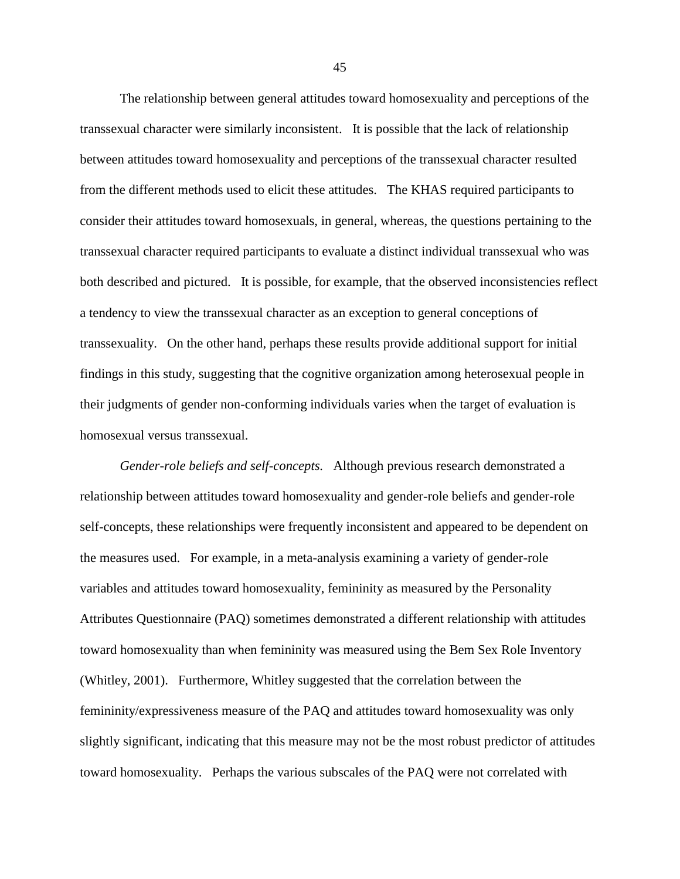The relationship between general attitudes toward homosexuality and perceptions of the transsexual character were similarly inconsistent. It is possible that the lack of relationship between attitudes toward homosexuality and perceptions of the transsexual character resulted from the different methods used to elicit these attitudes. The KHAS required participants to consider their attitudes toward homosexuals, in general, whereas, the questions pertaining to the transsexual character required participants to evaluate a distinct individual transsexual who was both described and pictured. It is possible, for example, that the observed inconsistencies reflect a tendency to view the transsexual character as an exception to general conceptions of transsexuality. On the other hand, perhaps these results provide additional support for initial findings in this study, suggesting that the cognitive organization among heterosexual people in their judgments of gender non-conforming individuals varies when the target of evaluation is homosexual versus transsexual.

*Gender-role beliefs and self-concepts.* Although previous research demonstrated a relationship between attitudes toward homosexuality and gender-role beliefs and gender-role self-concepts, these relationships were frequently inconsistent and appeared to be dependent on the measures used. For example, in a meta-analysis examining a variety of gender-role variables and attitudes toward homosexuality, femininity as measured by the Personality Attributes Questionnaire (PAQ) sometimes demonstrated a different relationship with attitudes toward homosexuality than when femininity was measured using the Bem Sex Role Inventory (Whitley, 2001). Furthermore, Whitley suggested that the correlation between the femininity/expressiveness measure of the PAQ and attitudes toward homosexuality was only slightly significant, indicating that this measure may not be the most robust predictor of attitudes toward homosexuality. Perhaps the various subscales of the PAQ were not correlated with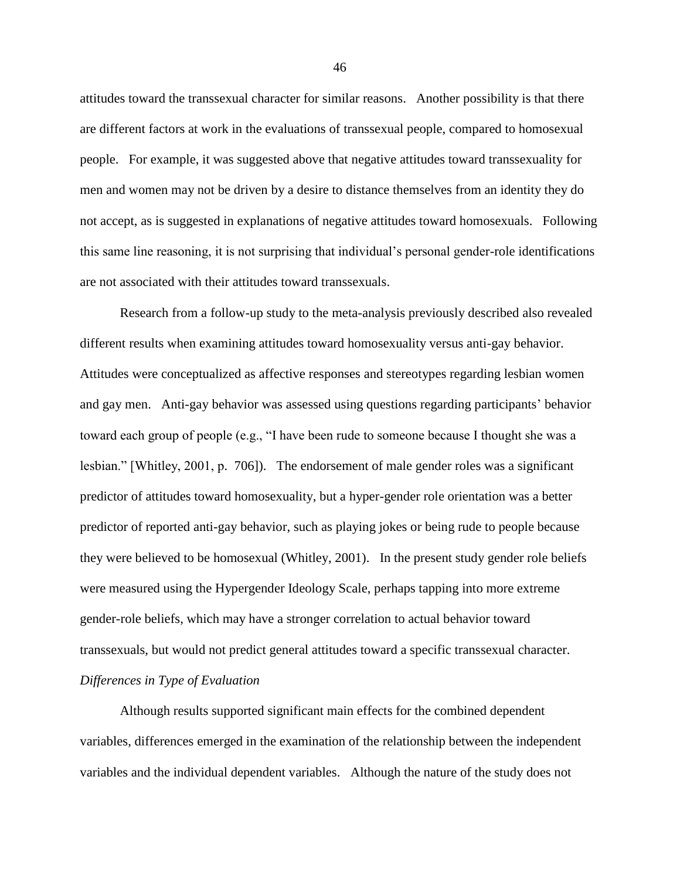attitudes toward the transsexual character for similar reasons. Another possibility is that there are different factors at work in the evaluations of transsexual people, compared to homosexual people. For example, it was suggested above that negative attitudes toward transsexuality for men and women may not be driven by a desire to distance themselves from an identity they do not accept, as is suggested in explanations of negative attitudes toward homosexuals. Following this same line reasoning, it is not surprising that individual's personal gender-role identifications are not associated with their attitudes toward transsexuals.

Research from a follow-up study to the meta-analysis previously described also revealed different results when examining attitudes toward homosexuality versus anti-gay behavior. Attitudes were conceptualized as affective responses and stereotypes regarding lesbian women and gay men. Anti-gay behavior was assessed using questions regarding participants' behavior toward each group of people (e.g., "I have been rude to someone because I thought she was a lesbian." [Whitley, 2001, p. 706]). The endorsement of male gender roles was a significant predictor of attitudes toward homosexuality, but a hyper-gender role orientation was a better predictor of reported anti-gay behavior, such as playing jokes or being rude to people because they were believed to be homosexual (Whitley, 2001). In the present study gender role beliefs were measured using the Hypergender Ideology Scale, perhaps tapping into more extreme gender-role beliefs, which may have a stronger correlation to actual behavior toward transsexuals, but would not predict general attitudes toward a specific transsexual character. *Differences in Type of Evaluation*

Although results supported significant main effects for the combined dependent variables, differences emerged in the examination of the relationship between the independent variables and the individual dependent variables. Although the nature of the study does not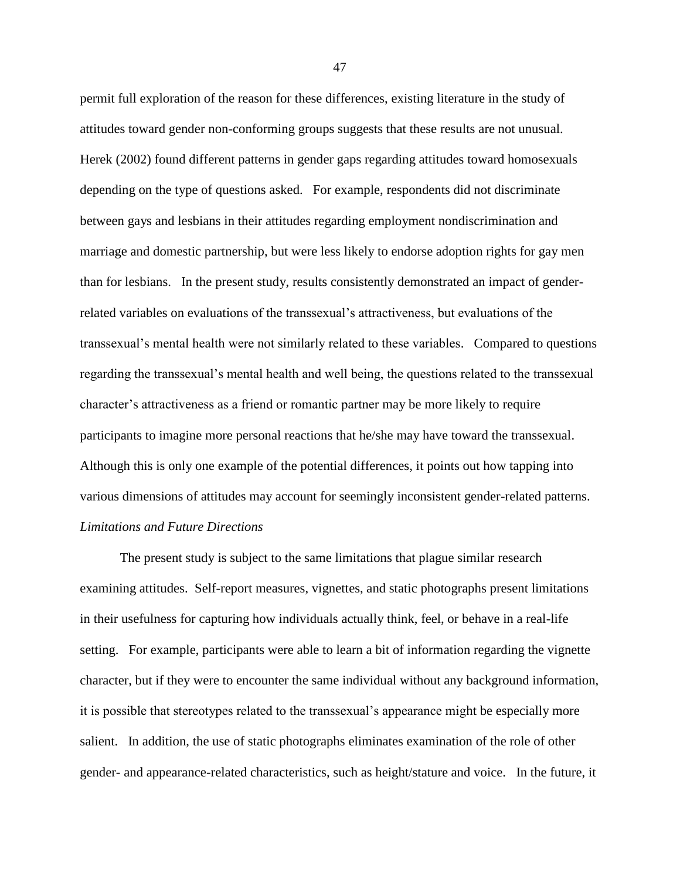permit full exploration of the reason for these differences, existing literature in the study of attitudes toward gender non-conforming groups suggests that these results are not unusual. Herek (2002) found different patterns in gender gaps regarding attitudes toward homosexuals depending on the type of questions asked. For example, respondents did not discriminate between gays and lesbians in their attitudes regarding employment nondiscrimination and marriage and domestic partnership, but were less likely to endorse adoption rights for gay men than for lesbians. In the present study, results consistently demonstrated an impact of genderrelated variables on evaluations of the transsexual's attractiveness, but evaluations of the transsexual's mental health were not similarly related to these variables. Compared to questions regarding the transsexual's mental health and well being, the questions related to the transsexual character's attractiveness as a friend or romantic partner may be more likely to require participants to imagine more personal reactions that he/she may have toward the transsexual. Although this is only one example of the potential differences, it points out how tapping into various dimensions of attitudes may account for seemingly inconsistent gender-related patterns. *Limitations and Future Directions*

The present study is subject to the same limitations that plague similar research examining attitudes. Self-report measures, vignettes, and static photographs present limitations in their usefulness for capturing how individuals actually think, feel, or behave in a real-life setting. For example, participants were able to learn a bit of information regarding the vignette character, but if they were to encounter the same individual without any background information, it is possible that stereotypes related to the transsexual's appearance might be especially more salient. In addition, the use of static photographs eliminates examination of the role of other gender- and appearance-related characteristics, such as height/stature and voice. In the future, it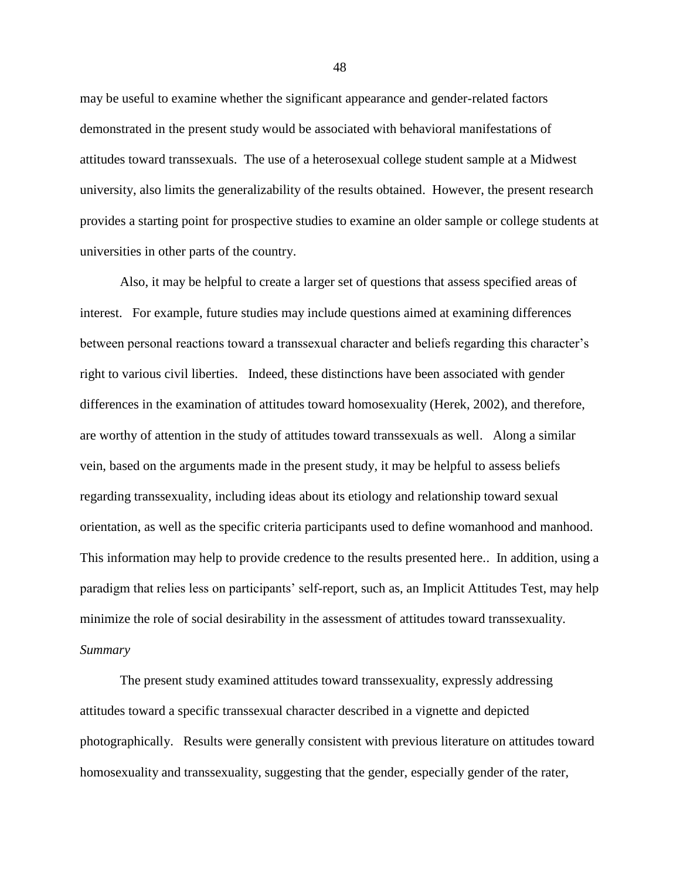may be useful to examine whether the significant appearance and gender-related factors demonstrated in the present study would be associated with behavioral manifestations of attitudes toward transsexuals. The use of a heterosexual college student sample at a Midwest university, also limits the generalizability of the results obtained. However, the present research provides a starting point for prospective studies to examine an older sample or college students at universities in other parts of the country.

Also, it may be helpful to create a larger set of questions that assess specified areas of interest. For example, future studies may include questions aimed at examining differences between personal reactions toward a transsexual character and beliefs regarding this character's right to various civil liberties. Indeed, these distinctions have been associated with gender differences in the examination of attitudes toward homosexuality (Herek, 2002), and therefore, are worthy of attention in the study of attitudes toward transsexuals as well. Along a similar vein, based on the arguments made in the present study, it may be helpful to assess beliefs regarding transsexuality, including ideas about its etiology and relationship toward sexual orientation, as well as the specific criteria participants used to define womanhood and manhood. This information may help to provide credence to the results presented here.. In addition, using a paradigm that relies less on participants' self-report, such as, an Implicit Attitudes Test, may help minimize the role of social desirability in the assessment of attitudes toward transsexuality. *Summary*

The present study examined attitudes toward transsexuality, expressly addressing attitudes toward a specific transsexual character described in a vignette and depicted photographically. Results were generally consistent with previous literature on attitudes toward homosexuality and transsexuality, suggesting that the gender, especially gender of the rater,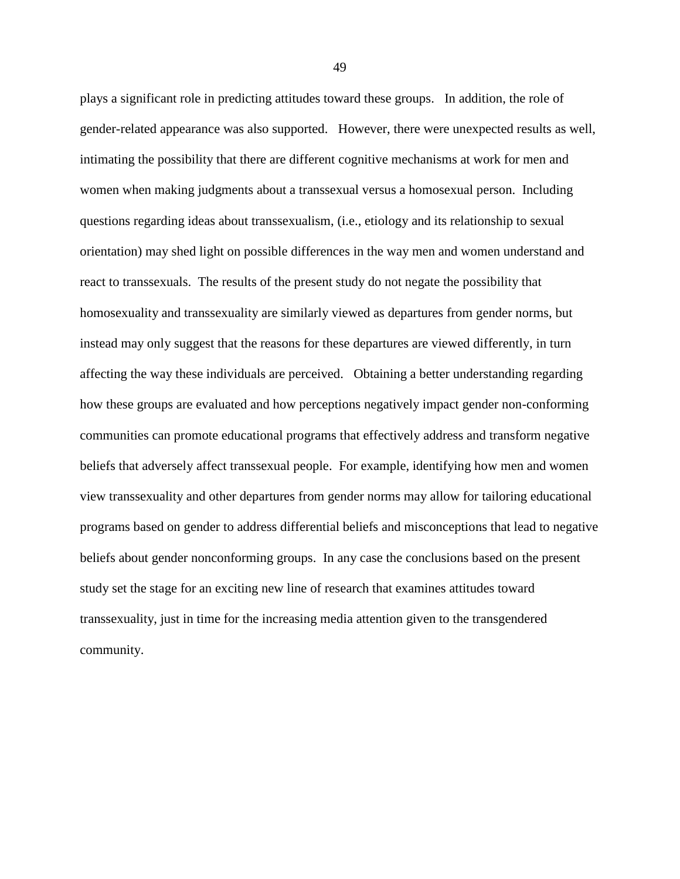plays a significant role in predicting attitudes toward these groups. In addition, the role of gender-related appearance was also supported. However, there were unexpected results as well, intimating the possibility that there are different cognitive mechanisms at work for men and women when making judgments about a transsexual versus a homosexual person. Including questions regarding ideas about transsexualism, (i.e., etiology and its relationship to sexual orientation) may shed light on possible differences in the way men and women understand and react to transsexuals. The results of the present study do not negate the possibility that homosexuality and transsexuality are similarly viewed as departures from gender norms, but instead may only suggest that the reasons for these departures are viewed differently, in turn affecting the way these individuals are perceived. Obtaining a better understanding regarding how these groups are evaluated and how perceptions negatively impact gender non-conforming communities can promote educational programs that effectively address and transform negative beliefs that adversely affect transsexual people. For example, identifying how men and women view transsexuality and other departures from gender norms may allow for tailoring educational programs based on gender to address differential beliefs and misconceptions that lead to negative beliefs about gender nonconforming groups. In any case the conclusions based on the present study set the stage for an exciting new line of research that examines attitudes toward transsexuality, just in time for the increasing media attention given to the transgendered community.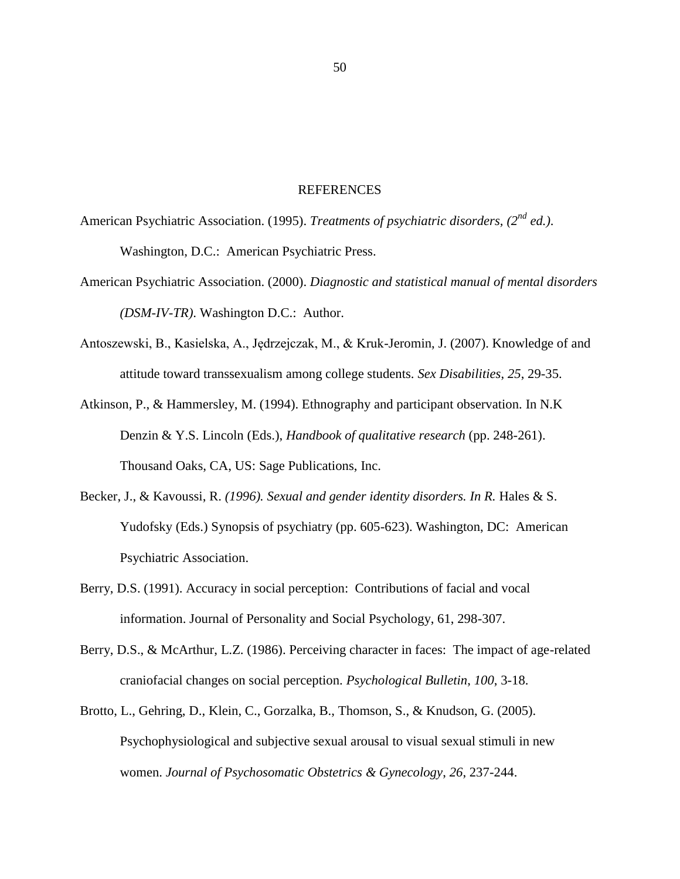#### **REFERENCES**

- American Psychiatric Association. (1995). *Treatments of psychiatric disorders, (2nd ed.)*. Washington, D.C.: American Psychiatric Press.
- American Psychiatric Association. (2000). *Diagnostic and statistical manual of mental disorders (DSM-IV-TR)*. Washington D.C.: Author.
- Antoszewski, B., Kasielska, A., Jędrzejczak, M., & Kruk-Jeromin, J. (2007). Knowledge of and attitude toward transsexualism among college students. *Sex Disabilities*, *25*, 29-35.
- Atkinson, P., & Hammersley, M. (1994). Ethnography and participant observation. In N.K Denzin & Y.S. Lincoln (Eds.), *Handbook of qualitative research* (pp. 248-261). Thousand Oaks, CA, US: Sage Publications, Inc.
- Becker, J., & Kavoussi, R. *(1996). Sexual and gender identity disorders. In R. Hales & S.* Yudofsky (Eds.) Synopsis of psychiatry (pp. 605-623). Washington, DC: American Psychiatric Association.
- Berry, D.S. (1991). Accuracy in social perception: Contributions of facial and vocal information. Journal of Personality and Social Psychology, 61, 298-307.
- Berry, D.S., & McArthur, L.Z. (1986). Perceiving character in faces: The impact of age-related craniofacial changes on social perception. *Psychological Bulletin*, *100*, 3-18.
- Brotto, L., Gehring, D., Klein, C., Gorzalka, B., Thomson, S., & Knudson, G. (2005). Psychophysiological and subjective sexual arousal to visual sexual stimuli in new women. *Journal of Psychosomatic Obstetrics & Gynecology*, *26*, 237-244.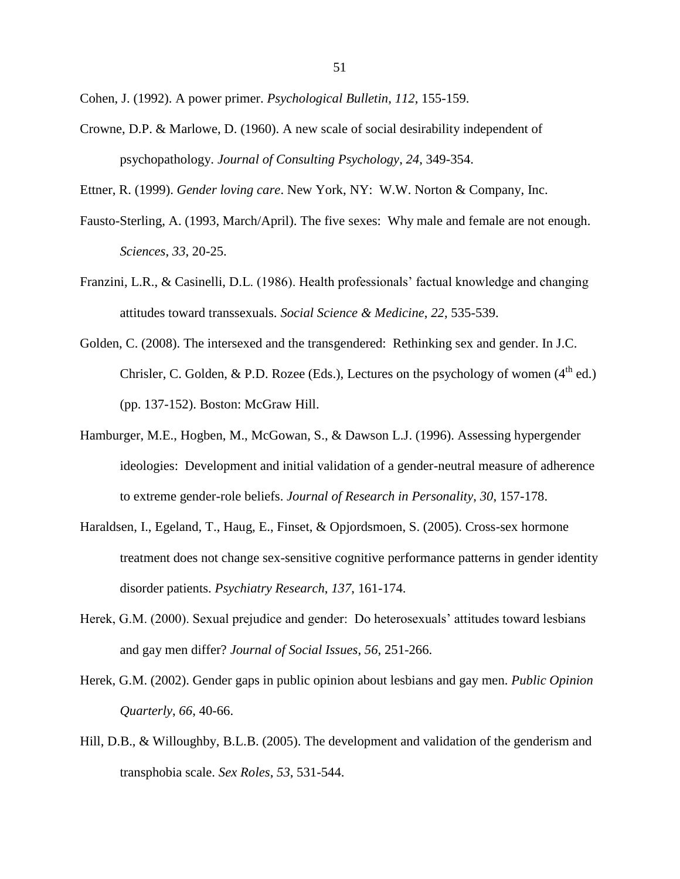Cohen, J. (1992). A power primer. *Psychological Bulletin*, *112*, 155-159.

Crowne, D.P. & Marlowe, D. (1960). A new scale of social desirability independent of psychopathology. *Journal of Consulting Psychology*, *24*, 349-354.

Ettner, R. (1999). *Gender loving care*. New York, NY: W.W. Norton & Company, Inc.

- Fausto-Sterling, A. (1993, March/April). The five sexes: Why male and female are not enough. *Sciences*, *33*, 20-25.
- Franzini, L.R., & Casinelli, D.L. (1986). Health professionals' factual knowledge and changing attitudes toward transsexuals. *Social Science & Medicine*, *22*, 535-539.
- Golden, C. (2008). The intersexed and the transgendered: Rethinking sex and gender. In J.C. Chrisler, C. Golden, & P.D. Rozee (Eds.), Lectures on the psychology of women  $(4<sup>th</sup>$  ed.) (pp. 137-152). Boston: McGraw Hill.
- Hamburger, M.E., Hogben, M., McGowan, S., & Dawson L.J. (1996). Assessing hypergender ideologies: Development and initial validation of a gender-neutral measure of adherence to extreme gender-role beliefs. *Journal of Research in Personality*, *30*, 157-178.
- Haraldsen, I., Egeland, T., Haug, E., Finset, & Opjordsmoen, S. (2005). Cross-sex hormone treatment does not change sex-sensitive cognitive performance patterns in gender identity disorder patients. *Psychiatry Research*, *137*, 161-174.
- Herek, G.M. (2000). Sexual prejudice and gender: Do heterosexuals' attitudes toward lesbians and gay men differ? *Journal of Social Issues*, *56*, 251-266.
- Herek, G.M. (2002). Gender gaps in public opinion about lesbians and gay men. *Public Opinion Quarterly*, *66*, 40-66.
- Hill, D.B., & Willoughby, B.L.B. (2005). The development and validation of the genderism and transphobia scale. *Sex Roles*, *53*, 531-544.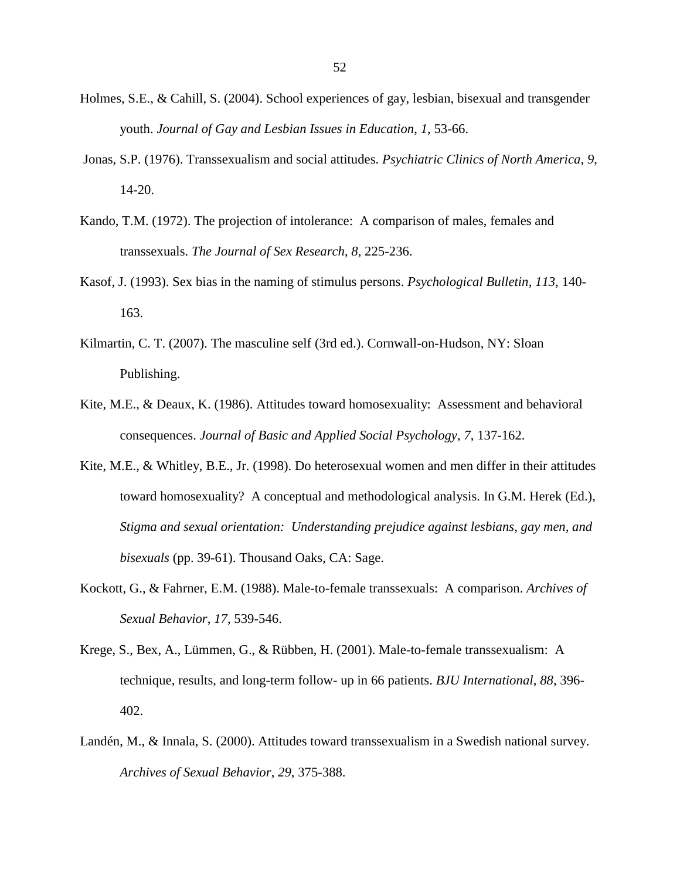- Holmes, S.E., & Cahill, S. (2004). School experiences of gay, lesbian, bisexual and transgender youth. *Journal of Gay and Lesbian Issues in Education*, *1*, 53-66.
- Jonas, S.P. (1976). Transsexualism and social attitudes. *Psychiatric Clinics of North America*, *9*, 14-20.
- Kando, T.M. (1972). The projection of intolerance: A comparison of males, females and transsexuals. *The Journal of Sex Research*, *8*, 225-236.
- Kasof, J. (1993). Sex bias in the naming of stimulus persons. *Psychological Bulletin*, *113*, 140- 163.
- Kilmartin, C. T. (2007). The masculine self (3rd ed.). Cornwall-on-Hudson, NY: Sloan Publishing.
- Kite, M.E., & Deaux, K. (1986). Attitudes toward homosexuality: Assessment and behavioral consequences. *Journal of Basic and Applied Social Psychology*, *7*, 137-162.
- Kite, M.E., & Whitley, B.E., Jr. (1998). Do heterosexual women and men differ in their attitudes toward homosexuality? A conceptual and methodological analysis. In G.M. Herek (Ed.), *Stigma and sexual orientation: Understanding prejudice against lesbians, gay men, and bisexuals* (pp. 39-61). Thousand Oaks, CA: Sage.
- Kockott, G., & Fahrner, E.M. (1988). Male-to-female transsexuals: A comparison. *Archives of Sexual Behavior*, *17,* 539-546.
- Krege, S., Bex, A., Lümmen, G., & Rübben, H. (2001). Male-to-female transsexualism: A technique, results, and long-term follow- up in 66 patients. *BJU International*, *88*, 396- 402.
- Landén, M., & Innala, S. (2000). Attitudes toward transsexualism in a Swedish national survey. *Archives of Sexual Behavior*, *29*, 375-388.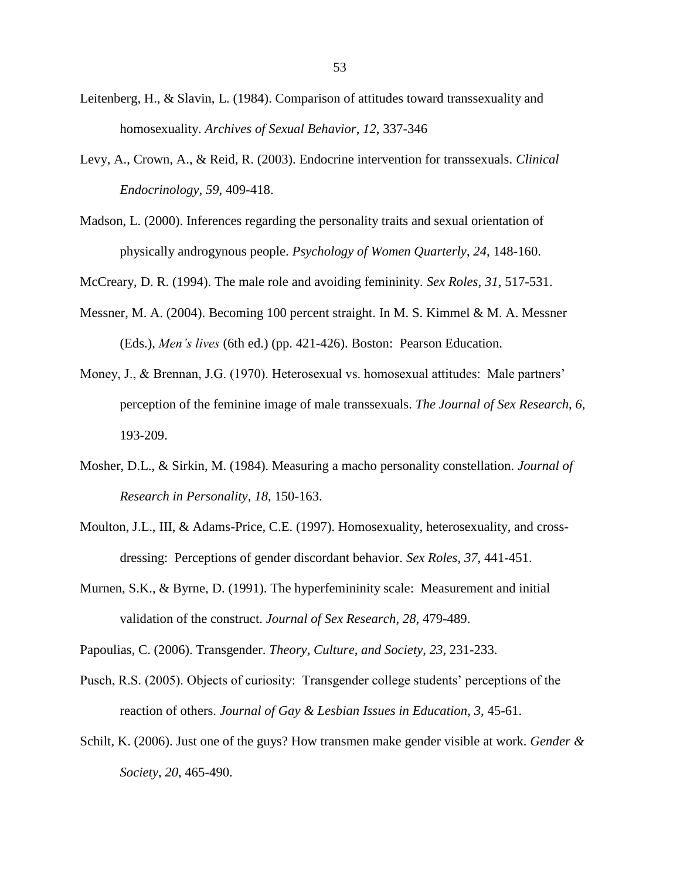- Leitenberg, H., & Slavin, L. (1984). Comparison of attitudes toward transsexuality and homosexuality. *Archives of Sexual Behavior*, *12*, 337-346
- Levy, A., Crown, A., & Reid, R. (2003). Endocrine intervention for transsexuals. *Clinical Endocrinology*, *59*, 409-418.
- Madson, L. (2000). Inferences regarding the personality traits and sexual orientation of physically androgynous people. *Psychology of Women Quarterly*, *24*, 148-160.

McCreary, D. R. (1994). The male role and avoiding femininity. *Sex Roles*, *31*, 517-531.

- Messner, M. A. (2004). Becoming 100 percent straight. In M. S. Kimmel & M. A. Messner (Eds.), *Men's lives* (6th ed.) (pp. 421-426). Boston: Pearson Education.
- Money, J., & Brennan, J.G. (1970). Heterosexual vs. homosexual attitudes: Male partners' perception of the feminine image of male transsexuals. *The Journal of Sex Research*, *6*, 193-209.
- Mosher, D.L., & Sirkin, M. (1984). Measuring a macho personality constellation. *Journal of Research in Personality*, *18*, 150-163.
- Moulton, J.L., III, & Adams-Price, C.E. (1997). Homosexuality, heterosexuality, and crossdressing: Perceptions of gender discordant behavior. *Sex Roles*, *37*, 441-451.
- Murnen, S.K., & Byrne, D. (1991). The hyperfemininity scale: Measurement and initial validation of the construct. *Journal of Sex Research*, *28*, 479-489.

Papoulias, C. (2006). Transgender. *Theory, Culture, and Society*, *23*, 231-233.

- Pusch, R.S. (2005). Objects of curiosity: Transgender college students' perceptions of the reaction of others. *Journal of Gay & Lesbian Issues in Education*, *3*, 45-61.
- Schilt, K. (2006). Just one of the guys? How transmen make gender visible at work. *Gender & Society*, *20*, 465-490.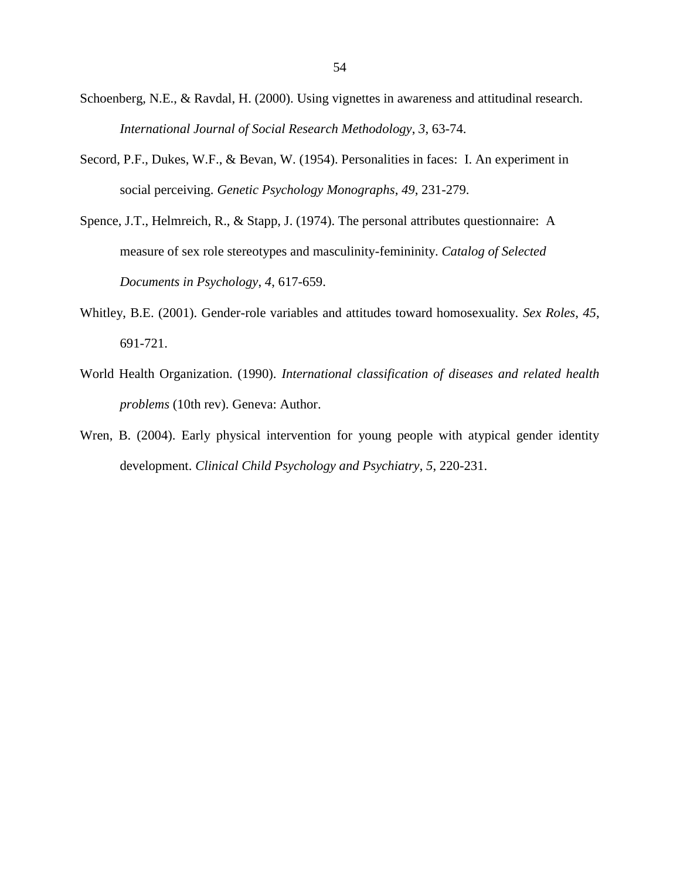- Schoenberg, N.E., & Ravdal, H. (2000). Using vignettes in awareness and attitudinal research. *International Journal of Social Research Methodology*, *3*, 63-74.
- Secord, P.F., Dukes, W.F., & Bevan, W. (1954). Personalities in faces: I. An experiment in social perceiving. *Genetic Psychology Monographs*, *49*, 231-279.
- Spence, J.T., Helmreich, R., & Stapp, J. (1974). The personal attributes questionnaire: A measure of sex role stereotypes and masculinity-femininity. *Catalog of Selected Documents in Psychology*, *4*, 617-659.
- Whitley, B.E. (2001). Gender-role variables and attitudes toward homosexuality. *Sex Roles*, *45*, 691-721.
- World Health Organization. (1990). *International classification of diseases and related health problems* (10th rev). Geneva: Author.
- Wren, B. (2004). Early physical intervention for young people with atypical gender identity development. *Clinical Child Psychology and Psychiatry*, *5*, 220-231.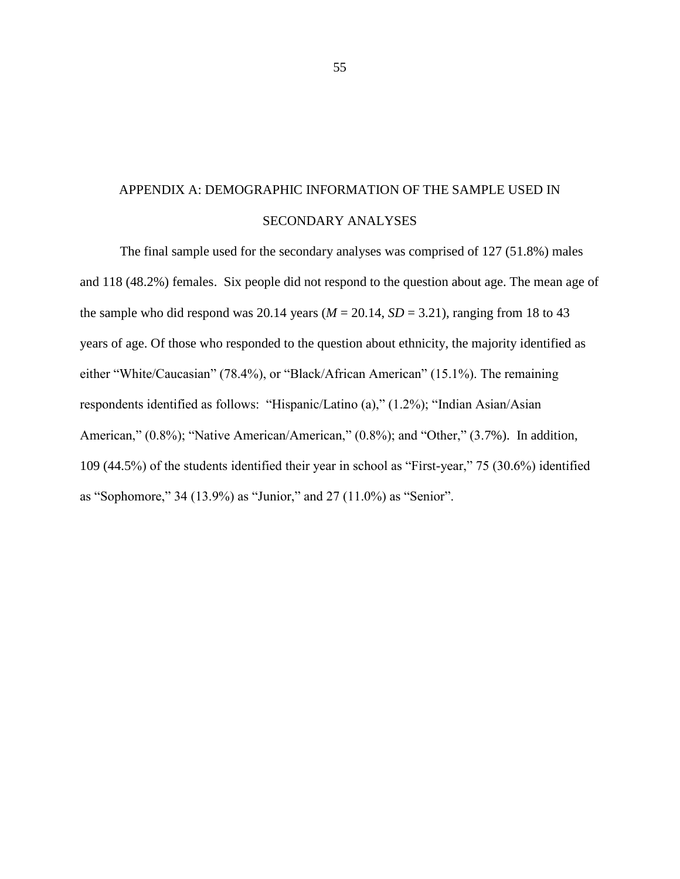# APPENDIX A: DEMOGRAPHIC INFORMATION OF THE SAMPLE USED IN SECONDARY ANALYSES

The final sample used for the secondary analyses was comprised of 127 (51.8%) males and 118 (48.2%) females. Six people did not respond to the question about age. The mean age of the sample who did respond was 20.14 years  $(M = 20.14, SD = 3.21)$ , ranging from 18 to 43 years of age. Of those who responded to the question about ethnicity, the majority identified as either "White/Caucasian" (78.4%), or "Black/African American" (15.1%). The remaining respondents identified as follows: "Hispanic/Latino (a)," (1.2%); "Indian Asian/Asian American," (0.8%); "Native American/American," (0.8%); and "Other," (3.7%). In addition, 109 (44.5%) of the students identified their year in school as "First-year," 75 (30.6%) identified as "Sophomore," 34 (13.9%) as "Junior," and 27 (11.0%) as "Senior".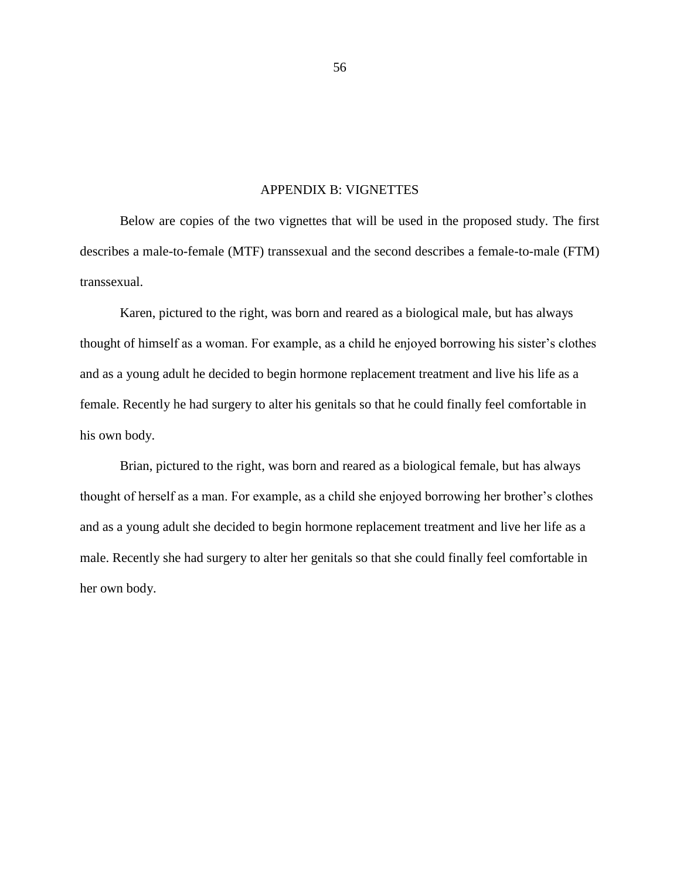#### APPENDIX B: VIGNETTES

Below are copies of the two vignettes that will be used in the proposed study. The first describes a male-to-female (MTF) transsexual and the second describes a female-to-male (FTM) transsexual.

Karen, pictured to the right, was born and reared as a biological male, but has always thought of himself as a woman. For example, as a child he enjoyed borrowing his sister's clothes and as a young adult he decided to begin hormone replacement treatment and live his life as a female. Recently he had surgery to alter his genitals so that he could finally feel comfortable in his own body.

Brian, pictured to the right, was born and reared as a biological female, but has always thought of herself as a man. For example, as a child she enjoyed borrowing her brother's clothes and as a young adult she decided to begin hormone replacement treatment and live her life as a male. Recently she had surgery to alter her genitals so that she could finally feel comfortable in her own body.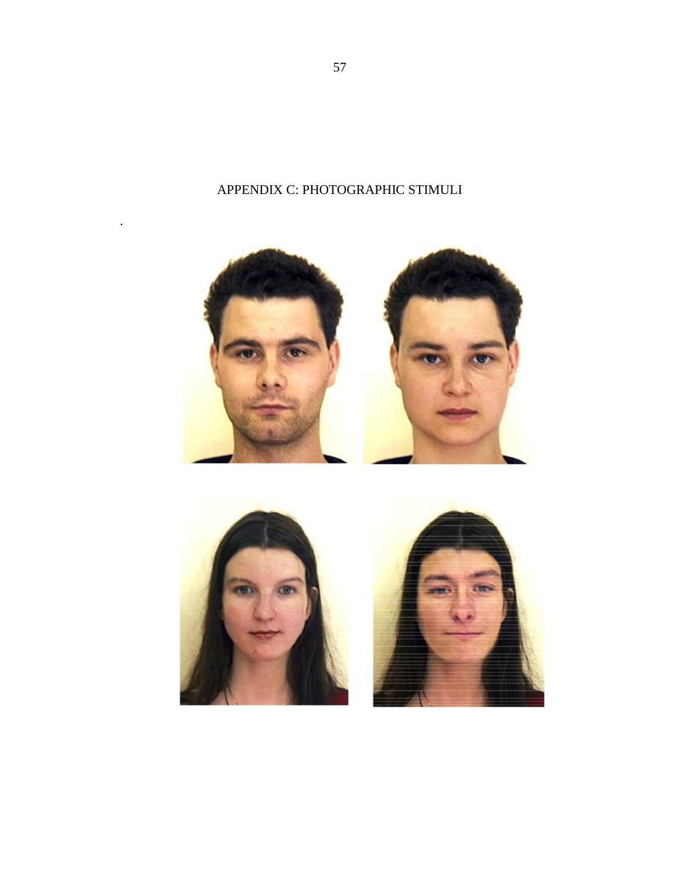





.

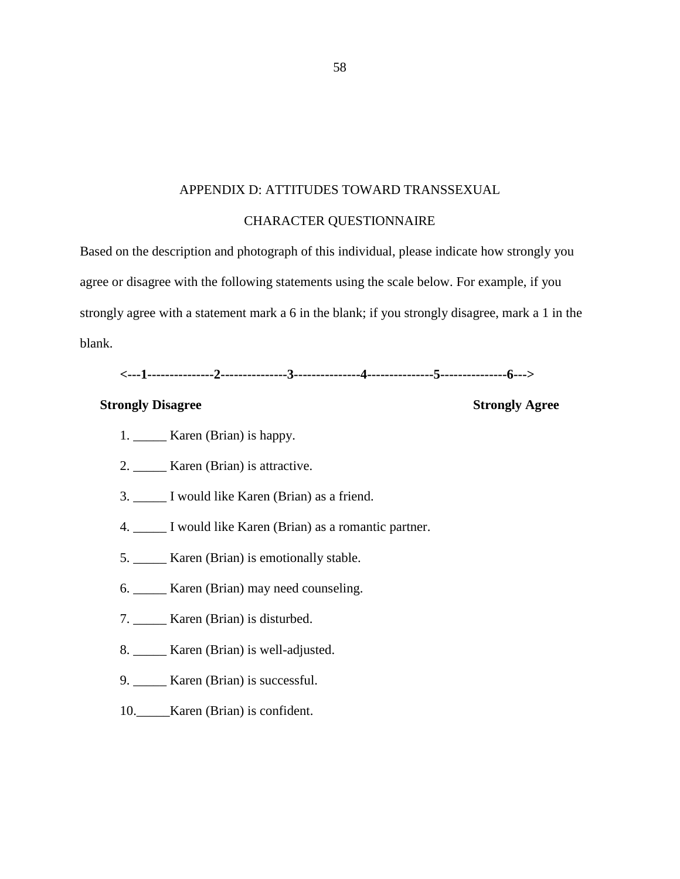#### APPENDIX D: ATTITUDES TOWARD TRANSSEXUAL

#### CHARACTER QUESTIONNAIRE

Based on the description and photograph of this individual, please indicate how strongly you agree or disagree with the following statements using the scale below. For example, if you strongly agree with a statement mark a 6 in the blank; if you strongly disagree, mark a 1 in the blank.

### **<---1---------------2---------------3---------------4---------------5---------------6--->**

#### **Strongly Disagree Strongly Agree**

- 1. \_\_\_\_\_ Karen (Brian) is happy.
- 2. Karen (Brian) is attractive.
- 3. \_\_\_\_\_ I would like Karen (Brian) as a friend.
- 4. \_\_\_\_\_ I would like Karen (Brian) as a romantic partner.
- 5. \_\_\_\_\_ Karen (Brian) is emotionally stable.
- 6. \_\_\_\_\_ Karen (Brian) may need counseling.
- 7. \_\_\_\_\_ Karen (Brian) is disturbed.
- 8. \_\_\_\_\_ Karen (Brian) is well-adjusted.
- 9. \_\_\_\_\_ Karen (Brian) is successful.
- 10. Karen (Brian) is confident.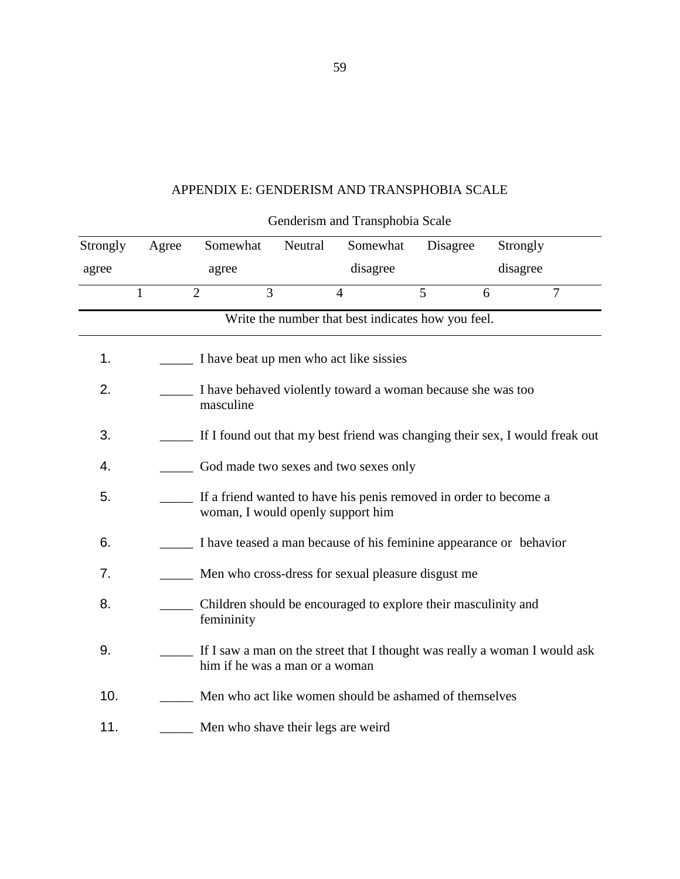### APPENDIX E: GENDERISM AND TRANSPHOBIA SCALE

| Strongly | Agree | Somewhat                                                                                                     | Neutral | Somewhat                                           | Disagree | Strongly |                |  |
|----------|-------|--------------------------------------------------------------------------------------------------------------|---------|----------------------------------------------------|----------|----------|----------------|--|
| agree    |       | agree                                                                                                        |         | disagree                                           |          | disagree |                |  |
|          | 1     | $\overline{3}$<br>$\overline{2}$                                                                             |         | $\overline{4}$                                     | 5        | 6        | $\overline{7}$ |  |
|          |       |                                                                                                              |         | Write the number that best indicates how you feel. |          |          |                |  |
| 1.       |       | I have beat up men who act like sissies                                                                      |         |                                                    |          |          |                |  |
| 2.       |       | I have behaved violently toward a woman because she was too<br>masculine                                     |         |                                                    |          |          |                |  |
| 3.       |       | If I found out that my best friend was changing their sex, I would freak out                                 |         |                                                    |          |          |                |  |
| 4.       |       | God made two sexes and two sexes only                                                                        |         |                                                    |          |          |                |  |
| 5.       |       | If a friend wanted to have his penis removed in order to become a<br>woman, I would openly support him       |         |                                                    |          |          |                |  |
| 6.       |       | I have teased a man because of his feminine appearance or behavior                                           |         |                                                    |          |          |                |  |
| 7.       |       | Men who cross-dress for sexual pleasure disgust me                                                           |         |                                                    |          |          |                |  |
| 8.       |       | Children should be encouraged to explore their masculinity and<br>femininity                                 |         |                                                    |          |          |                |  |
| 9.       |       | If I saw a man on the street that I thought was really a woman I would ask<br>him if he was a man or a woman |         |                                                    |          |          |                |  |
| 10.      |       | Men who act like women should be ashamed of themselves                                                       |         |                                                    |          |          |                |  |
| 11.      |       | Men who shave their legs are weird                                                                           |         |                                                    |          |          |                |  |

# Genderism and Transphobia Scale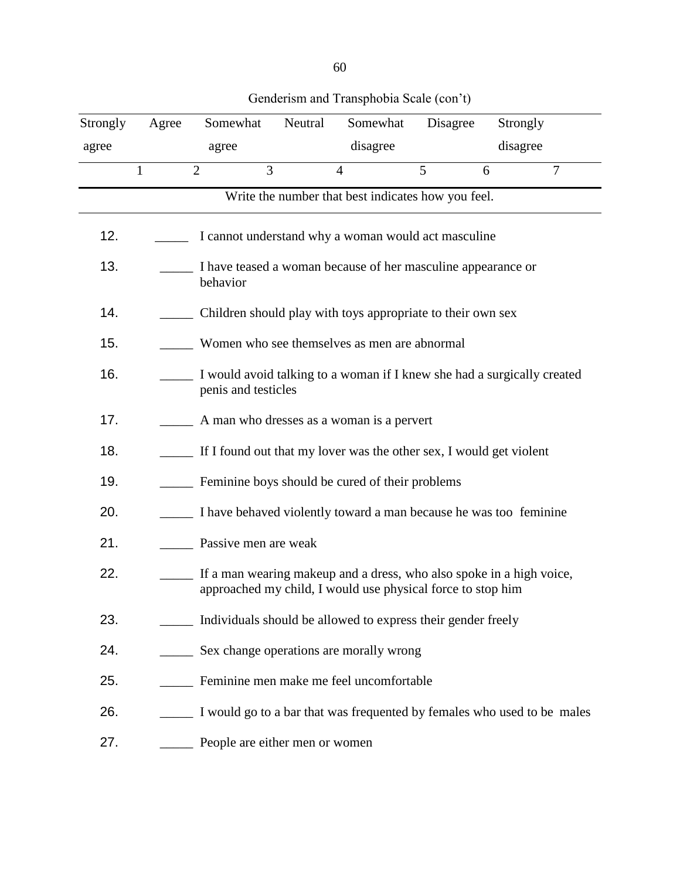| Strongly | Agree | Somewhat                                                                                                                            | Neutral | Somewhat                                                                | Disagree | Strongly |   |
|----------|-------|-------------------------------------------------------------------------------------------------------------------------------------|---------|-------------------------------------------------------------------------|----------|----------|---|
| agree    |       | agree                                                                                                                               |         | disagree                                                                |          | disagree |   |
|          | 1     | $\overline{3}$<br>$\overline{2}$                                                                                                    |         | $\overline{4}$                                                          | 5        | 6        | 7 |
|          |       |                                                                                                                                     |         | Write the number that best indicates how you feel.                      |          |          |   |
| 12.      |       |                                                                                                                                     |         | I cannot understand why a woman would act masculine                     |          |          |   |
| 13.      |       | I have teased a woman because of her masculine appearance or<br>behavior                                                            |         |                                                                         |          |          |   |
| 14.      |       | Children should play with toys appropriate to their own sex                                                                         |         |                                                                         |          |          |   |
| 15.      |       | Women who see themselves as men are abnormal                                                                                        |         |                                                                         |          |          |   |
| 16.      |       | I would avoid talking to a woman if I knew she had a surgically created<br>penis and testicles                                      |         |                                                                         |          |          |   |
| 17.      |       | A man who dresses as a woman is a pervert                                                                                           |         |                                                                         |          |          |   |
| 18.      |       | If I found out that my lover was the other sex, I would get violent                                                                 |         |                                                                         |          |          |   |
| 19.      |       | Feminine boys should be cured of their problems                                                                                     |         |                                                                         |          |          |   |
| 20.      |       | I have behaved violently toward a man because he was too feminine                                                                   |         |                                                                         |          |          |   |
| 21.      |       | Passive men are weak                                                                                                                |         |                                                                         |          |          |   |
| 22.      |       | If a man wearing makeup and a dress, who also spoke in a high voice,<br>approached my child, I would use physical force to stop him |         |                                                                         |          |          |   |
| 23.      |       | Individuals should be allowed to express their gender freely                                                                        |         |                                                                         |          |          |   |
| 24.      |       | Sex change operations are morally wrong                                                                                             |         |                                                                         |          |          |   |
| 25.      |       |                                                                                                                                     |         | Feminine men make me feel uncomfortable                                 |          |          |   |
| 26.      |       |                                                                                                                                     |         | I would go to a bar that was frequented by females who used to be males |          |          |   |
| 27.      |       | People are either men or women                                                                                                      |         |                                                                         |          |          |   |

## Genderism and Transphobia Scale (con't)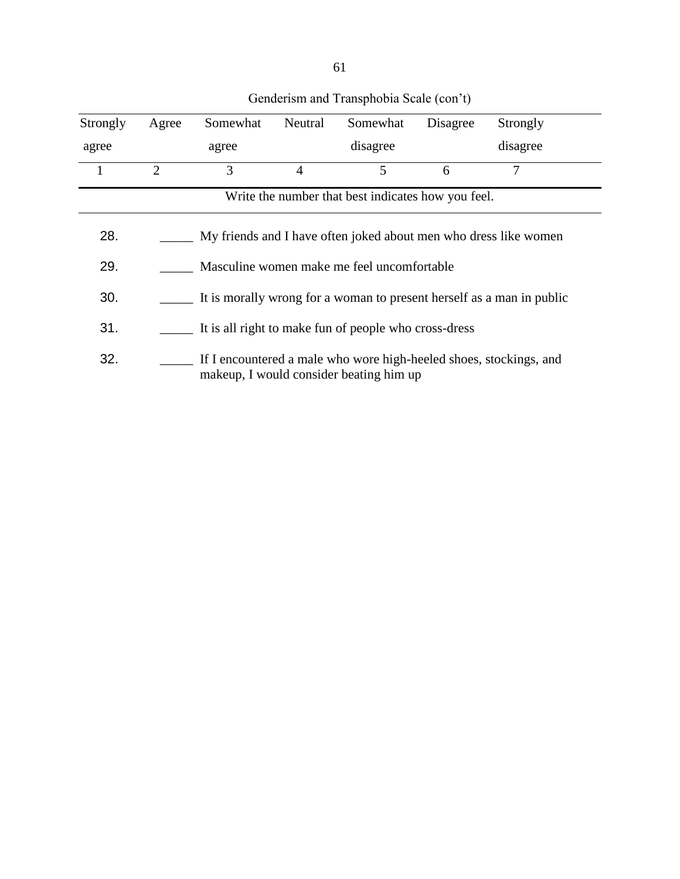| Strongly                                           | Agree                                                                                                         | Somewhat | Neutral | Somewhat | Disagree | Strongly |
|----------------------------------------------------|---------------------------------------------------------------------------------------------------------------|----------|---------|----------|----------|----------|
| agree                                              |                                                                                                               | agree    |         | disagree |          | disagree |
| $\mathbf{1}$                                       | $\overline{2}$                                                                                                | 3        | 4       | 5        | 6        | 7        |
| Write the number that best indicates how you feel. |                                                                                                               |          |         |          |          |          |
| 28.                                                | My friends and I have often joked about men who dress like women                                              |          |         |          |          |          |
| 29.                                                | Masculine women make me feel uncomfortable                                                                    |          |         |          |          |          |
| 30.                                                | It is morally wrong for a woman to present herself as a man in public                                         |          |         |          |          |          |
| 31.                                                | It is all right to make fun of people who cross-dress                                                         |          |         |          |          |          |
| 32.                                                | If I encountered a male who wore high-heeled shoes, stockings, and<br>makeup, I would consider beating him up |          |         |          |          |          |

## Genderism and Transphobia Scale (con't)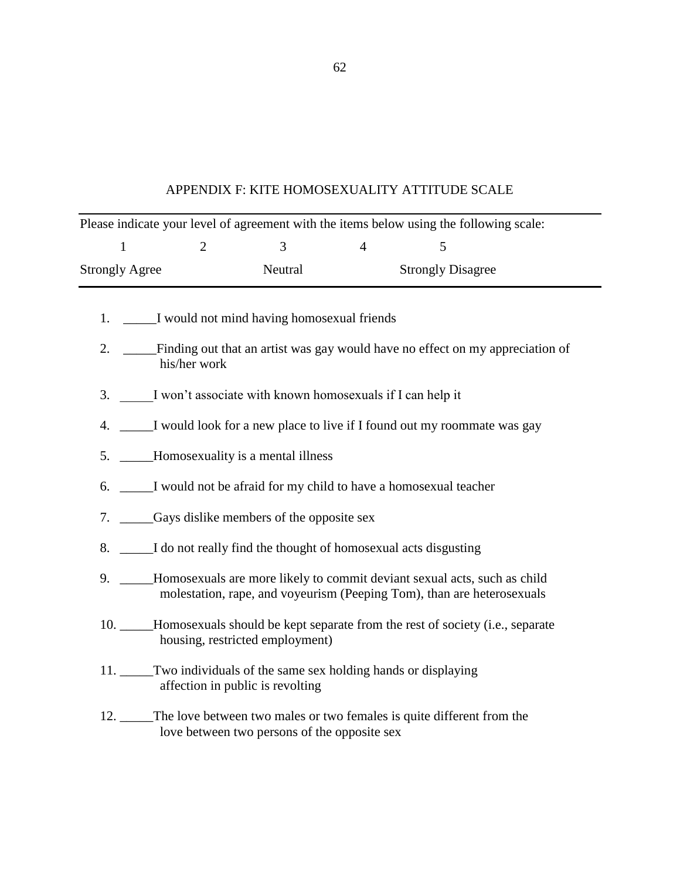| APPENDIX F: KITE HOMOSEXUALITY ATTITUDE SCALE |  |  |  |  |  |
|-----------------------------------------------|--|--|--|--|--|
|-----------------------------------------------|--|--|--|--|--|

| Please indicate your level of agreement with the items below using the following scale: |                                                                                                                                                           |                                              |                |                                                                                       |  |  |  |  |  |
|-----------------------------------------------------------------------------------------|-----------------------------------------------------------------------------------------------------------------------------------------------------------|----------------------------------------------|----------------|---------------------------------------------------------------------------------------|--|--|--|--|--|
| $\mathbf{1}$                                                                            | 2                                                                                                                                                         | $\overline{3}$                               | $\overline{4}$ | 5                                                                                     |  |  |  |  |  |
| <b>Strongly Agree</b>                                                                   |                                                                                                                                                           | Neutral                                      |                | <b>Strongly Disagree</b>                                                              |  |  |  |  |  |
|                                                                                         | 1. ______I would not mind having homosexual friends                                                                                                       |                                              |                |                                                                                       |  |  |  |  |  |
|                                                                                         | 2. ____Finding out that an artist was gay would have no effect on my appreciation of<br>his/her work                                                      |                                              |                |                                                                                       |  |  |  |  |  |
|                                                                                         | 3. I won't associate with known homosexuals if I can help it                                                                                              |                                              |                |                                                                                       |  |  |  |  |  |
|                                                                                         | 4. _____I would look for a new place to live if I found out my roommate was gay                                                                           |                                              |                |                                                                                       |  |  |  |  |  |
|                                                                                         | 5. _____Homosexuality is a mental illness                                                                                                                 |                                              |                |                                                                                       |  |  |  |  |  |
|                                                                                         | 6. _____I would not be afraid for my child to have a homosexual teacher                                                                                   |                                              |                |                                                                                       |  |  |  |  |  |
|                                                                                         | 7. _______Gays dislike members of the opposite sex                                                                                                        |                                              |                |                                                                                       |  |  |  |  |  |
|                                                                                         | 8. _____I do not really find the thought of homosexual acts disgusting                                                                                    |                                              |                |                                                                                       |  |  |  |  |  |
|                                                                                         | 9. ____Homosexuals are more likely to commit deviant sexual acts, such as child<br>molestation, rape, and voyeurism (Peeping Tom), than are heterosexuals |                                              |                |                                                                                       |  |  |  |  |  |
|                                                                                         |                                                                                                                                                           | housing, restricted employment)              |                | 10. _____Homosexuals should be kept separate from the rest of society (i.e., separate |  |  |  |  |  |
|                                                                                         | 11. Two individuals of the same sex holding hands or displaying                                                                                           | affection in public is revolting             |                |                                                                                       |  |  |  |  |  |
|                                                                                         |                                                                                                                                                           | love between two persons of the opposite sex |                | 12. The love between two males or two females is quite different from the             |  |  |  |  |  |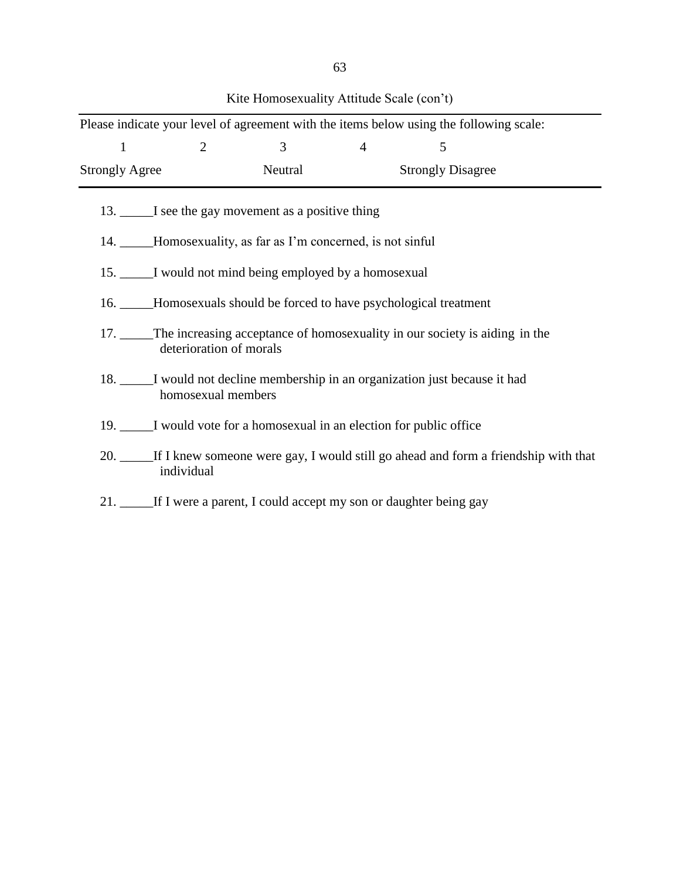|                                                                |                                                                                                           |         |                | Please indicate your level of agreement with the items below using the following scale: |  |  |  |  |
|----------------------------------------------------------------|-----------------------------------------------------------------------------------------------------------|---------|----------------|-----------------------------------------------------------------------------------------|--|--|--|--|
| $\mathbf{1}$                                                   | $\overline{2}$                                                                                            | 3       | $\overline{4}$ | 5                                                                                       |  |  |  |  |
| <b>Strongly Agree</b>                                          |                                                                                                           | Neutral |                | <b>Strongly Disagree</b>                                                                |  |  |  |  |
|                                                                | 13. I see the gay movement as a positive thing                                                            |         |                |                                                                                         |  |  |  |  |
| 14. _____Homosexuality, as far as I'm concerned, is not sinful |                                                                                                           |         |                |                                                                                         |  |  |  |  |
|                                                                | 15. I would not mind being employed by a homosexual                                                       |         |                |                                                                                         |  |  |  |  |
|                                                                |                                                                                                           |         |                | 16. _____Homosexuals should be forced to have psychological treatment                   |  |  |  |  |
|                                                                | 17. The increasing acceptance of homosexuality in our society is aiding in the<br>deterioration of morals |         |                |                                                                                         |  |  |  |  |
|                                                                | 18. _____I would not decline membership in an organization just because it had<br>homosexual members      |         |                |                                                                                         |  |  |  |  |
|                                                                | 19. I would vote for a homosexual in an election for public office                                        |         |                |                                                                                         |  |  |  |  |
|                                                                | 20. If I knew someone were gay, I would still go ahead and form a friendship with that<br>individual      |         |                |                                                                                         |  |  |  |  |
|                                                                |                                                                                                           |         |                | 21. _____If I were a parent, I could accept my son or daughter being gay                |  |  |  |  |

Kite Homosexuality Attitude Scale (con't)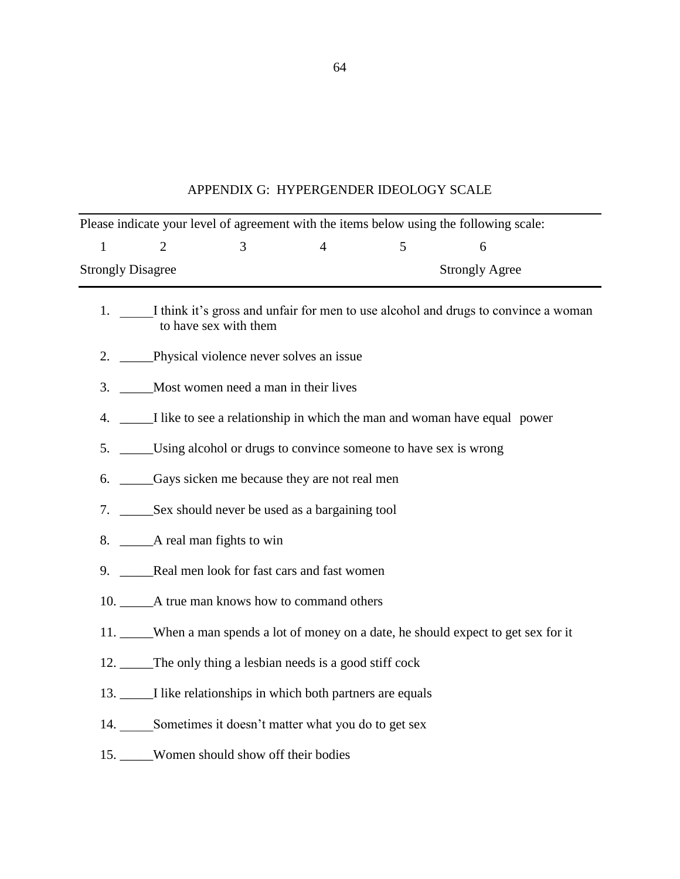| APPENDIX G: HYPERGENDER IDEOLOGY SCALE |  |
|----------------------------------------|--|
|----------------------------------------|--|

| Please indicate your level of agreement with the items below using the following scale:                        |                                                                                    |                                                            |                |   |                       |  |  |  |
|----------------------------------------------------------------------------------------------------------------|------------------------------------------------------------------------------------|------------------------------------------------------------|----------------|---|-----------------------|--|--|--|
| $\mathbf{1}$                                                                                                   | $\overline{2}$                                                                     | 3                                                          | $\overline{4}$ | 5 | 6                     |  |  |  |
| <b>Strongly Disagree</b>                                                                                       |                                                                                    |                                                            |                |   | <b>Strongly Agree</b> |  |  |  |
| 1. I think it's gross and unfair for men to use alcohol and drugs to convince a woman<br>to have sex with them |                                                                                    |                                                            |                |   |                       |  |  |  |
|                                                                                                                | 2. Physical violence never solves an issue                                         |                                                            |                |   |                       |  |  |  |
| 3.                                                                                                             | Most women need a man in their lives                                               |                                                            |                |   |                       |  |  |  |
|                                                                                                                | 4. _____I like to see a relationship in which the man and woman have equal power   |                                                            |                |   |                       |  |  |  |
|                                                                                                                | 5. ______Using alcohol or drugs to convince someone to have sex is wrong           |                                                            |                |   |                       |  |  |  |
|                                                                                                                | 6. Cays sicken me because they are not real men                                    |                                                            |                |   |                       |  |  |  |
|                                                                                                                |                                                                                    |                                                            |                |   |                       |  |  |  |
|                                                                                                                |                                                                                    |                                                            |                |   |                       |  |  |  |
|                                                                                                                | 9. Real men look for fast cars and fast women                                      |                                                            |                |   |                       |  |  |  |
|                                                                                                                |                                                                                    |                                                            |                |   |                       |  |  |  |
|                                                                                                                | 11. When a man spends a lot of money on a date, he should expect to get sex for it |                                                            |                |   |                       |  |  |  |
|                                                                                                                | 12. The only thing a lesbian needs is a good stiff cock                            |                                                            |                |   |                       |  |  |  |
|                                                                                                                |                                                                                    | 13. I like relationships in which both partners are equals |                |   |                       |  |  |  |
|                                                                                                                |                                                                                    | 14. Sometimes it doesn't matter what you do to get sex     |                |   |                       |  |  |  |
|                                                                                                                |                                                                                    | 15. Women should show off their bodies                     |                |   |                       |  |  |  |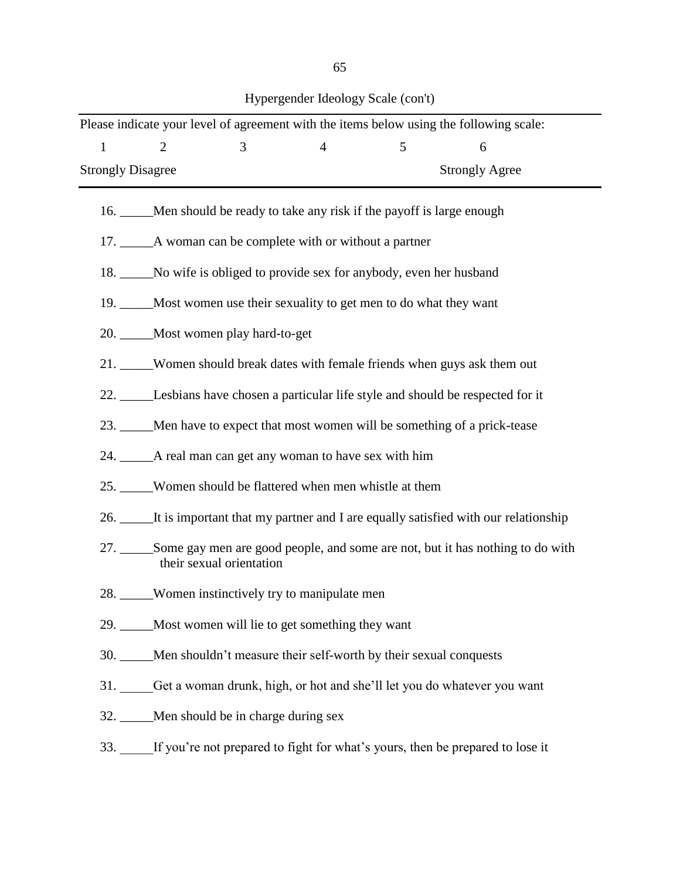| I                         | <b>SALE</b> |
|---------------------------|-------------|
| . .<br>×<br>۰.<br>v.<br>v | I<br>٠<br>v |

Hypergender Ideology Scale (con't)

| Please indicate your level of agreement with the items below using the following scale: |                                                                                                               |                                                        |                |                                                                             |                                                                                       |  |  |  |
|-----------------------------------------------------------------------------------------|---------------------------------------------------------------------------------------------------------------|--------------------------------------------------------|----------------|-----------------------------------------------------------------------------|---------------------------------------------------------------------------------------|--|--|--|
| $\mathbf{1}$                                                                            | $\overline{2}$                                                                                                | $\overline{3}$                                         | $\overline{4}$ | 5                                                                           | 6                                                                                     |  |  |  |
| <b>Strongly Disagree</b><br><b>Strongly Agree</b>                                       |                                                                                                               |                                                        |                |                                                                             |                                                                                       |  |  |  |
|                                                                                         |                                                                                                               |                                                        |                | 16. _____Men should be ready to take any risk if the payoff is large enough |                                                                                       |  |  |  |
|                                                                                         |                                                                                                               |                                                        |                |                                                                             |                                                                                       |  |  |  |
|                                                                                         | 18. No wife is obliged to provide sex for anybody, even her husband                                           |                                                        |                |                                                                             |                                                                                       |  |  |  |
|                                                                                         | 19. _____Most women use their sexuality to get men to do what they want                                       |                                                        |                |                                                                             |                                                                                       |  |  |  |
|                                                                                         | 20. Most women play hard-to-get                                                                               |                                                        |                |                                                                             |                                                                                       |  |  |  |
|                                                                                         | 21. Women should break dates with female friends when guys ask them out                                       |                                                        |                |                                                                             |                                                                                       |  |  |  |
|                                                                                         | 22. Lesbians have chosen a particular life style and should be respected for it                               |                                                        |                |                                                                             |                                                                                       |  |  |  |
|                                                                                         | 23. _____Men have to expect that most women will be something of a prick-tease                                |                                                        |                |                                                                             |                                                                                       |  |  |  |
|                                                                                         | 24. ______A real man can get any woman to have sex with him                                                   |                                                        |                |                                                                             |                                                                                       |  |  |  |
|                                                                                         |                                                                                                               | 25. Women should be flattered when men whistle at them |                |                                                                             |                                                                                       |  |  |  |
|                                                                                         |                                                                                                               |                                                        |                |                                                                             | 26. It is important that my partner and I are equally satisfied with our relationship |  |  |  |
|                                                                                         | 27. Some gay men are good people, and some are not, but it has nothing to do with<br>their sexual orientation |                                                        |                |                                                                             |                                                                                       |  |  |  |
|                                                                                         |                                                                                                               | 28. Women instinctively try to manipulate men          |                |                                                                             |                                                                                       |  |  |  |
|                                                                                         | 29. _____Most women will lie to get something they want                                                       |                                                        |                |                                                                             |                                                                                       |  |  |  |
|                                                                                         |                                                                                                               |                                                        |                | 30. ____Men shouldn't measure their self-worth by their sexual conquests    |                                                                                       |  |  |  |
|                                                                                         |                                                                                                               |                                                        |                |                                                                             | 31. Get a woman drunk, high, or hot and she'll let you do whatever you want           |  |  |  |
|                                                                                         |                                                                                                               | 32. Men should be in charge during sex                 |                |                                                                             |                                                                                       |  |  |  |
|                                                                                         |                                                                                                               |                                                        |                |                                                                             | 33. If you're not prepared to fight for what's yours, then be prepared to lose it     |  |  |  |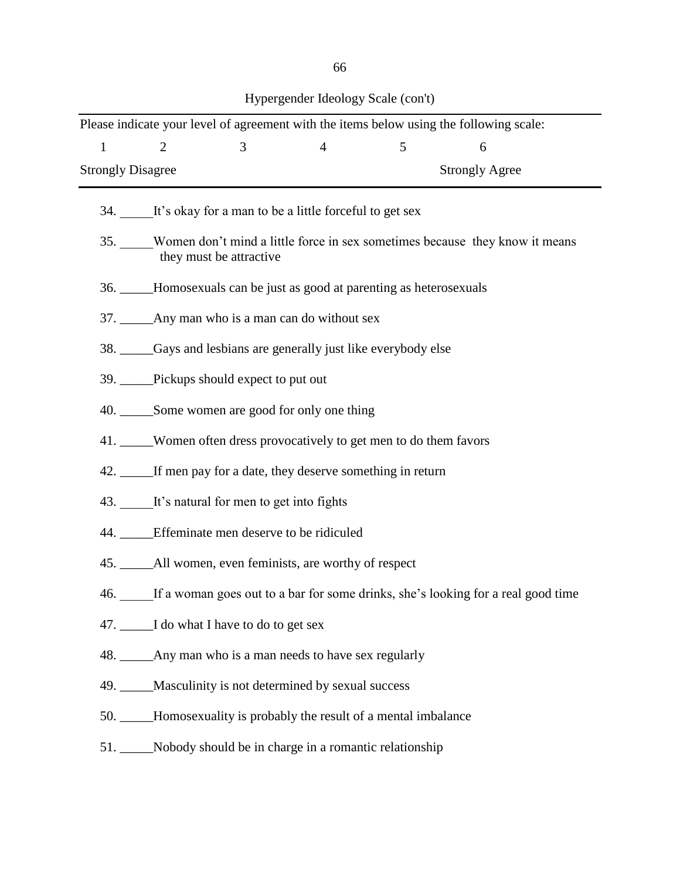| . .<br>. .<br>×<br>۰.<br>۰.<br>×<br>v<br>v<br>v.<br>v. |
|--------------------------------------------------------|
|--------------------------------------------------------|

| $\overline{2}$                                                                                             |                          |                |                                                                                                                                                                                   |                                                                                                                                                                                                                                                     |                                                                                                                                                                                                                                                                                                                  |  |  |
|------------------------------------------------------------------------------------------------------------|--------------------------|----------------|-----------------------------------------------------------------------------------------------------------------------------------------------------------------------------------|-----------------------------------------------------------------------------------------------------------------------------------------------------------------------------------------------------------------------------------------------------|------------------------------------------------------------------------------------------------------------------------------------------------------------------------------------------------------------------------------------------------------------------------------------------------------------------|--|--|
|                                                                                                            | 3 <sup>1</sup>           | $\overline{4}$ | 5                                                                                                                                                                                 | Please indicate your level of agreement with the items below using the following scale:<br>6                                                                                                                                                        |                                                                                                                                                                                                                                                                                                                  |  |  |
|                                                                                                            |                          |                |                                                                                                                                                                                   |                                                                                                                                                                                                                                                     |                                                                                                                                                                                                                                                                                                                  |  |  |
|                                                                                                            |                          |                |                                                                                                                                                                                   |                                                                                                                                                                                                                                                     |                                                                                                                                                                                                                                                                                                                  |  |  |
| 35. Women don't mind a little force in sex sometimes because they know it means<br>they must be attractive |                          |                |                                                                                                                                                                                   |                                                                                                                                                                                                                                                     |                                                                                                                                                                                                                                                                                                                  |  |  |
| 36. _____Homosexuals can be just as good at parenting as heterosexuals                                     |                          |                |                                                                                                                                                                                   |                                                                                                                                                                                                                                                     |                                                                                                                                                                                                                                                                                                                  |  |  |
| 37. _______ Any man who is a man can do without sex                                                        |                          |                |                                                                                                                                                                                   |                                                                                                                                                                                                                                                     |                                                                                                                                                                                                                                                                                                                  |  |  |
| 38. Gays and lesbians are generally just like everybody else                                               |                          |                |                                                                                                                                                                                   |                                                                                                                                                                                                                                                     |                                                                                                                                                                                                                                                                                                                  |  |  |
|                                                                                                            |                          |                |                                                                                                                                                                                   |                                                                                                                                                                                                                                                     |                                                                                                                                                                                                                                                                                                                  |  |  |
| 40. Some women are good for only one thing                                                                 |                          |                |                                                                                                                                                                                   |                                                                                                                                                                                                                                                     |                                                                                                                                                                                                                                                                                                                  |  |  |
| 41. Women often dress provocatively to get men to do them favors                                           |                          |                |                                                                                                                                                                                   |                                                                                                                                                                                                                                                     |                                                                                                                                                                                                                                                                                                                  |  |  |
|                                                                                                            |                          |                |                                                                                                                                                                                   |                                                                                                                                                                                                                                                     |                                                                                                                                                                                                                                                                                                                  |  |  |
|                                                                                                            |                          |                |                                                                                                                                                                                   |                                                                                                                                                                                                                                                     |                                                                                                                                                                                                                                                                                                                  |  |  |
|                                                                                                            |                          |                |                                                                                                                                                                                   |                                                                                                                                                                                                                                                     |                                                                                                                                                                                                                                                                                                                  |  |  |
|                                                                                                            |                          |                |                                                                                                                                                                                   |                                                                                                                                                                                                                                                     |                                                                                                                                                                                                                                                                                                                  |  |  |
|                                                                                                            |                          |                |                                                                                                                                                                                   |                                                                                                                                                                                                                                                     |                                                                                                                                                                                                                                                                                                                  |  |  |
|                                                                                                            |                          |                |                                                                                                                                                                                   |                                                                                                                                                                                                                                                     |                                                                                                                                                                                                                                                                                                                  |  |  |
|                                                                                                            |                          |                |                                                                                                                                                                                   |                                                                                                                                                                                                                                                     |                                                                                                                                                                                                                                                                                                                  |  |  |
|                                                                                                            |                          |                |                                                                                                                                                                                   |                                                                                                                                                                                                                                                     |                                                                                                                                                                                                                                                                                                                  |  |  |
|                                                                                                            |                          |                |                                                                                                                                                                                   |                                                                                                                                                                                                                                                     |                                                                                                                                                                                                                                                                                                                  |  |  |
|                                                                                                            |                          |                |                                                                                                                                                                                   |                                                                                                                                                                                                                                                     |                                                                                                                                                                                                                                                                                                                  |  |  |
|                                                                                                            | <b>Strongly Disagree</b> |                | 39. Pickups should expect to put out<br>43. It's natural for men to get into fights<br>44. <b>Effeminate men deserve to be ridiculed</b><br>47. I do what I have to do to get sex | 34. It's okay for a man to be a little forceful to get sex<br>45. ______All women, even feminists, are worthy of respect<br>48. _______ Any man who is a man needs to have sex regularly<br>49. ____Masculinity is not determined by sexual success | <b>Strongly Agree</b><br>42. If men pay for a date, they deserve something in return<br>46. If a woman goes out to a bar for some drinks, she's looking for a real good time<br>50. _____Homosexuality is probably the result of a mental imbalance<br>51. Nobody should be in charge in a romantic relationship |  |  |

Hypergender Ideology Scale (con't)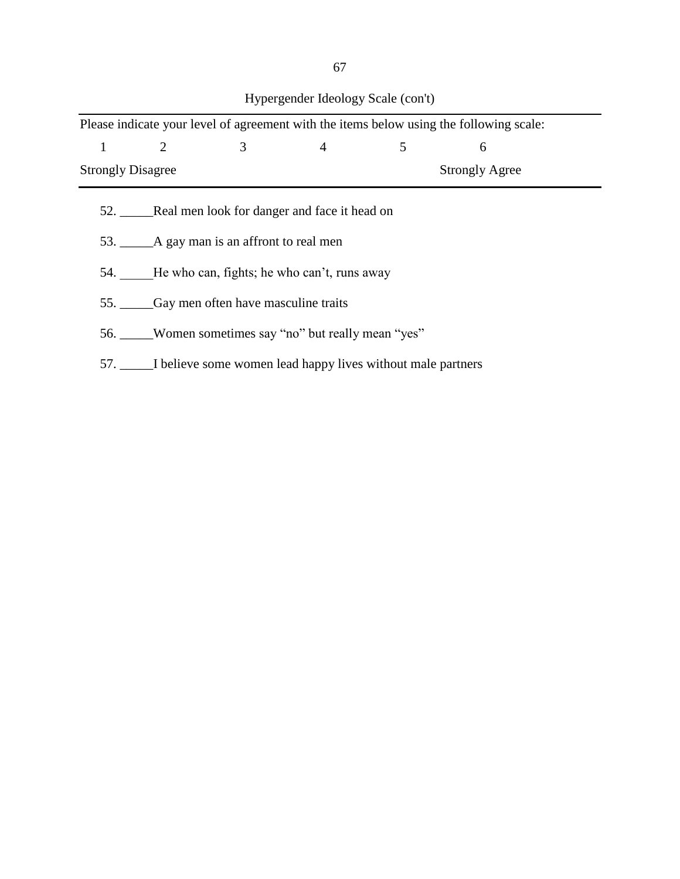|                                                    |                                         |   |                                                                      |   | Please indicate your level of agreement with the items below using the following scale: |  |  |  |
|----------------------------------------------------|-----------------------------------------|---|----------------------------------------------------------------------|---|-----------------------------------------------------------------------------------------|--|--|--|
| 1                                                  | $\overline{2}$                          | 3 | $\overline{4}$                                                       | 5 | 6                                                                                       |  |  |  |
| <b>Strongly Disagree</b><br><b>Strongly Agree</b>  |                                         |   |                                                                      |   |                                                                                         |  |  |  |
|                                                    |                                         |   | 52. Real men look for danger and face it head on                     |   |                                                                                         |  |  |  |
|                                                    | 53. A gay man is an affront to real men |   |                                                                      |   |                                                                                         |  |  |  |
| 54. He who can, fights; he who can't, runs away    |                                         |   |                                                                      |   |                                                                                         |  |  |  |
| 55. Gay men often have masculine traits            |                                         |   |                                                                      |   |                                                                                         |  |  |  |
| 56. Women sometimes say "no" but really mean "yes" |                                         |   |                                                                      |   |                                                                                         |  |  |  |
|                                                    |                                         |   | 57. _____I believe some women lead happy lives without male partners |   |                                                                                         |  |  |  |

Hypergender Ideology Scale (con't)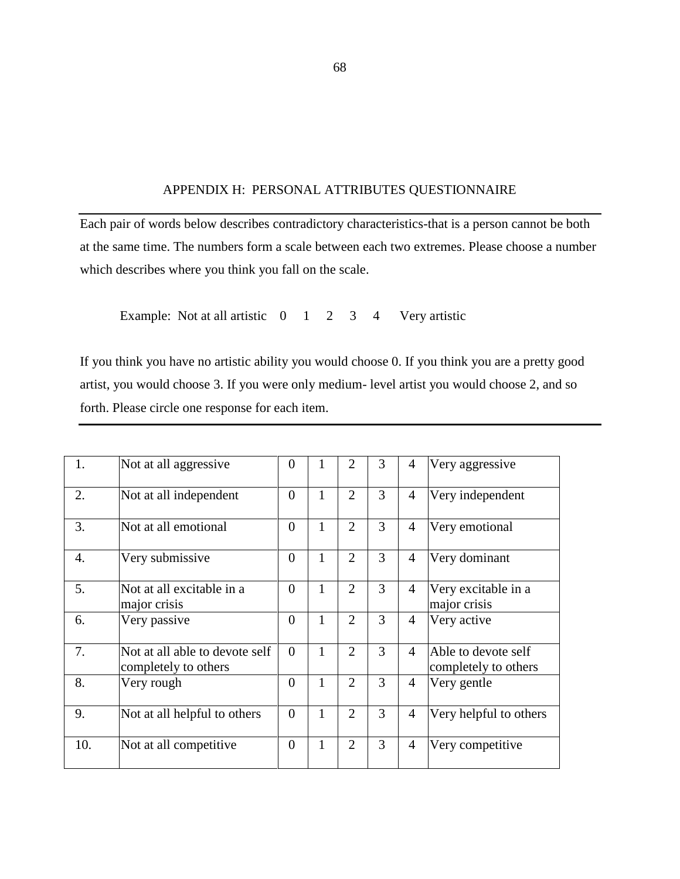### APPENDIX H: PERSONAL ATTRIBUTES QUESTIONNAIRE

Each pair of words below describes contradictory characteristics-that is a person cannot be both at the same time. The numbers form a scale between each two extremes. Please choose a number which describes where you think you fall on the scale.

Example: Not at all artistic  $0 \quad 1 \quad 2 \quad 3 \quad 4$  Very artistic

If you think you have no artistic ability you would choose 0. If you think you are a pretty good artist, you would choose 3. If you were only medium- level artist you would choose 2, and so forth. Please circle one response for each item.

| 1.  | Not at all aggressive                                  | $\boldsymbol{0}$ | 1            | $\overline{2}$ | 3 | 4              | Very aggressive                             |
|-----|--------------------------------------------------------|------------------|--------------|----------------|---|----------------|---------------------------------------------|
| 2.  | Not at all independent                                 | $\overline{0}$   | $\mathbf{1}$ | $\overline{2}$ | 3 | $\overline{4}$ | Very independent                            |
| 3.  | Not at all emotional                                   | $\overline{0}$   | 1            | $\overline{2}$ | 3 | 4              | Very emotional                              |
| 4.  | Very submissive                                        | $\overline{0}$   | 1            | $\overline{2}$ | 3 | 4              | Very dominant                               |
| 5.  | Not at all excitable in a<br>major crisis              | $\overline{0}$   | 1            | $\overline{2}$ | 3 | $\overline{4}$ | Very excitable in a<br>major crisis         |
| 6.  | Very passive                                           | $\overline{0}$   | 1            | $\overline{2}$ | 3 | $\overline{4}$ | Very active                                 |
| 7.  | Not at all able to devote self<br>completely to others | $\theta$         | 1            | $\overline{2}$ | 3 | $\overline{4}$ | Able to devote self<br>completely to others |
| 8.  | Very rough                                             | $\overline{0}$   | 1            | $\overline{2}$ | 3 | $\overline{4}$ | Very gentle                                 |
| 9.  | Not at all helpful to others                           | $\overline{0}$   | 1            | $\overline{2}$ | 3 | $\overline{4}$ | Very helpful to others                      |
| 10. | Not at all competitive                                 | $\overline{0}$   | $\mathbf{1}$ | $\overline{2}$ | 3 | 4              | Very competitive                            |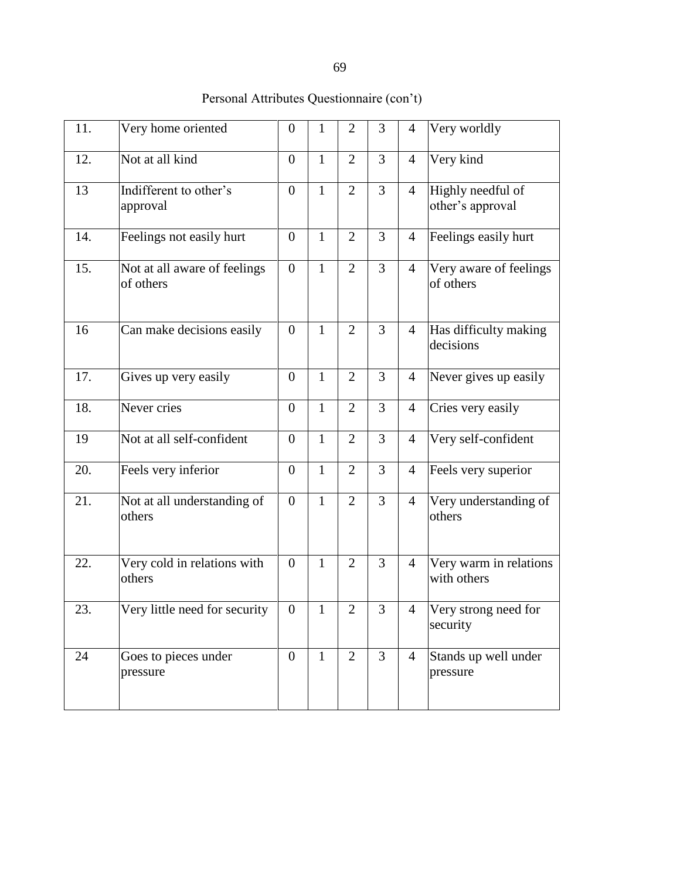| 11. | Very home oriented                        | $\boldsymbol{0}$ | 1            | $\overline{2}$ | 3              | $\overline{4}$ | Very worldly                          |
|-----|-------------------------------------------|------------------|--------------|----------------|----------------|----------------|---------------------------------------|
| 12. | Not at all kind                           | $\overline{0}$   | $\mathbf{1}$ | $\overline{2}$ | 3              | $\overline{4}$ | Very kind                             |
| 13  | Indifferent to other's<br>approval        |                  | $\mathbf{1}$ | $\overline{2}$ | 3              | $\overline{4}$ | Highly needful of<br>other's approval |
| 14. | Feelings not easily hurt                  | $\overline{0}$   | 1            | $\overline{2}$ | 3              | $\overline{4}$ | Feelings easily hurt                  |
| 15. | Not at all aware of feelings<br>of others | $\boldsymbol{0}$ | $\mathbf{1}$ | $\overline{2}$ | $\overline{3}$ | $\overline{4}$ | Very aware of feelings<br>of others   |
| 16  | Can make decisions easily                 | $\boldsymbol{0}$ | $\mathbf{1}$ | $\overline{2}$ | 3              | $\overline{4}$ | Has difficulty making<br>decisions    |
| 17. | Gives up very easily                      | $\overline{0}$   | 1            | $\overline{2}$ | 3              | 4              | Never gives up easily                 |
| 18. | Never cries                               | $\overline{0}$   | $\mathbf{1}$ | $\overline{2}$ | $\overline{3}$ | $\overline{4}$ | Cries very easily                     |
| 19  | Not at all self-confident                 | $\overline{0}$   | $\mathbf{1}$ | $\overline{2}$ | $\overline{3}$ | $\overline{4}$ | Very self-confident                   |
| 20. | Feels very inferior                       | $\overline{0}$   | $\mathbf{1}$ | $\overline{2}$ | 3              | $\overline{4}$ | Feels very superior                   |
| 21. | Not at all understanding of<br>others     | $\boldsymbol{0}$ | $\mathbf{1}$ | $\overline{2}$ | $\overline{3}$ | $\overline{4}$ | Very understanding of<br>others       |
| 22. | Very cold in relations with<br>others     | $\overline{0}$   | $\mathbf{1}$ | $\overline{2}$ | 3              | $\overline{4}$ | Very warm in relations<br>with others |
| 23. | Very little need for security             | $\boldsymbol{0}$ | 1            | $\overline{2}$ | 3              | $\overline{4}$ | Very strong need for<br>security      |
| 24  | Goes to pieces under<br>pressure          | $\overline{0}$   | $\mathbf{1}$ | $\overline{2}$ | $\overline{3}$ | $\overline{4}$ | Stands up well under<br>pressure      |

## Personal Attributes Questionnaire (con't)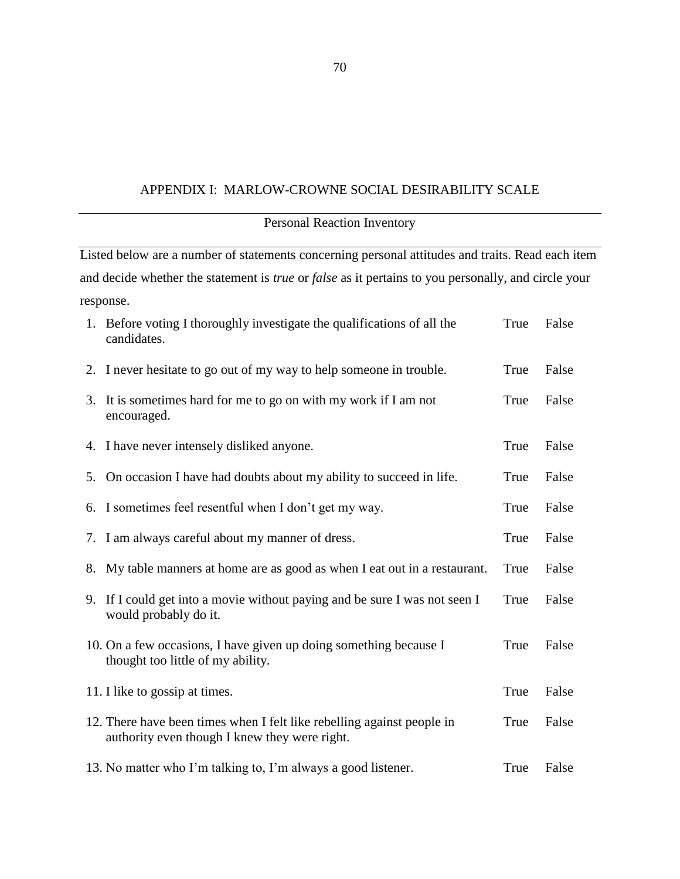#### APPENDIX I: MARLOW-CROWNE SOCIAL DESIRABILITY SCALE

# Personal Reaction Inventory Listed below are a number of statements concerning personal attitudes and traits. Read each item and decide whether the statement is *true* or *false* as it pertains to you personally, and circle your response. 1. Before voting I thoroughly investigate the qualifications of all the candidates. True False 2. I never hesitate to go out of my way to help someone in trouble. True False 3. It is sometimes hard for me to go on with my work if I am not encouraged. True False 4. I have never intensely disliked anyone. True False 5. On occasion I have had doubts about my ability to succeed in life. True False 6. I sometimes feel resentful when I don't get my way. True False 7. I am always careful about my manner of dress. True False 8. My table manners at home are as good as when I eat out in a restaurant. True False 9. If I could get into a movie without paying and be sure I was not seen I would probably do it. True False 10. On a few occasions, I have given up doing something because I thought too little of my ability. True False 11. I like to gossip at times. True False 12. There have been times when I felt like rebelling against people in authority even though I knew they were right. True False 13. No matter who I'm talking to, I'm always a good listener. True False

70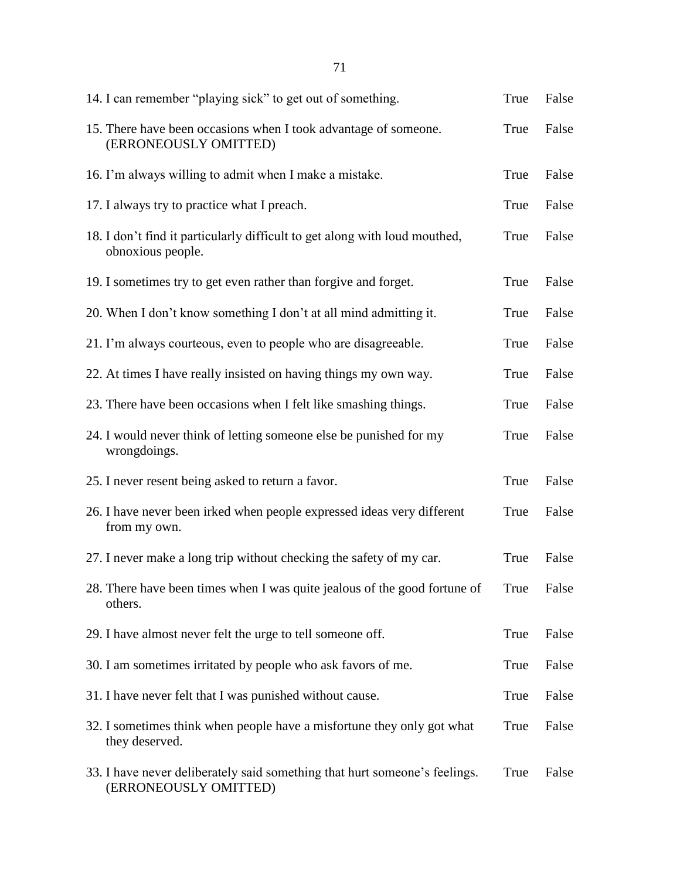| 14. I can remember "playing sick" to get out of something.                                          | True | False |
|-----------------------------------------------------------------------------------------------------|------|-------|
| 15. There have been occasions when I took advantage of someone.<br>(ERRONEOUSLY OMITTED)            | True | False |
| 16. I'm always willing to admit when I make a mistake.                                              | True | False |
| 17. I always try to practice what I preach.                                                         | True | False |
| 18. I don't find it particularly difficult to get along with loud mouthed,<br>obnoxious people.     | True | False |
| 19. I sometimes try to get even rather than forgive and forget.                                     | True | False |
| 20. When I don't know something I don't at all mind admitting it.                                   | True | False |
| 21. I'm always courteous, even to people who are disagreeable.                                      | True | False |
| 22. At times I have really insisted on having things my own way.                                    | True | False |
| 23. There have been occasions when I felt like smashing things.                                     | True | False |
| 24. I would never think of letting someone else be punished for my<br>wrongdoings.                  | True | False |
| 25. I never resent being asked to return a favor.                                                   | True | False |
| 26. I have never been irked when people expressed ideas very different<br>from my own.              | True | False |
| 27. I never make a long trip without checking the safety of my car.                                 | True | False |
| 28. There have been times when I was quite jealous of the good fortune of<br>others.                | True | False |
| 29. I have almost never felt the urge to tell someone off.                                          | True | False |
| 30. I am sometimes irritated by people who ask favors of me.                                        | True | False |
| 31. I have never felt that I was punished without cause.                                            | True | False |
| 32. I sometimes think when people have a misfortune they only got what<br>they deserved.            | True | False |
| 33. I have never deliberately said something that hurt someone's feelings.<br>(ERRONEOUSLY OMITTED) | True | False |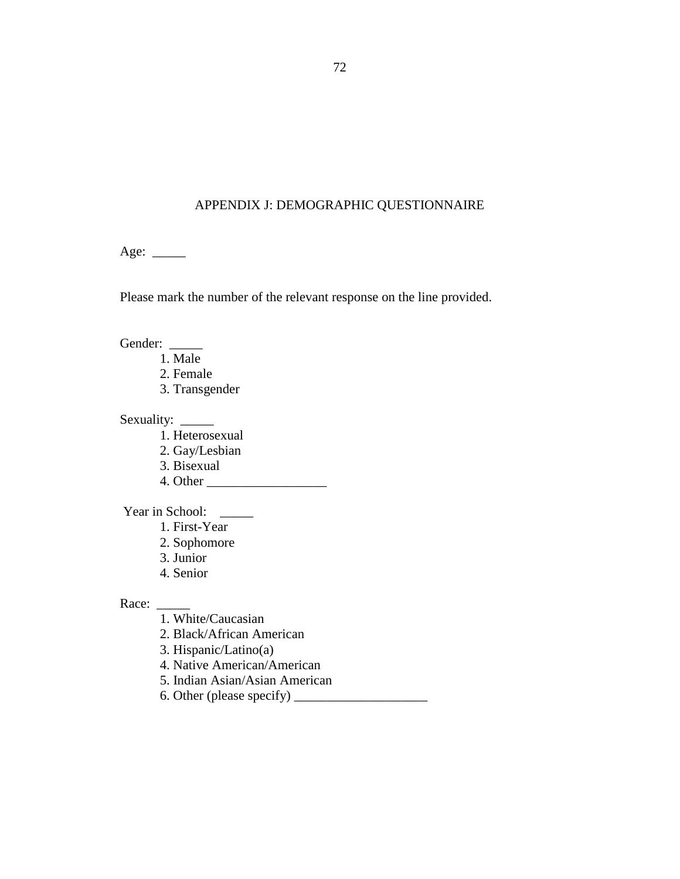### APPENDIX J: DEMOGRAPHIC QUESTIONNAIRE

Age: \_\_\_\_\_\_

Please mark the number of the relevant response on the line provided.

Gender:

- 1. Male
- 2. Female
- 3. Transgender

Sexuality: \_\_\_\_\_

- 1. Heterosexual
- 2. Gay/Lesbian
- 3. Bisexual
- 4. Other \_\_\_\_\_\_\_\_\_\_\_\_\_\_\_\_\_\_

Year in School: \_\_\_\_\_

- 1. First-Year
- 2. Sophomore
- 3. Junior
- 4. Senior

Race:

- 1. White/Caucasian
- 2. Black/African American
- 3. Hispanic/Latino(a)
- 4. Native American/American
- 5. Indian Asian/Asian American
- 6. Other (please specify) \_\_\_\_\_\_\_\_\_\_\_\_\_\_\_\_\_\_\_\_

72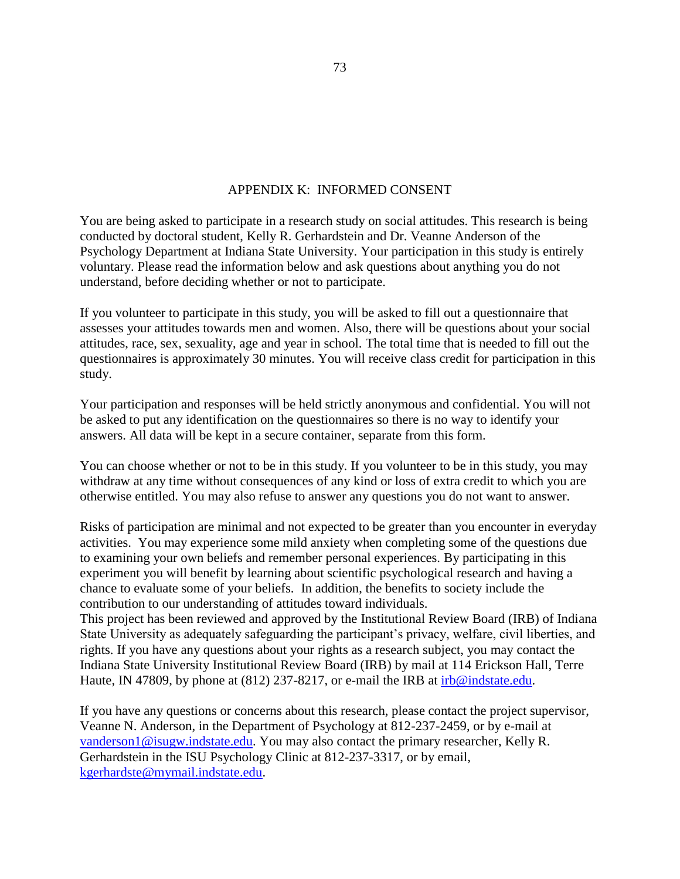#### APPENDIX K: INFORMED CONSENT

You are being asked to participate in a research study on social attitudes. This research is being conducted by doctoral student, Kelly R. Gerhardstein and Dr. Veanne Anderson of the Psychology Department at Indiana State University. Your participation in this study is entirely voluntary. Please read the information below and ask questions about anything you do not understand, before deciding whether or not to participate.

If you volunteer to participate in this study, you will be asked to fill out a questionnaire that assesses your attitudes towards men and women. Also, there will be questions about your social attitudes, race, sex, sexuality, age and year in school. The total time that is needed to fill out the questionnaires is approximately 30 minutes. You will receive class credit for participation in this study.

Your participation and responses will be held strictly anonymous and confidential. You will not be asked to put any identification on the questionnaires so there is no way to identify your answers. All data will be kept in a secure container, separate from this form.

You can choose whether or not to be in this study. If you volunteer to be in this study, you may withdraw at any time without consequences of any kind or loss of extra credit to which you are otherwise entitled. You may also refuse to answer any questions you do not want to answer.

Risks of participation are minimal and not expected to be greater than you encounter in everyday activities. You may experience some mild anxiety when completing some of the questions due to examining your own beliefs and remember personal experiences. By participating in this experiment you will benefit by learning about scientific psychological research and having a chance to evaluate some of your beliefs. In addition, the benefits to society include the contribution to our understanding of attitudes toward individuals.

This project has been reviewed and approved by the Institutional Review Board (IRB) of Indiana State University as adequately safeguarding the participant's privacy, welfare, civil liberties, and rights. If you have any questions about your rights as a research subject, you may contact the Indiana State University Institutional Review Board (IRB) by mail at 114 Erickson Hall, Terre Haute, IN 47809, by phone at (812) 237-8217, or e-mail the IRB at  $irb@indstate.edu$ .

If you have any questions or concerns about this research, please contact the project supervisor, Veanne N. Anderson, in the Department of Psychology at 812-237-2459, or by e-mail at [vanderson1@isugw.indstate.edu.](mailto:vanderson1@isugw.indstate.edu) You may also contact the primary researcher, Kelly R. Gerhardstein in the ISU Psychology Clinic at 812-237-3317, or by email, [kgerhardste@mymail.indstate.edu.](mailto:kgerhardste@mymail.indstate.edu)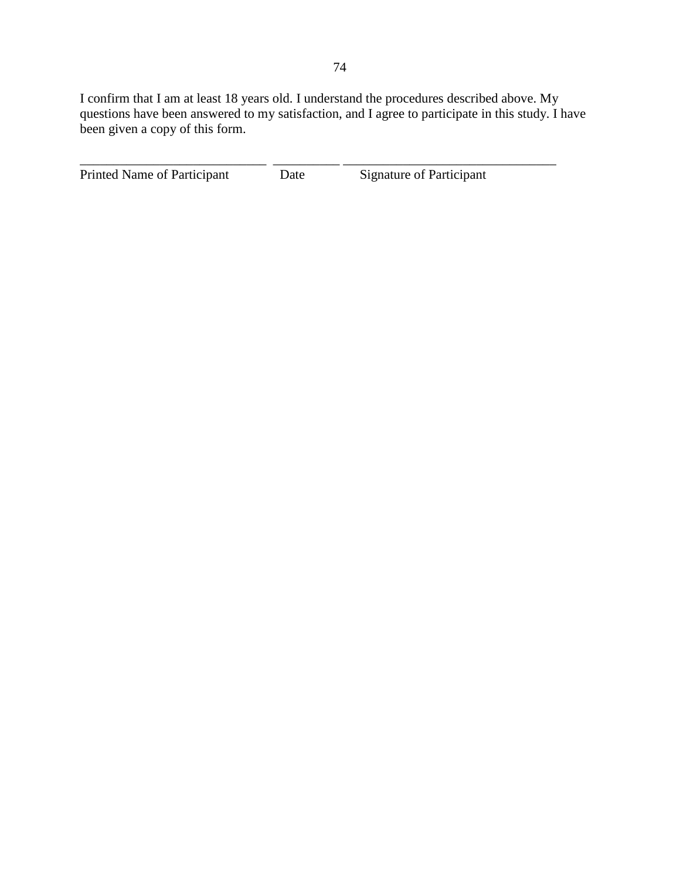I confirm that I am at least 18 years old. I understand the procedures described above. My questions have been answered to my satisfaction, and I agree to participate in this study. I have been given a copy of this form.

| Printed Name of Participant | Date | Signature of Participant |
|-----------------------------|------|--------------------------|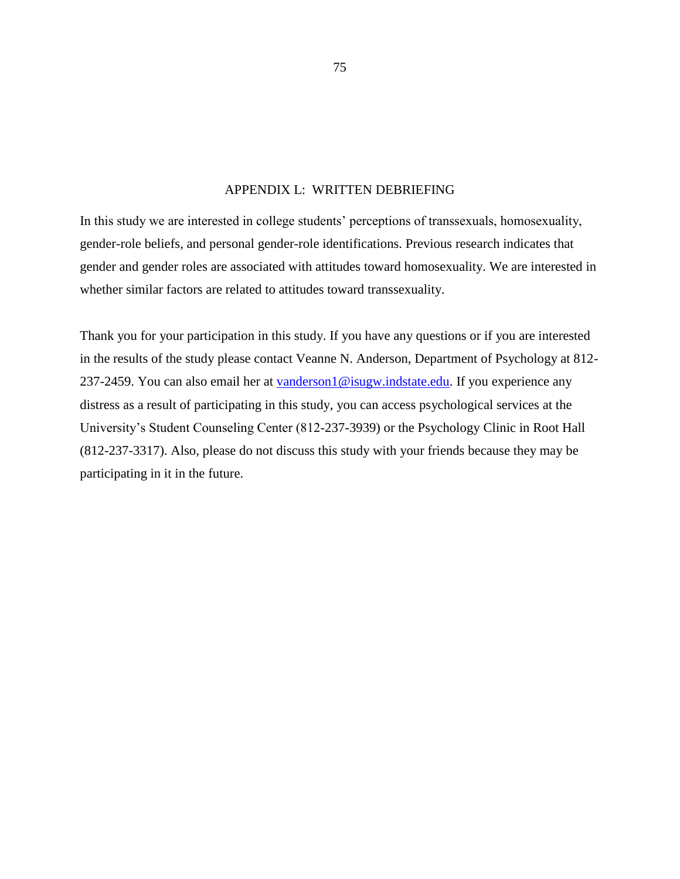#### APPENDIX L: WRITTEN DEBRIEFING

In this study we are interested in college students' perceptions of transsexuals, homosexuality, gender-role beliefs, and personal gender-role identifications. Previous research indicates that gender and gender roles are associated with attitudes toward homosexuality. We are interested in whether similar factors are related to attitudes toward transsexuality.

Thank you for your participation in this study. If you have any questions or if you are interested in the results of the study please contact Veanne N. Anderson, Department of Psychology at 812 237-2459. You can also email her at [vanderson1@isugw.indstate.edu.](mailto:vanderson1@isugw.indstate.edu) If you experience any distress as a result of participating in this study, you can access psychological services at the University's Student Counseling Center (812-237-3939) or the Psychology Clinic in Root Hall (812-237-3317). Also, please do not discuss this study with your friends because they may be participating in it in the future.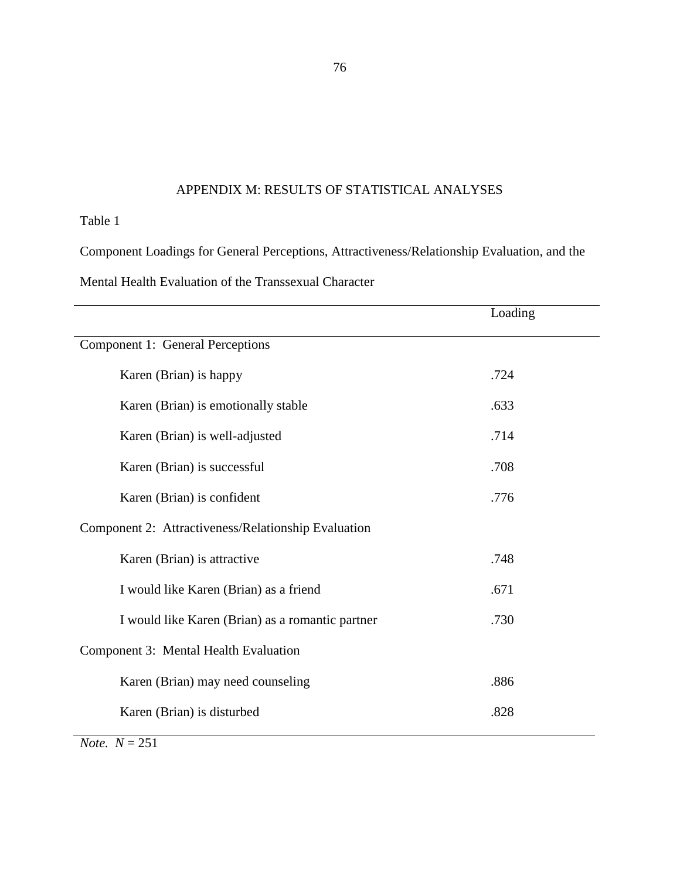## APPENDIX M: RESULTS OF STATISTICAL ANALYSES

## Table 1

Component Loadings for General Perceptions, Attractiveness/Relationship Evaluation, and the Mental Health Evaluation of the Transsexual Character

|                                                     | Loading |  |  |  |  |
|-----------------------------------------------------|---------|--|--|--|--|
| Component 1: General Perceptions                    |         |  |  |  |  |
| Karen (Brian) is happy                              | .724    |  |  |  |  |
| Karen (Brian) is emotionally stable                 | .633    |  |  |  |  |
| Karen (Brian) is well-adjusted                      | .714    |  |  |  |  |
| Karen (Brian) is successful                         | .708    |  |  |  |  |
| Karen (Brian) is confident                          | .776    |  |  |  |  |
| Component 2: Attractiveness/Relationship Evaluation |         |  |  |  |  |
| Karen (Brian) is attractive                         | .748    |  |  |  |  |
| I would like Karen (Brian) as a friend              | .671    |  |  |  |  |
| I would like Karen (Brian) as a romantic partner    | .730    |  |  |  |  |
| Component 3: Mental Health Evaluation               |         |  |  |  |  |
| Karen (Brian) may need counseling                   | .886    |  |  |  |  |
| Karen (Brian) is disturbed                          | .828    |  |  |  |  |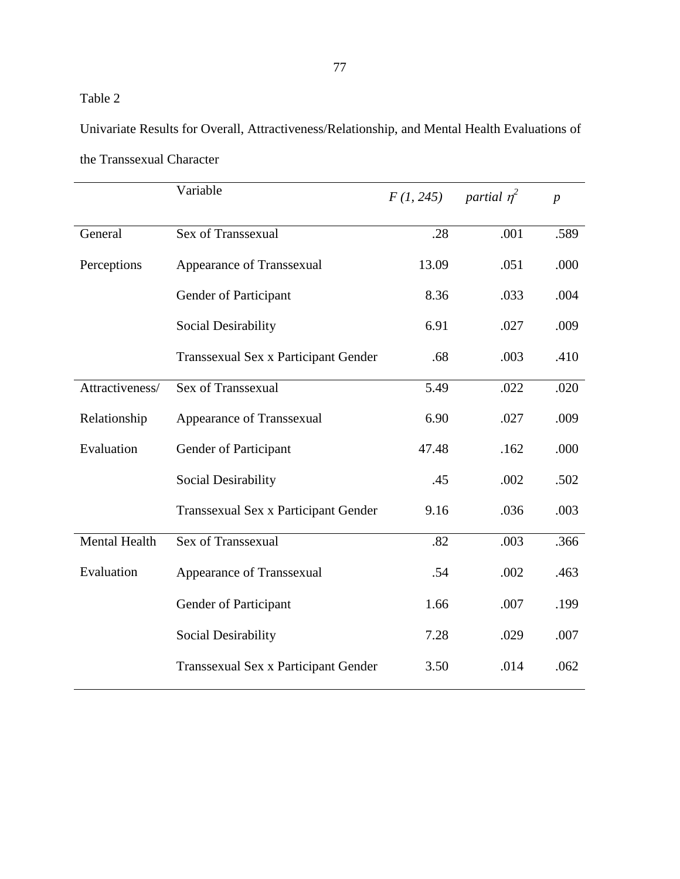Univariate Results for Overall, Attractiveness/Relationship, and Mental Health Evaluations of the Transsexual Character

|                      | Variable                             | F(1, 245) | partial $\eta^2$ | $\boldsymbol{p}$ |
|----------------------|--------------------------------------|-----------|------------------|------------------|
| General              | Sex of Transsexual                   | .28       | .001             | .589             |
| Perceptions          | Appearance of Transsexual            | 13.09     | .051             | .000             |
|                      | Gender of Participant                | 8.36      | .033             | .004             |
|                      | Social Desirability                  | 6.91      | .027             | .009             |
|                      | Transsexual Sex x Participant Gender | .68       | .003             | .410             |
| Attractiveness/      | Sex of Transsexual                   | 5.49      | .022             | .020             |
| Relationship         | Appearance of Transsexual            | 6.90      | .027             | .009             |
| Evaluation           | Gender of Participant                | 47.48     | .162             | .000             |
|                      | Social Desirability                  | .45       | .002             | .502             |
|                      | Transsexual Sex x Participant Gender | 9.16      | .036             | .003             |
| <b>Mental Health</b> | Sex of Transsexual                   | .82       | .003             | .366             |
| Evaluation           | Appearance of Transsexual            | .54       | .002             | .463             |
|                      | Gender of Participant                | 1.66      | .007             | .199             |
|                      | Social Desirability                  | 7.28      | .029             | .007             |
|                      | Transsexual Sex x Participant Gender | 3.50      | .014             | .062             |
|                      |                                      |           |                  |                  |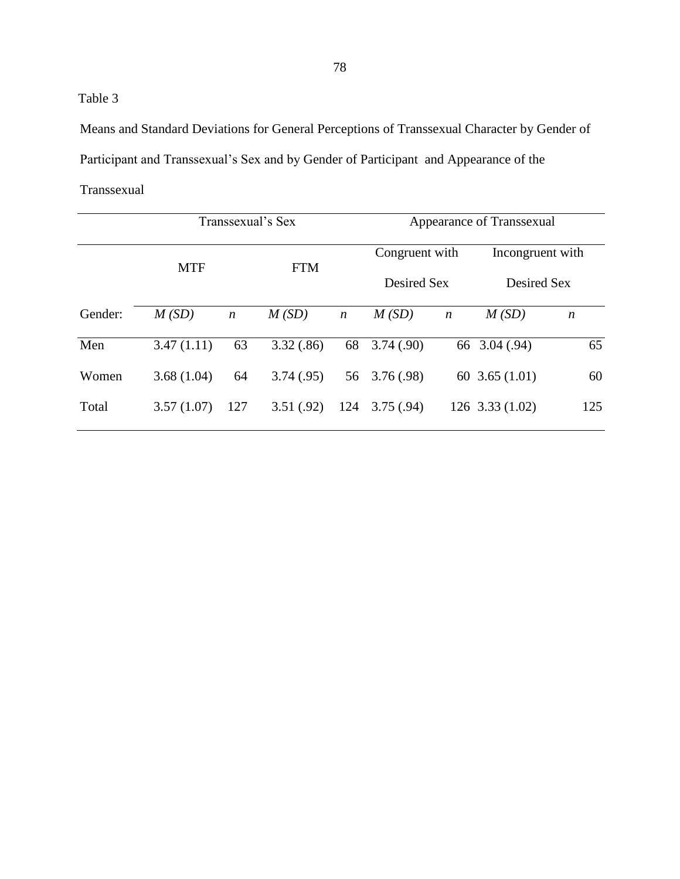Means and Standard Deviations for General Perceptions of Transsexual Character by Gender of Participant and Transsexual's Sex and by Gender of Participant and Appearance of the Transsexual

|         |            |                  | Transsexual's Sex | Appearance of Transsexual |               |                  |                     |                  |
|---------|------------|------------------|-------------------|---------------------------|---------------|------------------|---------------------|------------------|
|         |            |                  |                   |                           |               | Congruent with   |                     | Incongruent with |
|         | <b>MTF</b> |                  | <b>FTM</b>        |                           | Desired Sex   |                  | Desired Sex         |                  |
| Gender: | M(SD)      | $\boldsymbol{n}$ | M(SD)             | $\boldsymbol{n}$          | M(SD)         | $\boldsymbol{n}$ | M(SD)               | $\boldsymbol{n}$ |
| Men     | 3.47(1.11) | 63               | 3.32(.86)         | 68                        | 3.74(.90)     |                  | 66 3.04 (.94)       | 65               |
| Women   | 3.68(1.04) | 64               | 3.74(.95)         |                           | 56 3.76 (.98) |                  | 60 $3.65(1.01)$     | 60               |
| Total   | 3.57(1.07) | 127              | 3.51(.92)         | 124                       | 3.75(.94)     |                  | $126$ 3.33 $(1.02)$ | 125              |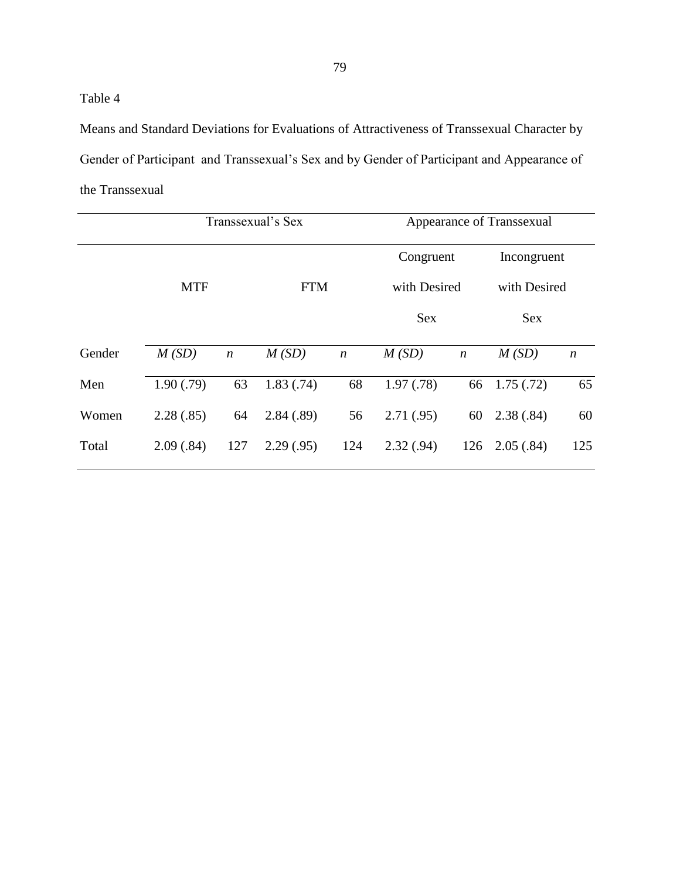Means and Standard Deviations for Evaluations of Attractiveness of Transsexual Character by Gender of Participant and Transsexual's Sex and by Gender of Participant and Appearance of the Transsexual

|        |            | Transsexual's Sex | Appearance of Transsexual |                  |              |                  |              |                  |
|--------|------------|-------------------|---------------------------|------------------|--------------|------------------|--------------|------------------|
|        | <b>MTF</b> |                   |                           |                  |              | Congruent        | Incongruent  |                  |
|        |            |                   | <b>FTM</b>                |                  | with Desired |                  | with Desired |                  |
|        |            |                   |                           |                  | <b>Sex</b>   |                  | <b>Sex</b>   |                  |
| Gender | M(SD)      | $\boldsymbol{n}$  | M(SD)                     | $\boldsymbol{n}$ | M(SD)        | $\boldsymbol{n}$ | M(SD)        | $\boldsymbol{n}$ |
| Men    | 1.90(.79)  | 63                | 1.83(.74)                 | 68               | 1.97(0.78)   | 66               | 1.75(.72)    | 65               |
| Women  | 2.28(.85)  | 64                | 2.84(.89)                 | 56               | 2.71(.95)    | 60               | 2.38(.84)    | 60               |
| Total  | 2.09(.84)  | 127               | 2.29(.95)                 | 124              | 2.32(.94)    | 126              | 2.05(.84)    | 125              |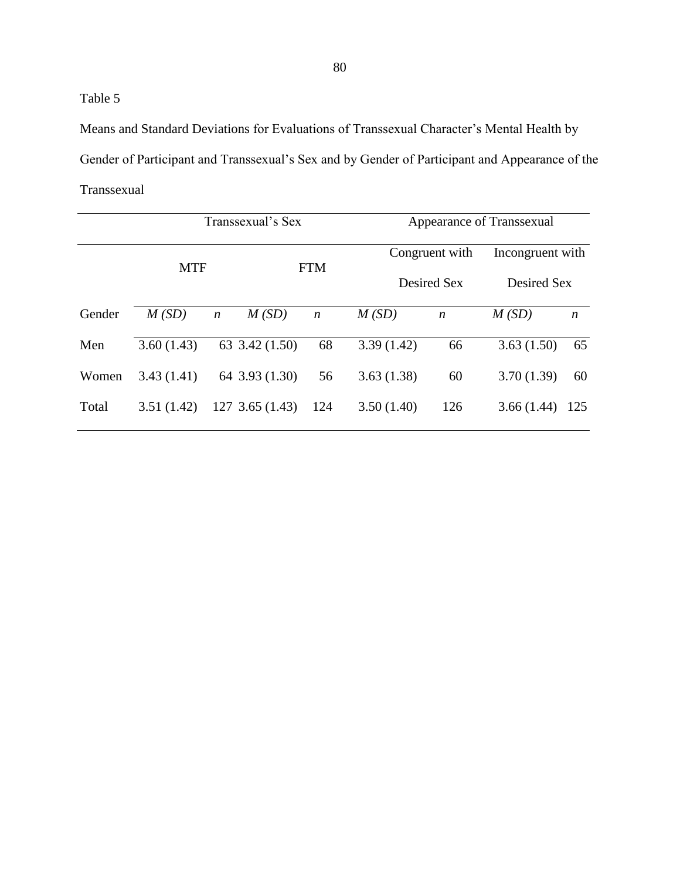Means and Standard Deviations for Evaluations of Transsexual Character's Mental Health by Gender of Participant and Transsexual's Sex and by Gender of Participant and Appearance of the Transsexual

|        | Transsexual's Sex |                  |                     |                  |            | Appearance of Transsexual |             |                  |  |
|--------|-------------------|------------------|---------------------|------------------|------------|---------------------------|-------------|------------------|--|
|        | <b>MTF</b>        |                  |                     | <b>FTM</b>       |            | Congruent with            |             | Incongruent with |  |
|        |                   |                  |                     |                  |            | Desired Sex               | Desired Sex |                  |  |
| Gender | M(SD)             | $\boldsymbol{n}$ | M(SD)               | $\boldsymbol{n}$ | M(SD)      | $\boldsymbol{n}$          | M(SD)       | $\boldsymbol{n}$ |  |
| Men    | 3.60(1.43)        |                  | 63 3.42 (1.50)      | 68               | 3.39(1.42) | 66                        | 3.63(1.50)  | 65               |  |
| Women  | 3.43(1.41)        |                  | 64 3.93 (1.30)      | 56               | 3.63(1.38) | 60                        | 3.70(1.39)  | 60               |  |
| Total  | 3.51(1.42)        |                  | $127$ 3.65 $(1.43)$ | 124              | 3.50(1.40) | 126                       | 3.66(1.44)  | 125              |  |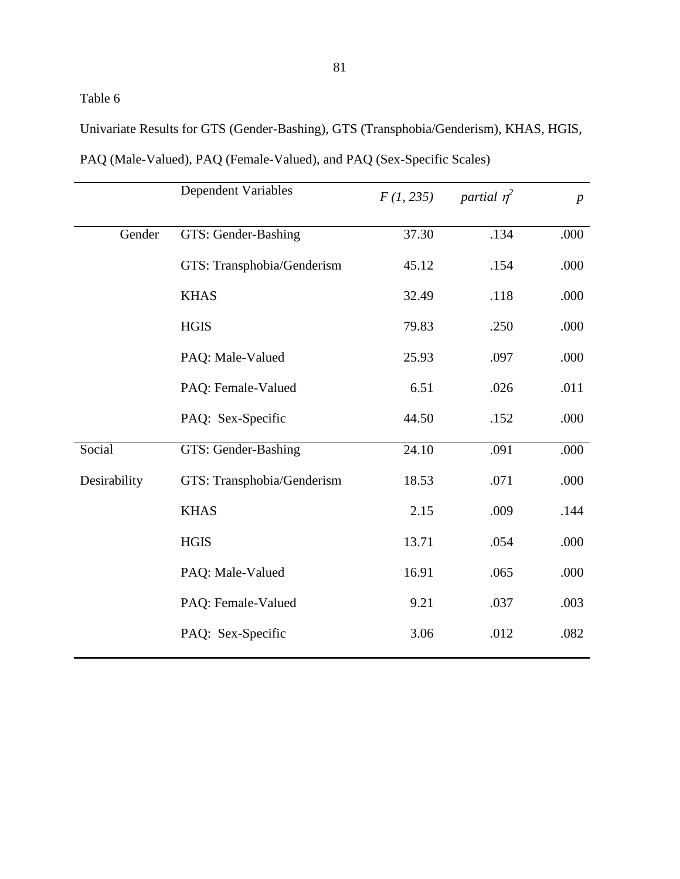Univariate Results for GTS (Gender-Bashing), GTS (Transphobia/Genderism), KHAS, HGIS,

|              | Dependent Variables        | F(1, 235) | partial $\eta^2$ | $\boldsymbol{p}$ |
|--------------|----------------------------|-----------|------------------|------------------|
| Gender       | GTS: Gender-Bashing        | 37.30     | .134             | .000             |
|              | GTS: Transphobia/Genderism | 45.12     | .154             | .000             |
|              | <b>KHAS</b>                | 32.49     | .118             | .000             |
|              | <b>HGIS</b>                | 79.83     | .250             | .000             |
|              | PAQ: Male-Valued           | 25.93     | .097             | .000             |
|              | PAQ: Female-Valued         | 6.51      | .026             | .011             |
|              | PAQ: Sex-Specific          | 44.50     | .152             | .000             |
| Social       | GTS: Gender-Bashing        | 24.10     | .091             | .000             |
| Desirability | GTS: Transphobia/Genderism | 18.53     | .071             | .000             |
|              | <b>KHAS</b>                | 2.15      | .009             | .144             |
|              | <b>HGIS</b>                | 13.71     | .054             | .000             |
|              | PAQ: Male-Valued           | 16.91     | .065             | .000             |
|              | PAQ: Female-Valued         | 9.21      | .037             | .003             |
|              | PAQ: Sex-Specific          | 3.06      | .012             | .082             |

PAQ (Male-Valued), PAQ (Female-Valued), and PAQ (Sex-Specific Scales)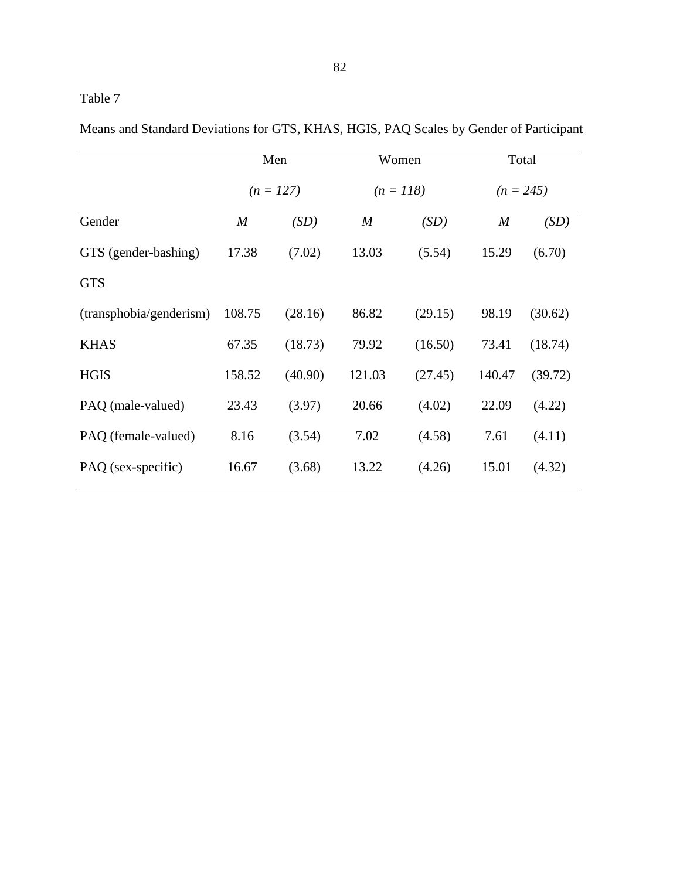Means and Standard Deviations for GTS, KHAS, HGIS, PAQ Scales by Gender of Participant

|                         | Men              |             | Women            |         | Total       |         |
|-------------------------|------------------|-------------|------------------|---------|-------------|---------|
|                         |                  | $(n = 127)$ | $(n = 118)$      |         | $(n = 245)$ |         |
| Gender                  | $\boldsymbol{M}$ | (SD)        | $\boldsymbol{M}$ | (SD)    | M           | (SD)    |
| GTS (gender-bashing)    | 17.38            | (7.02)      | 13.03            | (5.54)  | 15.29       | (6.70)  |
| <b>GTS</b>              |                  |             |                  |         |             |         |
| (transphobia/genderism) | 108.75           | (28.16)     | 86.82            | (29.15) | 98.19       | (30.62) |
| <b>KHAS</b>             | 67.35            | (18.73)     | 79.92            | (16.50) | 73.41       | (18.74) |
| <b>HGIS</b>             | 158.52           | (40.90)     | 121.03           | (27.45) | 140.47      | (39.72) |
| PAQ (male-valued)       | 23.43            | (3.97)      | 20.66            | (4.02)  | 22.09       | (4.22)  |
| PAQ (female-valued)     | 8.16             | (3.54)      | 7.02             | (4.58)  | 7.61        | (4.11)  |
| PAQ (sex-specific)      | 16.67            | (3.68)      | 13.22            | (4.26)  | 15.01       | (4.32)  |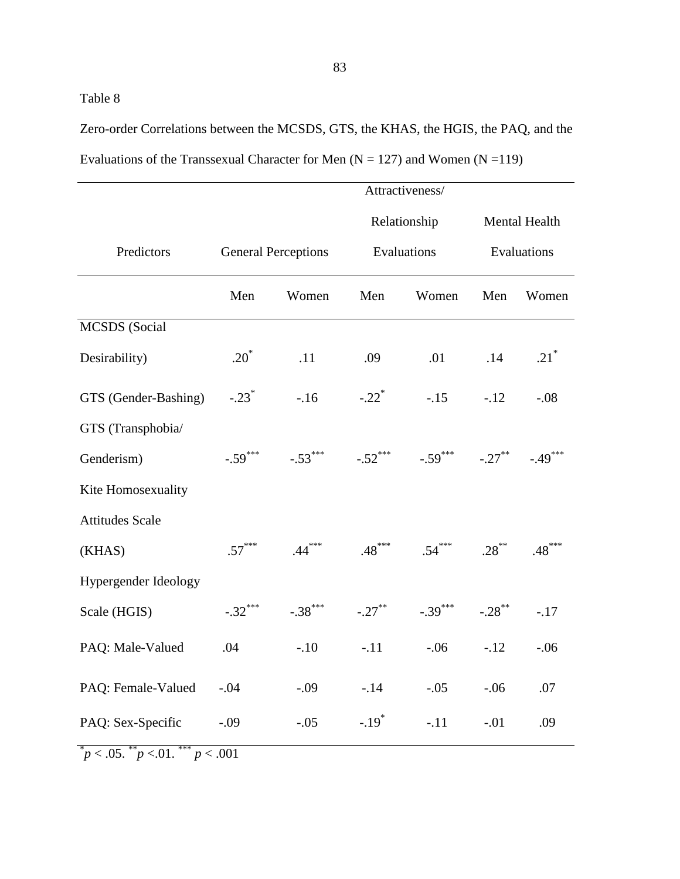Zero-order Correlations between the MCSDS, GTS, the KHAS, the HGIS, the PAQ, and the Evaluations of the Transsexual Character for Men  $(N = 127)$  and Women  $(N = 119)$ 

|                                        | Attractiveness/     |                            |                            |                                 |               |                    |  |
|----------------------------------------|---------------------|----------------------------|----------------------------|---------------------------------|---------------|--------------------|--|
|                                        |                     |                            |                            | Relationship                    | Mental Health |                    |  |
| Predictors                             |                     | <b>General Perceptions</b> |                            | Evaluations                     |               | Evaluations        |  |
|                                        | Men                 | Women                      | Men                        | Women                           | Men           | Women              |  |
| <b>MCSDS</b> (Social                   |                     |                            |                            |                                 |               |                    |  |
| Desirability)                          | $.20^*$             | .11                        | .09                        | .01                             | .14           | $.21$ <sup>*</sup> |  |
| GTS (Gender-Bashing)                   | $-.23$ <sup>*</sup> |                            | $-.16$ $-.22$ <sup>*</sup> |                                 | $-.15 - .12$  | $-.08$             |  |
| GTS (Transphobia/                      |                     |                            |                            |                                 |               |                    |  |
| Genderism)                             | $-.59***$           | $-.53***$                  |                            | $-.52$ *** $-.59$ *** $-.27$ ** |               | $-.49***$          |  |
| Kite Homosexuality                     |                     |                            |                            |                                 |               |                    |  |
| <b>Attitudes Scale</b>                 |                     |                            |                            |                                 |               |                    |  |
| (KHAS)                                 | $.57***$            | $.44***$                   |                            | $.48$ *** $.54$ *** $.28$ **    |               | $.48***$           |  |
| Hypergender Ideology                   |                     |                            |                            |                                 |               |                    |  |
| Scale (HGIS)                           | $-.32***$           | $-.38$ ***                 |                            | $-.27$ ** $-.39$ *** $-.28$ **  |               | $-.17$             |  |
| PAQ: Male-Valued                       | .04                 | $-.10$                     | $-11$                      | $-06$                           | $-.12$        | $-.06$             |  |
| PAQ: Female-Valued                     | $-.04$              | $-.09$                     | $-.14$                     | $-.05$                          | $-.06$        | .07                |  |
| PAQ: Sex-Specific                      | $-.09$              | $-.05$                     | $-.19*$                    | $-.11$                          | $-.01$        | .09                |  |
| $p < .05.$ * $p < .01.$ * * $p < .001$ |                     |                            |                            |                                 |               |                    |  |